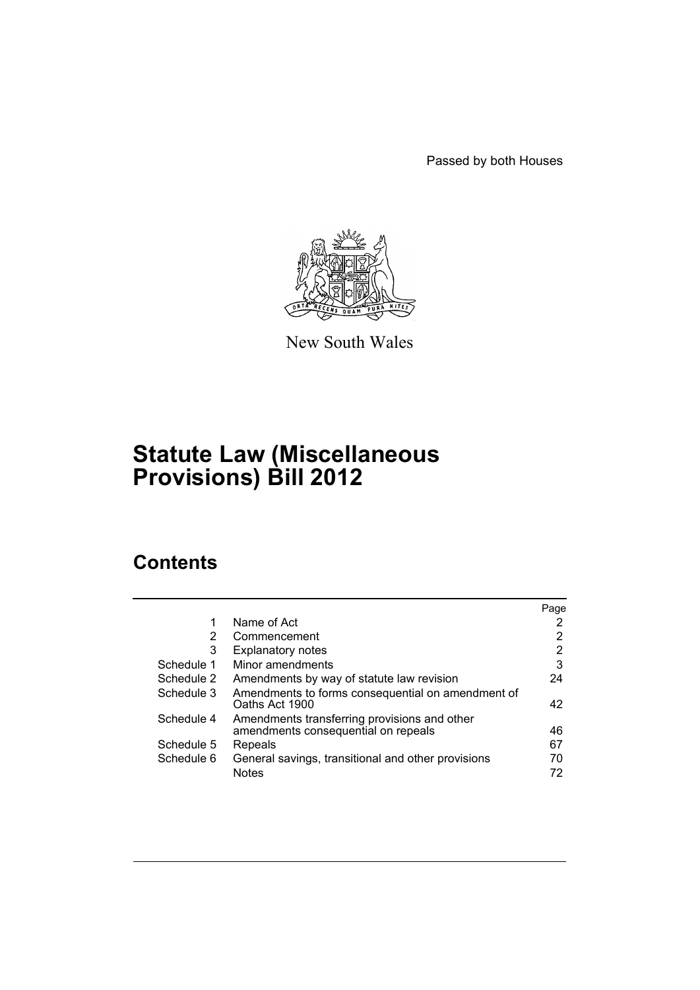Passed by both Houses



New South Wales

# **Statute Law (Miscellaneous Provisions) Bill 2012**

# **Contents**

|            |                                                                     | Page |
|------------|---------------------------------------------------------------------|------|
| 1          | Name of Act                                                         |      |
| 2          | Commencement                                                        | 2    |
| 3          | <b>Explanatory notes</b>                                            | 2    |
| Schedule 1 | Minor amendments                                                    | 3    |
| Schedule 2 | Amendments by way of statute law revision                           | 24   |
| Schedule 3 | Amendments to forms consequential on amendment of<br>Oaths Act 1900 | 42   |
| Schedule 4 | Amendments transferring provisions and other                        |      |
|            | amendments consequential on repeals                                 | 46   |
| Schedule 5 | Repeals                                                             | 67   |
| Schedule 6 | General savings, transitional and other provisions                  | 70   |
|            | <b>Notes</b>                                                        | 72   |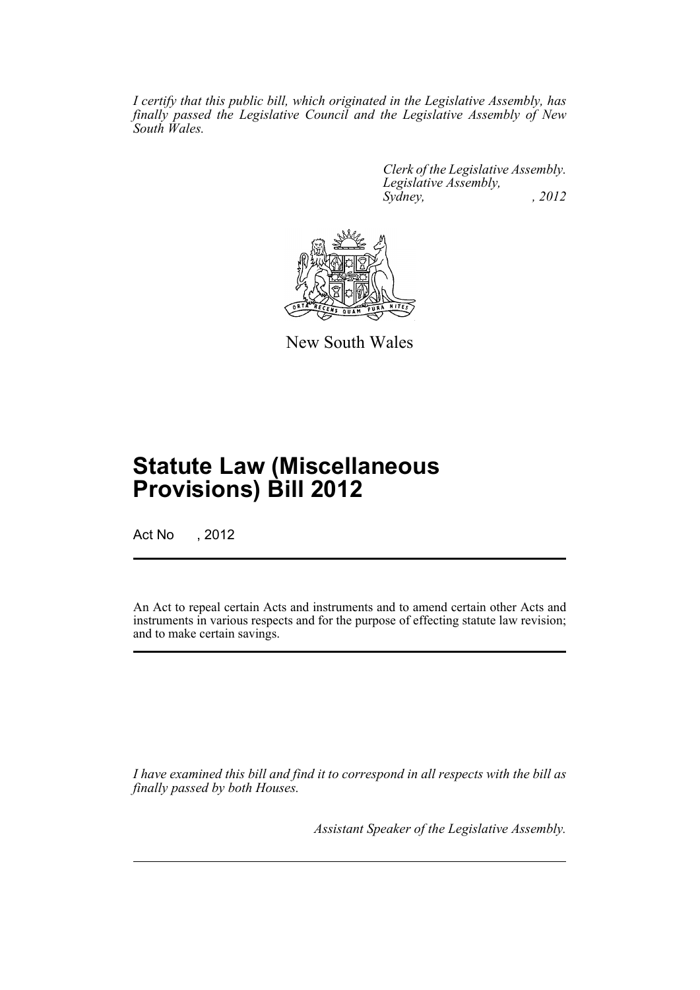*I certify that this public bill, which originated in the Legislative Assembly, has finally passed the Legislative Council and the Legislative Assembly of New South Wales.*

> *Clerk of the Legislative Assembly. Legislative Assembly, Sydney, , 2012*



New South Wales

# **Statute Law (Miscellaneous Provisions) Bill 2012**

Act No , 2012

An Act to repeal certain Acts and instruments and to amend certain other Acts and instruments in various respects and for the purpose of effecting statute law revision; and to make certain savings.

*I have examined this bill and find it to correspond in all respects with the bill as finally passed by both Houses.*

*Assistant Speaker of the Legislative Assembly.*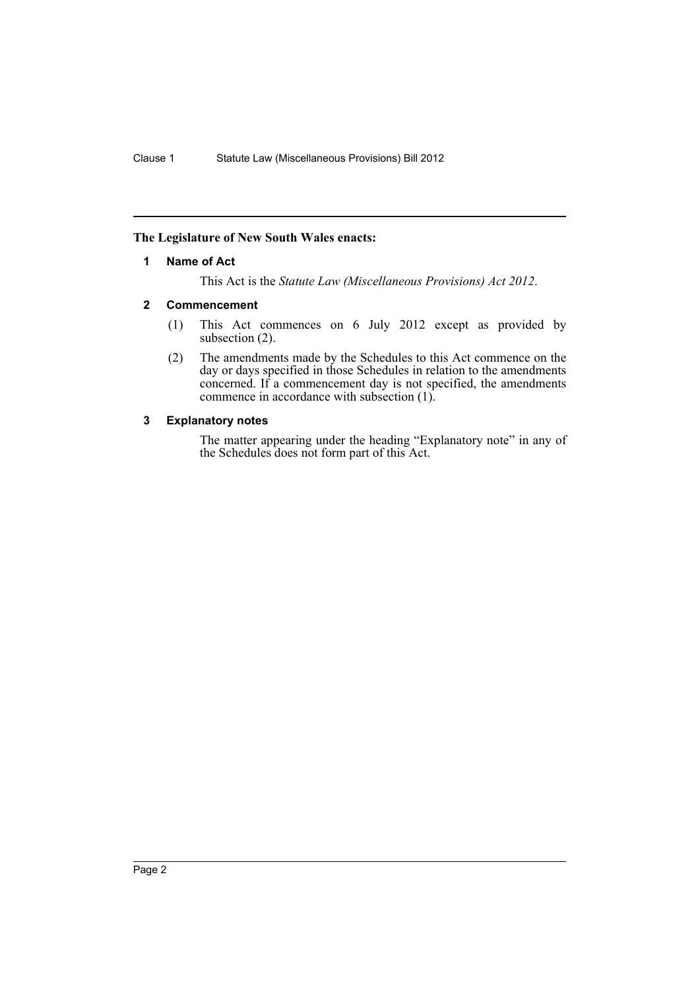# <span id="page-3-0"></span>**The Legislature of New South Wales enacts:**

### **1 Name of Act**

This Act is the *Statute Law (Miscellaneous Provisions) Act 2012*.

### <span id="page-3-1"></span>**2 Commencement**

- (1) This Act commences on 6 July 2012 except as provided by subsection  $(2)$ .
- (2) The amendments made by the Schedules to this Act commence on the day or days specified in those Schedules in relation to the amendments concerned. If a commencement day is not specified, the amendments commence in accordance with subsection (1).

# <span id="page-3-2"></span>**3 Explanatory notes**

The matter appearing under the heading "Explanatory note" in any of the Schedules does not form part of this Act.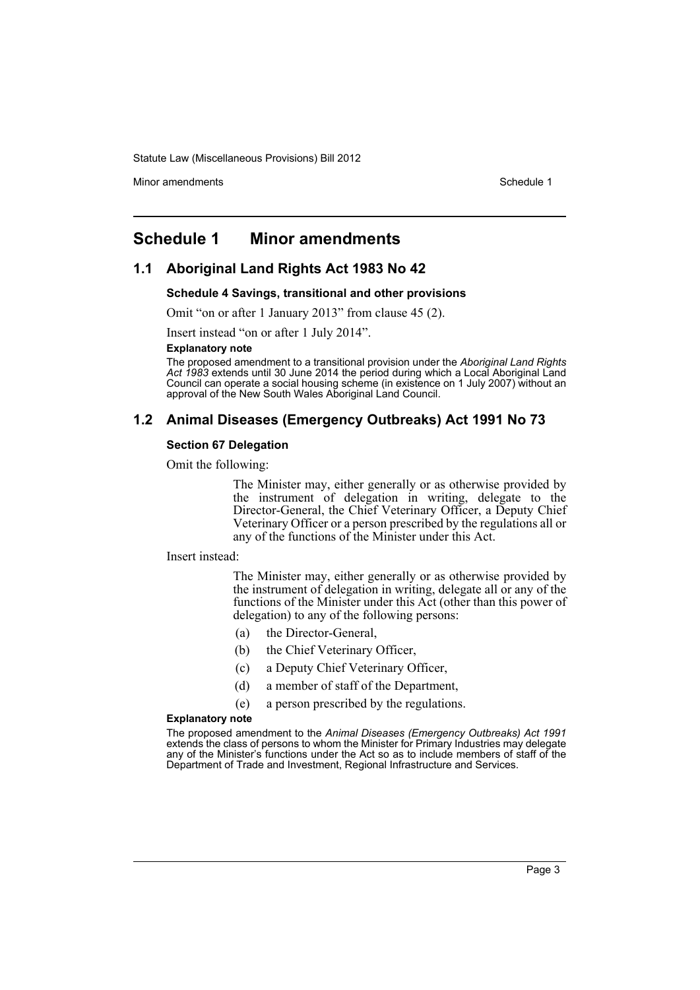Minor amendments **Schedule 1** and the state of the state 1 and the state of the Schedule 1

# <span id="page-4-0"></span>**Schedule 1 Minor amendments**

# **1.1 Aboriginal Land Rights Act 1983 No 42**

#### **Schedule 4 Savings, transitional and other provisions**

Omit "on or after 1 January 2013" from clause 45 (2).

Insert instead "on or after 1 July 2014".

#### **Explanatory note**

The proposed amendment to a transitional provision under the *Aboriginal Land Rights Act 1983* extends until 30 June 2014 the period during which a Local Aboriginal Land Council can operate a social housing scheme (in existence on 1 July 2007) without an approval of the New South Wales Aboriginal Land Council.

# **1.2 Animal Diseases (Emergency Outbreaks) Act 1991 No 73**

#### **Section 67 Delegation**

Omit the following:

The Minister may, either generally or as otherwise provided by the instrument of delegation in writing, delegate to the Director-General, the Chief Veterinary Officer, a Deputy Chief Veterinary Officer or a person prescribed by the regulations all or any of the functions of the Minister under this Act.

#### Insert instead:

The Minister may, either generally or as otherwise provided by the instrument of delegation in writing, delegate all or any of the functions of the Minister under this Act (other than this power of delegation) to any of the following persons:

- (a) the Director-General,
- (b) the Chief Veterinary Officer,
- (c) a Deputy Chief Veterinary Officer,
- (d) a member of staff of the Department,
- (e) a person prescribed by the regulations.

#### **Explanatory note**

The proposed amendment to the *Animal Diseases (Emergency Outbreaks) Act 1991* extends the class of persons to whom the Minister for Primary Industries may delegate any of the Minister's functions under the Act so as to include members of staff of the Department of Trade and Investment, Regional Infrastructure and Services.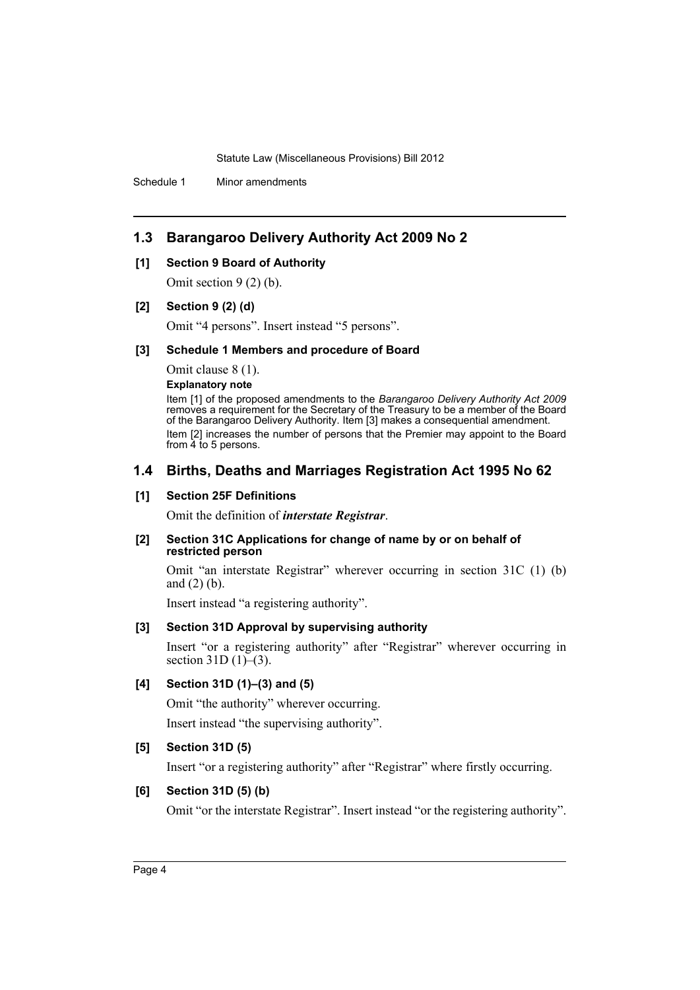Schedule 1 Minor amendments

# **1.3 Barangaroo Delivery Authority Act 2009 No 2**

### **[1] Section 9 Board of Authority**

Omit section 9 (2) (b).

### **[2] Section 9 (2) (d)**

Omit "4 persons". Insert instead "5 persons".

#### **[3] Schedule 1 Members and procedure of Board**

Omit clause 8 (1).

**Explanatory note**

Item [1] of the proposed amendments to the *Barangaroo Delivery Authority Act 2009* removes a requirement for the Secretary of the Treasury to be a member of the Board of the Barangaroo Delivery Authority. Item [3] makes a consequential amendment. Item [2] increases the number of persons that the Premier may appoint to the Board from 4 to 5 persons.

# **1.4 Births, Deaths and Marriages Registration Act 1995 No 62**

# **[1] Section 25F Definitions**

Omit the definition of *interstate Registrar*.

#### **[2] Section 31C Applications for change of name by or on behalf of restricted person**

Omit "an interstate Registrar" wherever occurring in section 31C (1) (b) and (2) (b).

Insert instead "a registering authority".

# **[3] Section 31D Approval by supervising authority**

Insert "or a registering authority" after "Registrar" wherever occurring in section 31D (1)–(3).

# **[4] Section 31D (1)–(3) and (5)**

Omit "the authority" wherever occurring. Insert instead "the supervising authority".

# **[5] Section 31D (5)**

Insert "or a registering authority" after "Registrar" where firstly occurring.

# **[6] Section 31D (5) (b)**

Omit "or the interstate Registrar". Insert instead "or the registering authority".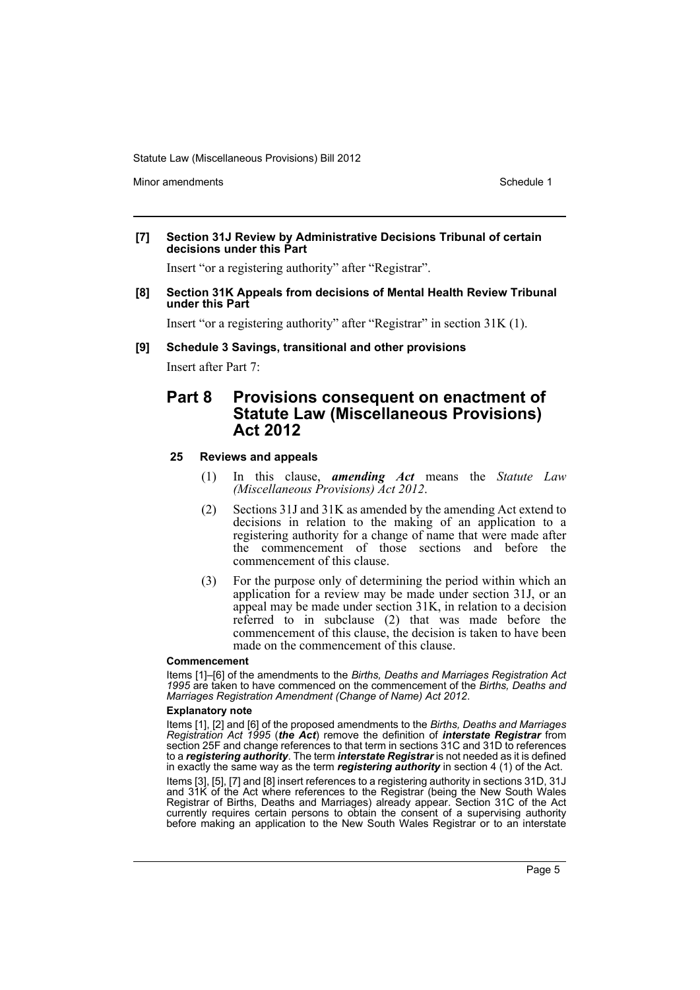Minor amendments **Schedule 1** and the state of the state 1 and the state of the Schedule 1

**[7] Section 31J Review by Administrative Decisions Tribunal of certain decisions under this Part**

Insert "or a registering authority" after "Registrar".

**[8] Section 31K Appeals from decisions of Mental Health Review Tribunal under this Part**

Insert "or a registering authority" after "Registrar" in section 31K (1).

**[9] Schedule 3 Savings, transitional and other provisions**

Insert after Part 7:

# **Part 8 Provisions consequent on enactment of Statute Law (Miscellaneous Provisions) Act 2012**

# **25 Reviews and appeals**

- (1) In this clause, *amending Act* means the *Statute Law (Miscellaneous Provisions) Act 2012*.
- (2) Sections 31J and 31K as amended by the amending Act extend to decisions in relation to the making of an application to a registering authority for a change of name that were made after the commencement of those sections and before the commencement of this clause.
- (3) For the purpose only of determining the period within which an application for a review may be made under section 31J, or an appeal may be made under section 31K, in relation to a decision referred to in subclause (2) that was made before the commencement of this clause, the decision is taken to have been made on the commencement of this clause.

#### **Commencement**

Items [1]–[6] of the amendments to the *Births, Deaths and Marriages Registration Act 1995* are taken to have commenced on the commencement of the *Births, Deaths and Marriages Registration Amendment (Change of Name) Act 2012*.

#### **Explanatory note**

Items [1], [2] and [6] of the proposed amendments to the *Births, Deaths and Marriages Registration Act 1995* (*the Act*) remove the definition of *interstate Registrar* from section 25F and change references to that term in sections 31C and 31D to references to a *registering authority*. The term *interstate Registrar* is not needed as it is defined in exactly the same way as the term *registering authority* in section 4 (1) of the Act.

Items [3], [5], [7] and [8] insert references to a registering authority in sections 31D, 31J and 31K of the Act where references to the Registrar (being the New South Wales Registrar of Births, Deaths and Marriages) already appear. Section 31C of the Act currently requires certain persons to obtain the consent of a supervising authority before making an application to the New South Wales Registrar or to an interstate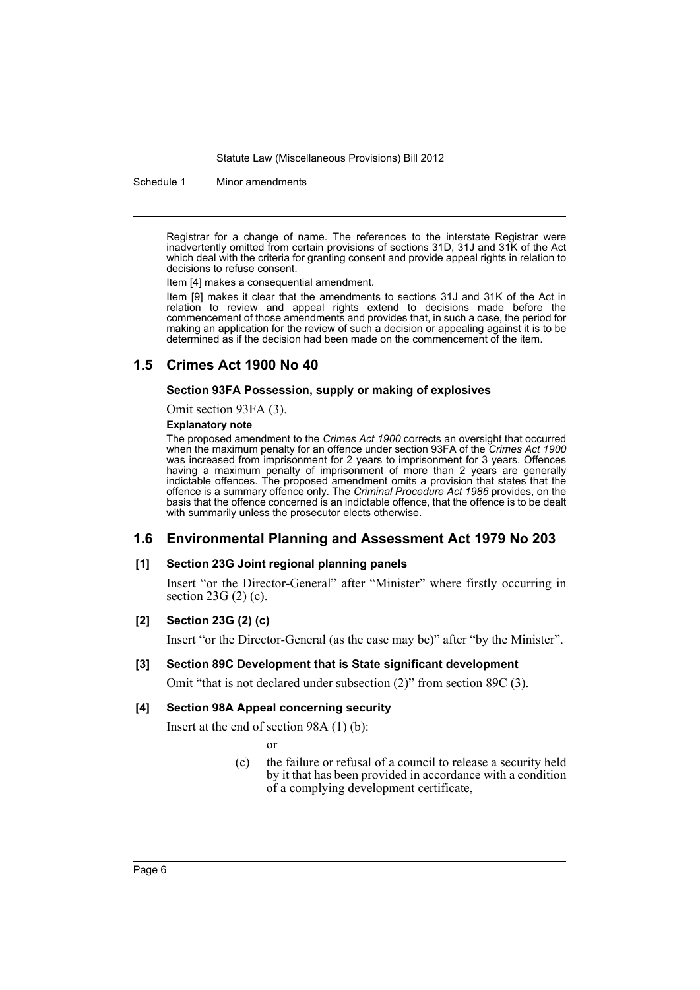Schedule 1 Minor amendments

Registrar for a change of name. The references to the interstate Registrar were inadvertently omitted from certain provisions of sections 31D, 31J and 31K of the Act which deal with the criteria for granting consent and provide appeal rights in relation to decisions to refuse consent.

Item [4] makes a consequential amendment.

Item [9] makes it clear that the amendments to sections 31J and 31K of the Act in relation to review and appeal rights extend to decisions made before the commencement of those amendments and provides that, in such a case, the period for making an application for the review of such a decision or appealing against it is to be determined as if the decision had been made on the commencement of the item.

# **1.5 Crimes Act 1900 No 40**

### **Section 93FA Possession, supply or making of explosives**

Omit section 93FA (3).

#### **Explanatory note**

The proposed amendment to the *Crimes Act 1900* corrects an oversight that occurred when the maximum penalty for an offence under section 93FA of the *Crimes Act 1900* was increased from imprisonment for 2 years to imprisonment for 3 years. Offences having a maximum penalty of imprisonment of more than 2 years are generally indictable offences. The proposed amendment omits a provision that states that the offence is a summary offence only. The *Criminal Procedure Act 1986* provides, on the basis that the offence concerned is an indictable offence, that the offence is to be dealt with summarily unless the prosecutor elects otherwise.

# **1.6 Environmental Planning and Assessment Act 1979 No 203**

#### **[1] Section 23G Joint regional planning panels**

Insert "or the Director-General" after "Minister" where firstly occurring in section 23G (2) (c).

#### **[2] Section 23G (2) (c)**

Insert "or the Director-General (as the case may be)" after "by the Minister".

#### **[3] Section 89C Development that is State significant development**

Omit "that is not declared under subsection (2)" from section 89C (3).

#### **[4] Section 98A Appeal concerning security**

Insert at the end of section 98A (1) (b):

or

(c) the failure or refusal of a council to release a security held by it that has been provided in accordance with a condition of a complying development certificate,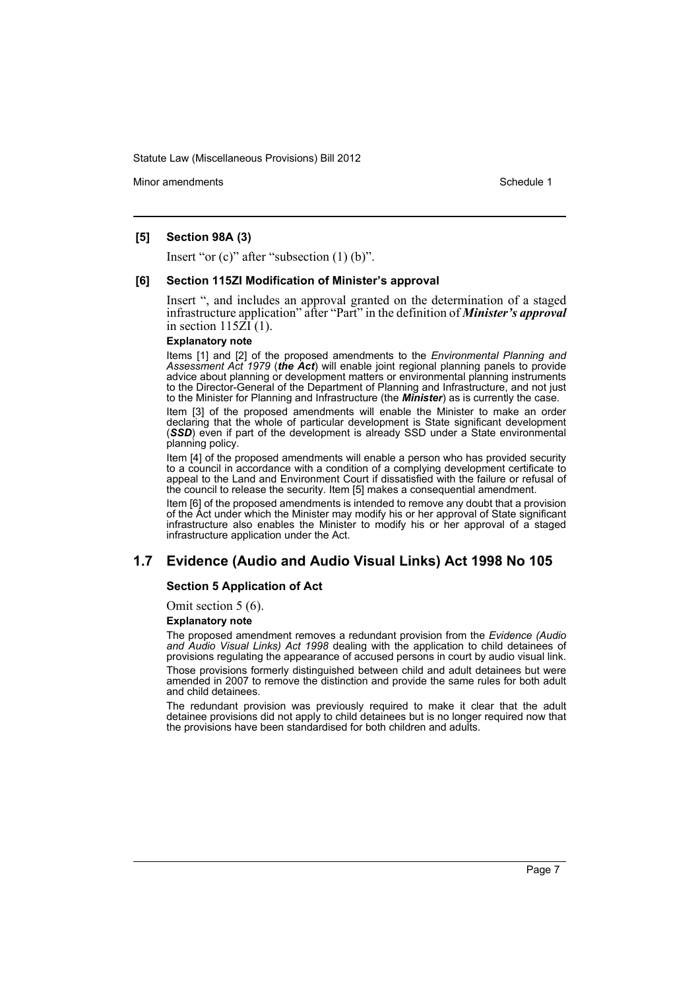Minor amendments **Schedule 1** and the state of the state 1 and the state of the Schedule 1

### **[5] Section 98A (3)**

Insert "or (c)" after "subsection (1) (b)".

#### **[6] Section 115ZI Modification of Minister's approval**

Insert ", and includes an approval granted on the determination of a staged infrastructure application" after "Part" in the definition of *Minister's approval* in section  $115\overline{Z}I(1)$ .

#### **Explanatory note**

Items [1] and [2] of the proposed amendments to the *Environmental Planning and Assessment Act 1979* (*the Act*) will enable joint regional planning panels to provide advice about planning or development matters or environmental planning instruments to the Director-General of the Department of Planning and Infrastructure, and not just to the Minister for Planning and Infrastructure (the *Minister*) as is currently the case.

Item [3] of the proposed amendments will enable the Minister to make an order declaring that the whole of particular development is State significant development (*SSD*) even if part of the development is already SSD under a State environmental planning policy.

Item [4] of the proposed amendments will enable a person who has provided security to a council in accordance with a condition of a complying development certificate to appeal to the Land and Environment Court if dissatisfied with the failure or refusal of the council to release the security. Item [5] makes a consequential amendment.

Item [6] of the proposed amendments is intended to remove any doubt that a provision of the Act under which the Minister may modify his or her approval of State significant infrastructure also enables the Minister to modify his or her approval of a staged infrastructure application under the Act.

# **1.7 Evidence (Audio and Audio Visual Links) Act 1998 No 105**

#### **Section 5 Application of Act**

Omit section 5 (6).

#### **Explanatory note**

The proposed amendment removes a redundant provision from the *Evidence (Audio and Audio Visual Links) Act 1998* dealing with the application to child detainees of provisions regulating the appearance of accused persons in court by audio visual link.

Those provisions formerly distinguished between child and adult detainees but were amended in 2007 to remove the distinction and provide the same rules for both adult and child detainees.

The redundant provision was previously required to make it clear that the adult detainee provisions did not apply to child detainees but is no longer required now that the provisions have been standardised for both children and adults.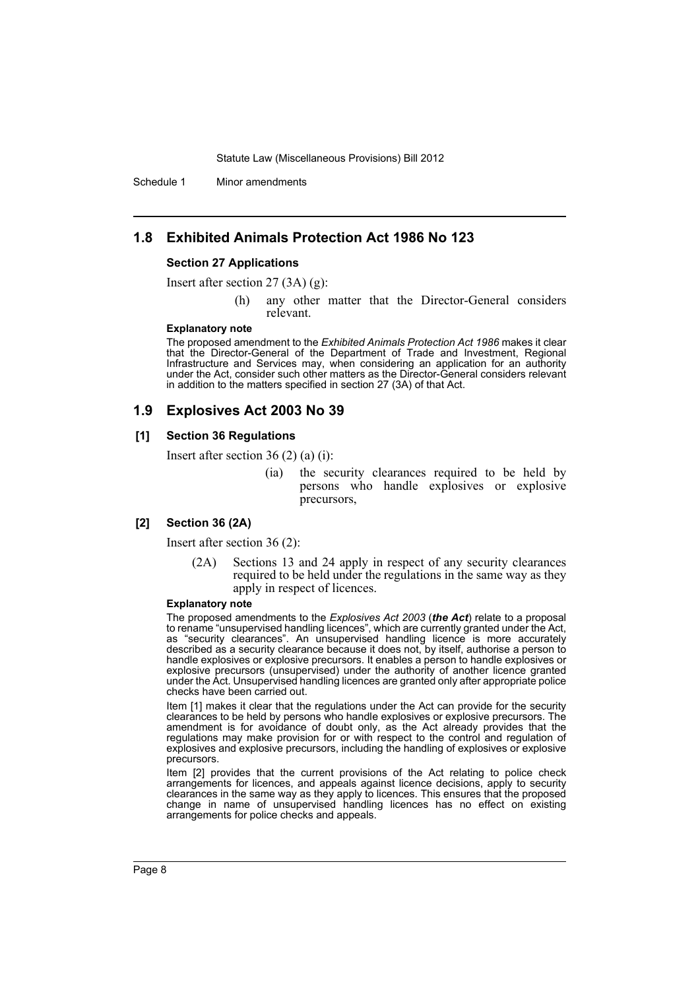Schedule 1 Minor amendments

# **1.8 Exhibited Animals Protection Act 1986 No 123**

#### **Section 27 Applications**

Insert after section 27 (3A) (g):

(h) any other matter that the Director-General considers relevant.

#### **Explanatory note**

The proposed amendment to the *Exhibited Animals Protection Act 1986* makes it clear that the Director-General of the Department of Trade and Investment, Regional Infrastructure and Services may, when considering an application for an authority under the Act, consider such other matters as the Director-General considers relevant in addition to the matters specified in section 27 (3A) of that Act.

# **1.9 Explosives Act 2003 No 39**

#### **[1] Section 36 Regulations**

Insert after section 36 (2) (a) (i):

(ia) the security clearances required to be held by persons who handle explosives or explosive precursors,

#### **[2] Section 36 (2A)**

Insert after section 36 (2):

(2A) Sections 13 and 24 apply in respect of any security clearances required to be held under the regulations in the same way as they apply in respect of licences.

#### **Explanatory note**

The proposed amendments to the *Explosives Act 2003* (*the Act*) relate to a proposal to rename "unsupervised handling licences", which are currently granted under the Act, as "security clearances". An unsupervised handling licence is more accurately described as a security clearance because it does not, by itself, authorise a person to handle explosives or explosive precursors. It enables a person to handle explosives or explosive precursors (unsupervised) under the authority of another licence granted under the Act. Unsupervised handling licences are granted only after appropriate police checks have been carried out.

Item [1] makes it clear that the regulations under the Act can provide for the security clearances to be held by persons who handle explosives or explosive precursors. The amendment is for avoidance of doubt only, as the Act already provides that the regulations may make provision for or with respect to the control and regulation of explosives and explosive precursors, including the handling of explosives or explosive precursors.

Item [2] provides that the current provisions of the Act relating to police check arrangements for licences, and appeals against licence decisions, apply to security clearances in the same way as they apply to licences. This ensures that the proposed change in name of unsupervised handling licences has no effect on existing arrangements for police checks and appeals.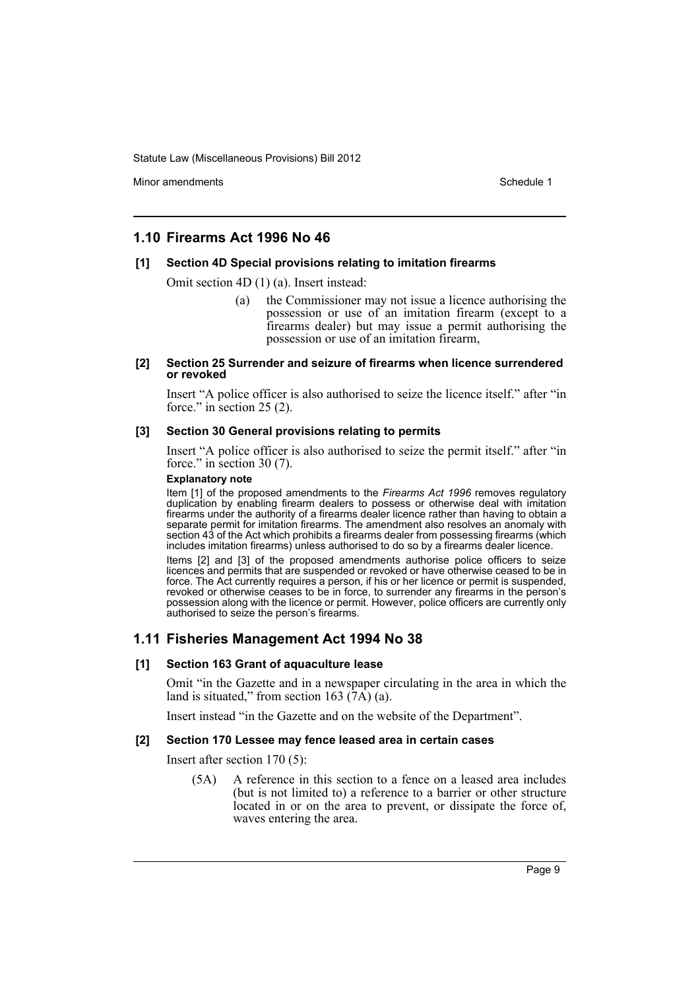Minor amendments **Schedule 1** and the state of the state 1 and the state of the Schedule 1

# **1.10 Firearms Act 1996 No 46**

### **[1] Section 4D Special provisions relating to imitation firearms**

Omit section 4D (1) (a). Insert instead:

(a) the Commissioner may not issue a licence authorising the possession or use of an imitation firearm (except to a firearms dealer) but may issue a permit authorising the possession or use of an imitation firearm,

#### **[2] Section 25 Surrender and seizure of firearms when licence surrendered or revoked**

Insert "A police officer is also authorised to seize the licence itself." after "in force." in section 25 (2).

### **[3] Section 30 General provisions relating to permits**

Insert "A police officer is also authorised to seize the permit itself." after "in force." in section 30 (7).

#### **Explanatory note**

Item [1] of the proposed amendments to the *Firearms Act 1996* removes regulatory duplication by enabling firearm dealers to possess or otherwise deal with imitation firearms under the authority of a firearms dealer licence rather than having to obtain a separate permit for imitation firearms. The amendment also resolves an anomaly with section 43 of the Act which prohibits a firearms dealer from possessing firearms (which includes imitation firearms) unless authorised to do so by a firearms dealer licence.

Items [2] and [3] of the proposed amendments authorise police officers to seize licences and permits that are suspended or revoked or have otherwise ceased to be in force. The Act currently requires a person, if his or her licence or permit is suspended, revoked or otherwise ceases to be in force, to surrender any firearms in the person's possession along with the licence or permit. However, police officers are currently only authorised to seize the person's firearms.

# **1.11 Fisheries Management Act 1994 No 38**

#### **[1] Section 163 Grant of aquaculture lease**

Omit "in the Gazette and in a newspaper circulating in the area in which the land is situated," from section 163  $(\overline{7A})$  (a).

Insert instead "in the Gazette and on the website of the Department".

#### **[2] Section 170 Lessee may fence leased area in certain cases**

Insert after section 170 (5):

(5A) A reference in this section to a fence on a leased area includes (but is not limited to) a reference to a barrier or other structure located in or on the area to prevent, or dissipate the force of, waves entering the area.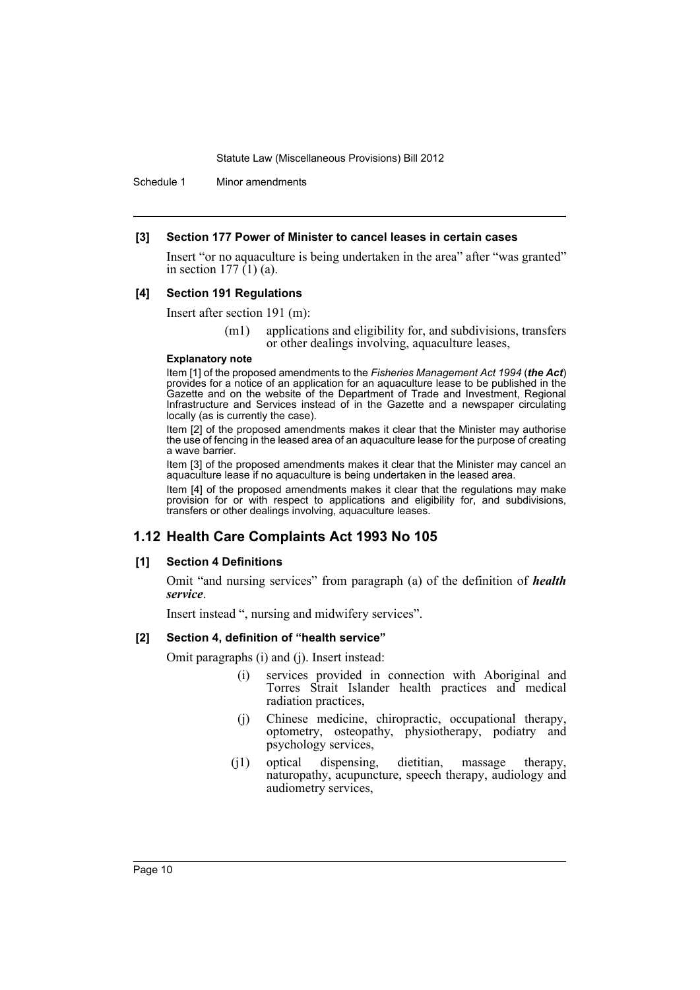Schedule 1 Minor amendments

#### **[3] Section 177 Power of Minister to cancel leases in certain cases**

Insert "or no aquaculture is being undertaken in the area" after "was granted" in section 177 $(1)$  (a).

#### **[4] Section 191 Regulations**

Insert after section 191 (m):

(m1) applications and eligibility for, and subdivisions, transfers or other dealings involving, aquaculture leases,

#### **Explanatory note**

Item [1] of the proposed amendments to the *Fisheries Management Act 1994* (*the Act*) provides for a notice of an application for an aquaculture lease to be published in the Gazette and on the website of the Department of Trade and Investment, Regional Infrastructure and Services instead of in the Gazette and a newspaper circulating locally (as is currently the case).

Item [2] of the proposed amendments makes it clear that the Minister may authorise the use of fencing in the leased area of an aquaculture lease for the purpose of creating a wave barrier.

Item [3] of the proposed amendments makes it clear that the Minister may cancel an aquaculture lease if no aquaculture is being undertaken in the leased area.

Item [4] of the proposed amendments makes it clear that the regulations may make provision for or with respect to applications and eligibility for, and subdivisions, transfers or other dealings involving, aquaculture leases.

# **1.12 Health Care Complaints Act 1993 No 105**

#### **[1] Section 4 Definitions**

Omit "and nursing services" from paragraph (a) of the definition of *health service*.

Insert instead ", nursing and midwifery services".

### **[2] Section 4, definition of "health service"**

Omit paragraphs (i) and (j). Insert instead:

- (i) services provided in connection with Aboriginal and Torres Strait Islander health practices and medical radiation practices,
- (j) Chinese medicine, chiropractic, occupational therapy, optometry, osteopathy, physiotherapy, podiatry and psychology services,
- (j1) optical dispensing, dietitian, massage therapy, naturopathy, acupuncture, speech therapy, audiology and audiometry services,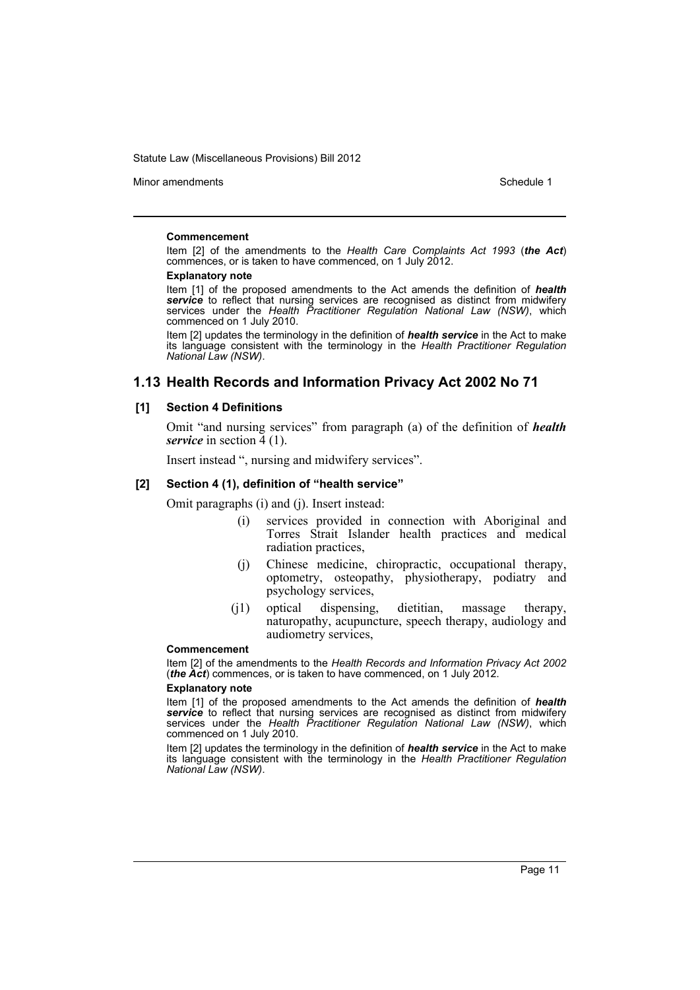Minor amendments **Schedule 1** and the state of the state 1 and the state of the Schedule 1

#### **Commencement**

Item [2] of the amendments to the *Health Care Complaints Act 1993* (*the Act*) commences, or is taken to have commenced, on 1 July 2012.

#### **Explanatory note**

Item [1] of the proposed amendments to the Act amends the definition of *health service* to reflect that nursing services are recognised as distinct from midwifery services under the *Health Practitioner Regulation National Law (NSW)*, which commenced on 1 July 2010.

Item [2] updates the terminology in the definition of *health service* in the Act to make its language consistent with the terminology in the *Health Practitioner Regulation National Law (NSW)*.

# **1.13 Health Records and Information Privacy Act 2002 No 71**

#### **[1] Section 4 Definitions**

Omit "and nursing services" from paragraph (a) of the definition of *health service* in section 4 (1).

Insert instead ", nursing and midwifery services".

### **[2] Section 4 (1), definition of "health service"**

Omit paragraphs (i) and (j). Insert instead:

- (i) services provided in connection with Aboriginal and Torres Strait Islander health practices and medical radiation practices,
- (j) Chinese medicine, chiropractic, occupational therapy, optometry, osteopathy, physiotherapy, podiatry and psychology services,
- (j1) optical dispensing, dietitian, massage therapy, naturopathy, acupuncture, speech therapy, audiology and audiometry services,

#### **Commencement**

Item [2] of the amendments to the *Health Records and Information Privacy Act 2002* (*the Act*) commences, or is taken to have commenced, on 1 July 2012.

#### **Explanatory note**

Item [1] of the proposed amendments to the Act amends the definition of *health service* to reflect that nursing services are recognised as distinct from midwifery services under the *Health Practitioner Regulation National Law (NSW)*, which commenced on 1 July 2010.

Item [2] updates the terminology in the definition of *health service* in the Act to make its language consistent with the terminology in the *Health Practitioner Regulation National Law (NSW)*.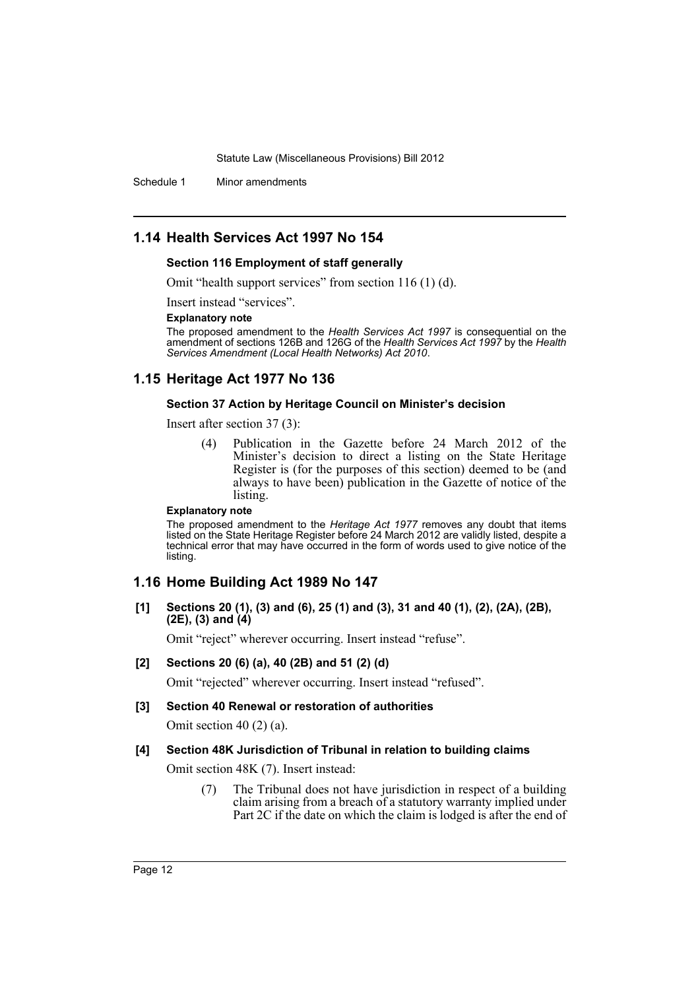Schedule 1 Minor amendments

# **1.14 Health Services Act 1997 No 154**

#### **Section 116 Employment of staff generally**

Omit "health support services" from section 116 (1) (d).

Insert instead "services".

#### **Explanatory note**

The proposed amendment to the *Health Services Act 1997* is consequential on the amendment of sections 126B and 126G of the *Health Services Act 1997* by the *Health Services Amendment (Local Health Networks) Act 2010*.

# **1.15 Heritage Act 1977 No 136**

#### **Section 37 Action by Heritage Council on Minister's decision**

Insert after section 37 (3):

(4) Publication in the Gazette before 24 March 2012 of the Minister's decision to direct a listing on the State Heritage Register is (for the purposes of this section) deemed to be (and always to have been) publication in the Gazette of notice of the listing.

#### **Explanatory note**

The proposed amendment to the *Heritage Act 1977* removes any doubt that items listed on the State Heritage Register before 24 March 2012 are validly listed, despite a technical error that may have occurred in the form of words used to give notice of the listing.

# **1.16 Home Building Act 1989 No 147**

**[1] Sections 20 (1), (3) and (6), 25 (1) and (3), 31 and 40 (1), (2), (2A), (2B), (2E), (3) and (4)**

Omit "reject" wherever occurring. Insert instead "refuse".

**[2] Sections 20 (6) (a), 40 (2B) and 51 (2) (d)**

Omit "rejected" wherever occurring. Insert instead "refused".

#### **[3] Section 40 Renewal or restoration of authorities**

Omit section 40 (2) (a).

#### **[4] Section 48K Jurisdiction of Tribunal in relation to building claims**

Omit section 48K (7). Insert instead:

(7) The Tribunal does not have jurisdiction in respect of a building claim arising from a breach of a statutory warranty implied under Part 2C if the date on which the claim is lodged is after the end of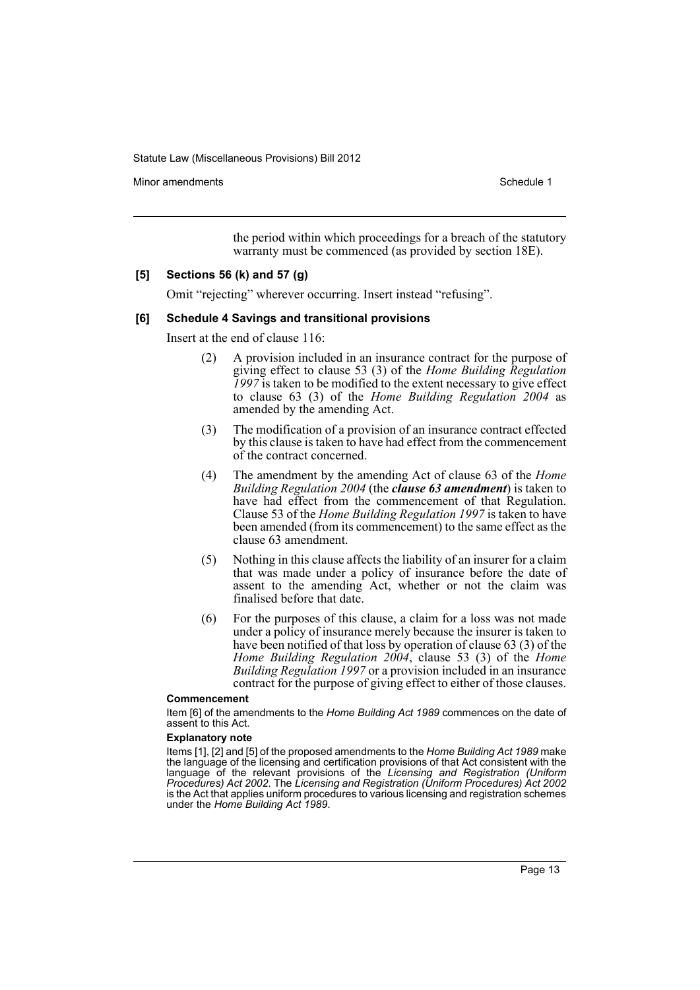Minor amendments **Schedule 1** and the state of the state 1 and the state of the Schedule 1

the period within which proceedings for a breach of the statutory warranty must be commenced (as provided by section 18E).

#### **[5] Sections 56 (k) and 57 (g)**

Omit "rejecting" wherever occurring. Insert instead "refusing".

#### **[6] Schedule 4 Savings and transitional provisions**

Insert at the end of clause 116:

- (2) A provision included in an insurance contract for the purpose of giving effect to clause 53 (3) of the *Home Building Regulation 1997* is taken to be modified to the extent necessary to give effect to clause 63 (3) of the *Home Building Regulation 2004* as amended by the amending Act.
- (3) The modification of a provision of an insurance contract effected by this clause is taken to have had effect from the commencement of the contract concerned.
- (4) The amendment by the amending Act of clause 63 of the *Home Building Regulation 2004* (the *clause 63 amendment*) is taken to have had effect from the commencement of that Regulation. Clause 53 of the *Home Building Regulation 1997* is taken to have been amended (from its commencement) to the same effect as the clause 63 amendment.
- (5) Nothing in this clause affects the liability of an insurer for a claim that was made under a policy of insurance before the date of assent to the amending Act, whether or not the claim was finalised before that date.
- (6) For the purposes of this clause, a claim for a loss was not made under a policy of insurance merely because the insurer is taken to have been notified of that loss by operation of clause 63 (3) of the *Home Building Regulation 2004*, clause 53 (3) of the *Home Building Regulation 1997* or a provision included in an insurance contract for the purpose of giving effect to either of those clauses.

#### **Commencement**

Item [6] of the amendments to the *Home Building Act 1989* commences on the date of assent to this Act.

#### **Explanatory note**

Items [1], [2] and [5] of the proposed amendments to the *Home Building Act 1989* make the language of the licensing and certification provisions of that Act consistent with the language of the relevant provisions of the *Licensing and Registration (Uniform Procedures) Act 2002*. The *Licensing and Registration (Uniform Procedures) Act 2002* is the Act that applies uniform procedures to various licensing and registration schemes under the *Home Building Act 1989*.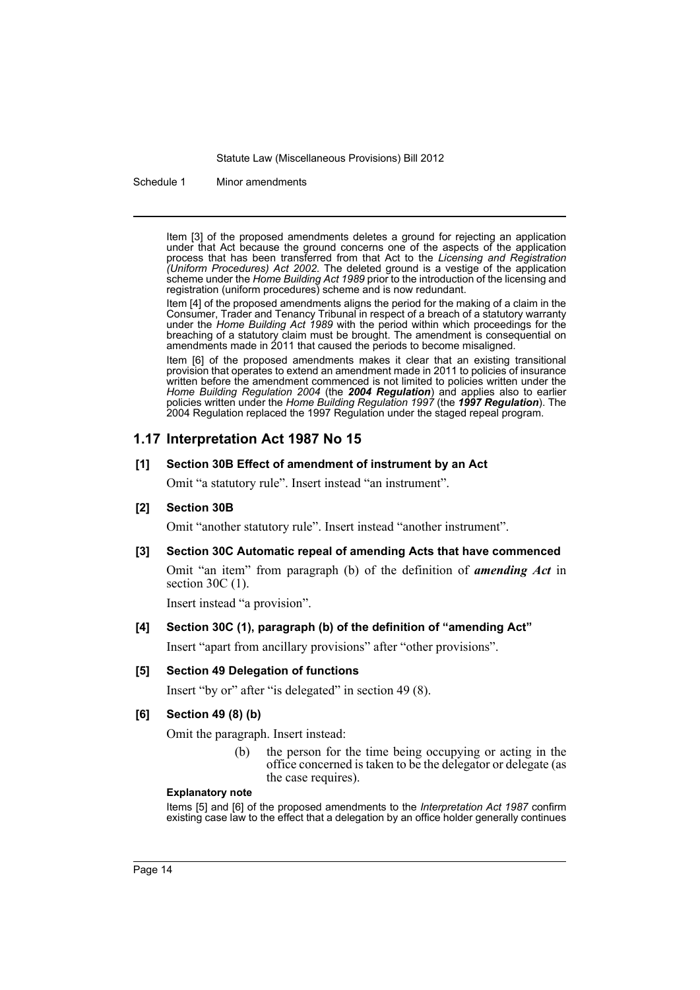Schedule 1 Minor amendments

Item [3] of the proposed amendments deletes a ground for rejecting an application under that Act because the ground concerns one of the aspects of the application process that has been transferred from that Act to the *Licensing and Registration (Uniform Procedures) Act 2002*. The deleted ground is a vestige of the application scheme under the *Home Building Act 1989* prior to the introduction of the licensing and registration (uniform procedures) scheme and is now redundant.

Item [4] of the proposed amendments aligns the period for the making of a claim in the Consumer, Trader and Tenancy Tribunal in respect of a breach of a statutory warranty under the *Home Building Act 1989* with the period within which proceedings for the breaching of a statutory claim must be brought. The amendment is consequential on amendments made in 2011 that caused the periods to become misaligned.

Item [6] of the proposed amendments makes it clear that an existing transitional provision that operates to extend an amendment made in 2011 to policies of insurance written before the amendment commenced is not limited to policies written under the *Home Building Regulation 2004* (the *2004 Regulation*) and applies also to earlier policies written under the *Home Building Regulation 1997* (the *1997 Regulation*). The 2004 Regulation replaced the 1997 Regulation under the staged repeal program.

# **1.17 Interpretation Act 1987 No 15**

### **[1] Section 30B Effect of amendment of instrument by an Act**

Omit "a statutory rule". Insert instead "an instrument".

# **[2] Section 30B**

Omit "another statutory rule". Insert instead "another instrument".

#### **[3] Section 30C Automatic repeal of amending Acts that have commenced**

Omit "an item" from paragraph (b) of the definition of *amending Act* in section 30C (1).

Insert instead "a provision".

# **[4] Section 30C (1), paragraph (b) of the definition of "amending Act"**

Insert "apart from ancillary provisions" after "other provisions".

#### **[5] Section 49 Delegation of functions**

Insert "by or" after "is delegated" in section 49 (8).

#### **[6] Section 49 (8) (b)**

Omit the paragraph. Insert instead:

(b) the person for the time being occupying or acting in the office concerned is taken to be the delegator or delegate (as the case requires).

#### **Explanatory note**

Items [5] and [6] of the proposed amendments to the *Interpretation Act 1987* confirm existing case law to the effect that a delegation by an office holder generally continues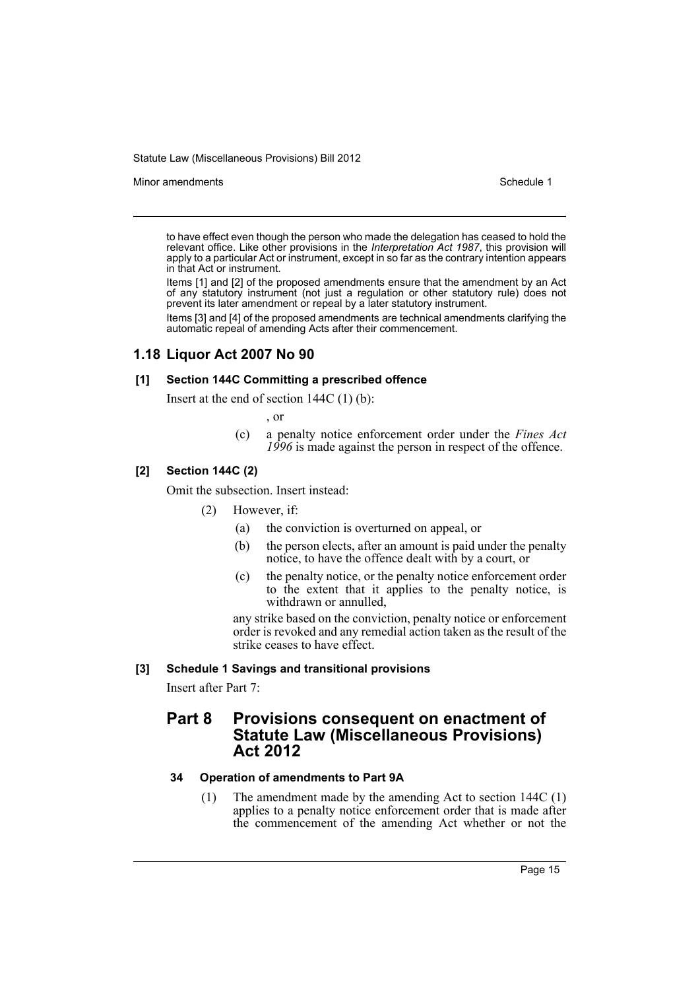Minor amendments **Schedule 1** and the state of the state 1 and the state of the Schedule 1

to have effect even though the person who made the delegation has ceased to hold the relevant office. Like other provisions in the *Interpretation Act 1987*, this provision will apply to a particular Act or instrument, except in so far as the contrary intention appears in that Act or instrument.

Items [1] and [2] of the proposed amendments ensure that the amendment by an Act of any statutory instrument (not just a regulation or other statutory rule) does not prevent its later amendment or repeal by a later statutory instrument.

Items [3] and [4] of the proposed amendments are technical amendments clarifying the automatic repeal of amending Acts after their commencement.

# **1.18 Liquor Act 2007 No 90**

#### **[1] Section 144C Committing a prescribed offence**

Insert at the end of section 144C (1) (b):

, or

(c) a penalty notice enforcement order under the *Fines Act 1996* is made against the person in respect of the offence.

### **[2] Section 144C (2)**

Omit the subsection. Insert instead:

- (2) However, if:
	- (a) the conviction is overturned on appeal, or
	- (b) the person elects, after an amount is paid under the penalty notice, to have the offence dealt with by a court, or
	- (c) the penalty notice, or the penalty notice enforcement order to the extent that it applies to the penalty notice, is withdrawn or annulled,

any strike based on the conviction, penalty notice or enforcement order is revoked and any remedial action taken as the result of the strike ceases to have effect.

#### **[3] Schedule 1 Savings and transitional provisions**

Insert after Part 7:

# **Part 8 Provisions consequent on enactment of Statute Law (Miscellaneous Provisions) Act 2012**

# **34 Operation of amendments to Part 9A**

(1) The amendment made by the amending Act to section 144C (1) applies to a penalty notice enforcement order that is made after the commencement of the amending Act whether or not the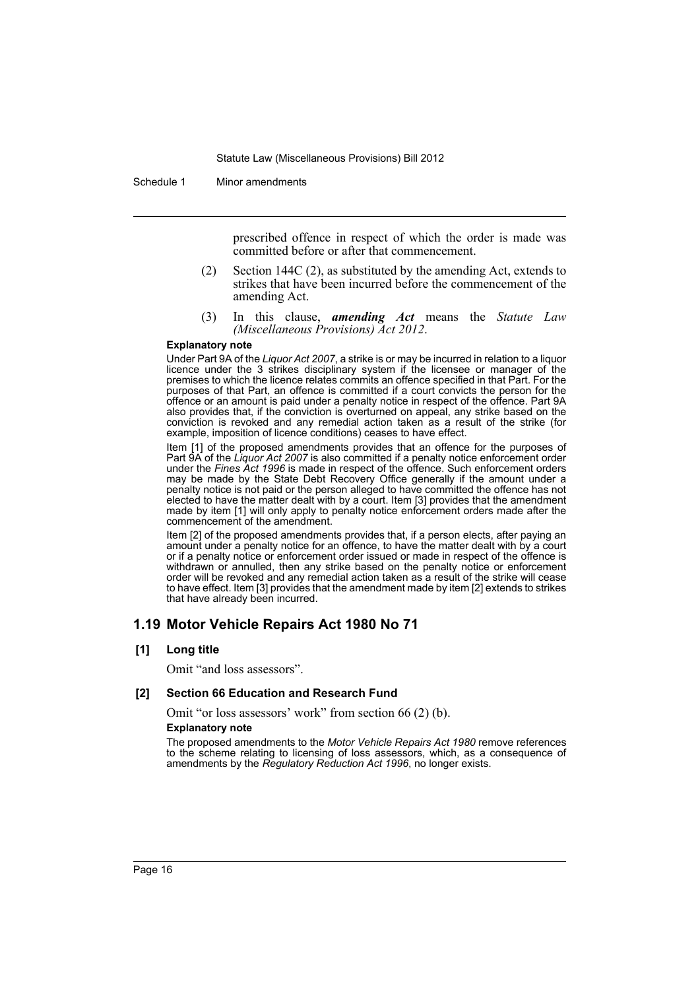Schedule 1 Minor amendments

prescribed offence in respect of which the order is made was committed before or after that commencement.

- (2) Section 144C (2), as substituted by the amending Act, extends to strikes that have been incurred before the commencement of the amending Act.
- (3) In this clause, *amending Act* means the *Statute Law (Miscellaneous Provisions) Act 2012*.

#### **Explanatory note**

Under Part 9A of the *Liquor Act 2007*, a strike is or may be incurred in relation to a liquor licence under the 3 strikes disciplinary system if the licensee or manager of the premises to which the licence relates commits an offence specified in that Part. For the purposes of that Part, an offence is committed if a court convicts the person for the offence or an amount is paid under a penalty notice in respect of the offence. Part 9A also provides that, if the conviction is overturned on appeal, any strike based on the conviction is revoked and any remedial action taken as a result of the strike (for example, imposition of licence conditions) ceases to have effect.

Item [1] of the proposed amendments provides that an offence for the purposes of Part 9A of the *Liquor Act 2007* is also committed if a penalty notice enforcement order under the *Fines Act 1996* is made in respect of the offence. Such enforcement orders may be made by the State Debt Recovery Office generally if the amount under a penalty notice is not paid or the person alleged to have committed the offence has not elected to have the matter dealt with by a court. Item [3] provides that the amendment made by item [1] will only apply to penalty notice enforcement orders made after the commencement of the amendment.

Item [2] of the proposed amendments provides that, if a person elects, after paying an amount under a penalty notice for an offence, to have the matter dealt with by a court or if a penalty notice or enforcement order issued or made in respect of the offence is withdrawn or annulled, then any strike based on the penalty notice or enforcement order will be revoked and any remedial action taken as a result of the strike will cease to have effect. Item [3] provides that the amendment made by item [2] extends to strikes that have already been incurred.

# **1.19 Motor Vehicle Repairs Act 1980 No 71**

### **[1] Long title**

Omit "and loss assessors".

#### **[2] Section 66 Education and Research Fund**

Omit "or loss assessors' work" from section 66 (2) (b).

#### **Explanatory note**

The proposed amendments to the *Motor Vehicle Repairs Act 1980* remove references to the scheme relating to licensing of loss assessors, which, as a consequence of amendments by the *Regulatory Reduction Act 1996*, no longer exists.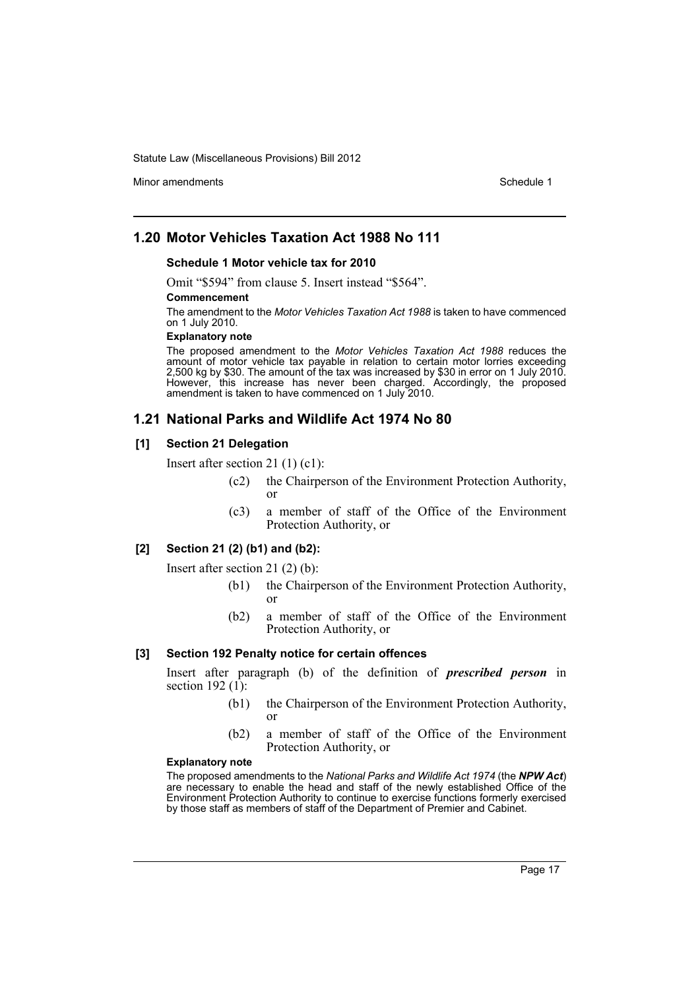Minor amendments **Schedule 1** and the state of the state 1 and the state of the Schedule 1

# **1.20 Motor Vehicles Taxation Act 1988 No 111**

### **Schedule 1 Motor vehicle tax for 2010**

Omit "\$594" from clause 5. Insert instead "\$564".

#### **Commencement**

The amendment to the *Motor Vehicles Taxation Act 1988* is taken to have commenced on 1 July 2010.

#### **Explanatory note**

The proposed amendment to the *Motor Vehicles Taxation Act 1988* reduces the amount of motor vehicle tax payable in relation to certain motor lorries exceeding 2,500 kg by \$30. The amount of the tax was increased by \$30 in error on 1 July 2010. However, this increase has never been charged. Accordingly, the proposed amendment is taken to have commenced on 1 July 2010.

### **1.21 National Parks and Wildlife Act 1974 No 80**

#### **[1] Section 21 Delegation**

Insert after section 21 (1) (c1):

- (c2) the Chairperson of the Environment Protection Authority, or
- (c3) a member of staff of the Office of the Environment Protection Authority, or

### **[2] Section 21 (2) (b1) and (b2):**

Insert after section 21 (2) (b):

- (b1) the Chairperson of the Environment Protection Authority, or
- (b2) a member of staff of the Office of the Environment Protection Authority, or

### **[3] Section 192 Penalty notice for certain offences**

Insert after paragraph (b) of the definition of *prescribed person* in section 192 $(1)$ :

- (b1) the Chairperson of the Environment Protection Authority, or
- (b2) a member of staff of the Office of the Environment Protection Authority, or

#### **Explanatory note**

The proposed amendments to the *National Parks and Wildlife Act 1974* (the *NPW Act*) are necessary to enable the head and staff of the newly established Office of the Environment Protection Authority to continue to exercise functions formerly exercised by those staff as members of staff of the Department of Premier and Cabinet.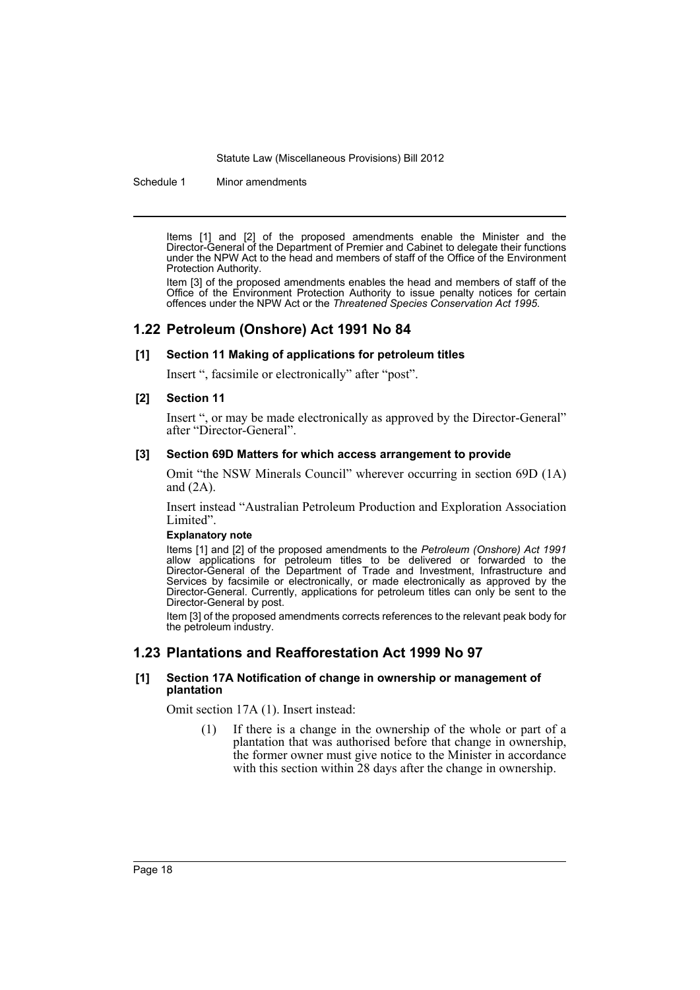Schedule 1 Minor amendments

Items [1] and [2] of the proposed amendments enable the Minister and the Director-General of the Department of Premier and Cabinet to delegate their functions under the NPW Act to the head and members of staff of the Office of the Environment Protection Authority.

Item [3] of the proposed amendments enables the head and members of staff of the Office of the Environment Protection Authority to issue penalty notices for certain offences under the NPW Act or the *Threatened Species Conservation Act 1995*.

# **1.22 Petroleum (Onshore) Act 1991 No 84**

#### **[1] Section 11 Making of applications for petroleum titles**

Insert ", facsimile or electronically" after "post".

#### **[2] Section 11**

Insert ", or may be made electronically as approved by the Director-General" after "Director-General".

#### **[3] Section 69D Matters for which access arrangement to provide**

Omit "the NSW Minerals Council" wherever occurring in section 69D (1A) and (2A).

Insert instead "Australian Petroleum Production and Exploration Association Limited".

#### **Explanatory note**

Items [1] and [2] of the proposed amendments to the *Petroleum (Onshore) Act 1991* allow applications for petroleum titles to be delivered or forwarded to the Director-General of the Department of Trade and Investment, Infrastructure and Services by facsimile or electronically, or made electronically as approved by the Director-General. Currently, applications for petroleum titles can only be sent to the Director-General by post.

Item [3] of the proposed amendments corrects references to the relevant peak body for the petroleum industry.

# **1.23 Plantations and Reafforestation Act 1999 No 97**

#### **[1] Section 17A Notification of change in ownership or management of plantation**

Omit section 17A (1). Insert instead:

(1) If there is a change in the ownership of the whole or part of a plantation that was authorised before that change in ownership, the former owner must give notice to the Minister in accordance with this section within 28 days after the change in ownership.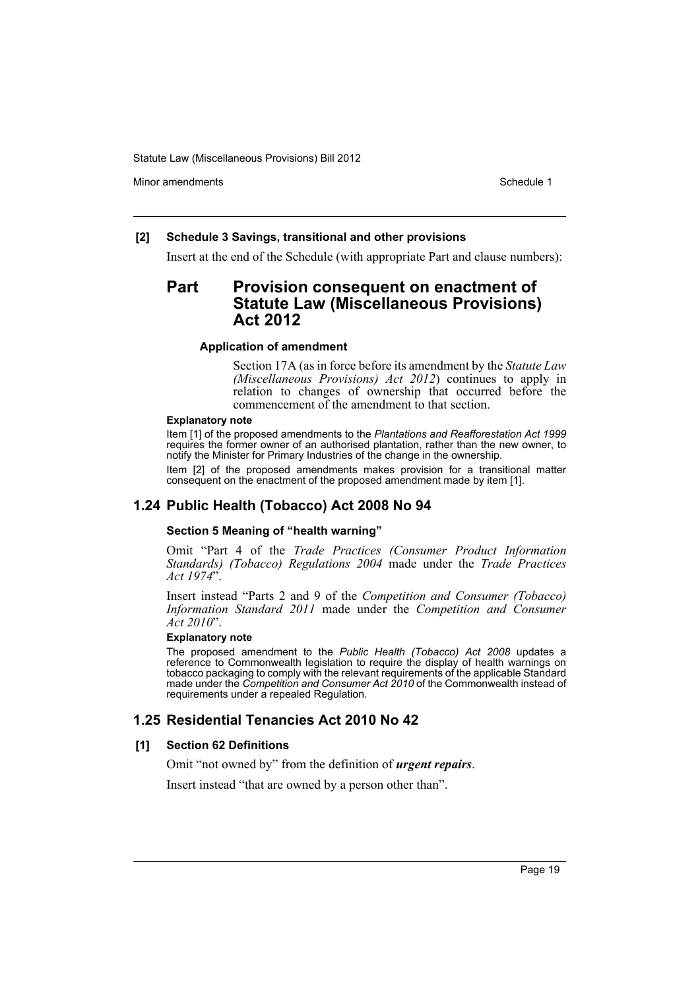Minor amendments **Schedule 1** and the state of the state 1 and the state of the Schedule 1

### **[2] Schedule 3 Savings, transitional and other provisions**

Insert at the end of the Schedule (with appropriate Part and clause numbers):

# **Part Provision consequent on enactment of Statute Law (Miscellaneous Provisions) Act 2012**

#### **Application of amendment**

Section 17A (as in force before its amendment by the *Statute Law (Miscellaneous Provisions) Act 2012*) continues to apply in relation to changes of ownership that occurred before the commencement of the amendment to that section.

#### **Explanatory note**

Item [1] of the proposed amendments to the *Plantations and Reafforestation Act 1999* requires the former owner of an authorised plantation, rather than the new owner, to notify the Minister for Primary Industries of the change in the ownership.

Item [2] of the proposed amendments makes provision for a transitional matter consequent on the enactment of the proposed amendment made by item [1].

# **1.24 Public Health (Tobacco) Act 2008 No 94**

#### **Section 5 Meaning of "health warning"**

Omit "Part 4 of the *Trade Practices (Consumer Product Information Standards) (Tobacco) Regulations 2004* made under the *Trade Practices Act 1974*".

Insert instead "Parts 2 and 9 of the *Competition and Consumer (Tobacco) Information Standard 2011* made under the *Competition and Consumer Act 2010*".

#### **Explanatory note**

The proposed amendment to the *Public Health (Tobacco) Act 2008* updates a reference to Commonwealth legislation to require the display of health warnings on tobacco packaging to comply with the relevant requirements of the applicable Standard made under the *Competition and Consumer Act 2010* of the Commonwealth instead of requirements under a repealed Regulation.

# **1.25 Residential Tenancies Act 2010 No 42**

#### **[1] Section 62 Definitions**

Omit "not owned by" from the definition of *urgent repairs*.

Insert instead "that are owned by a person other than".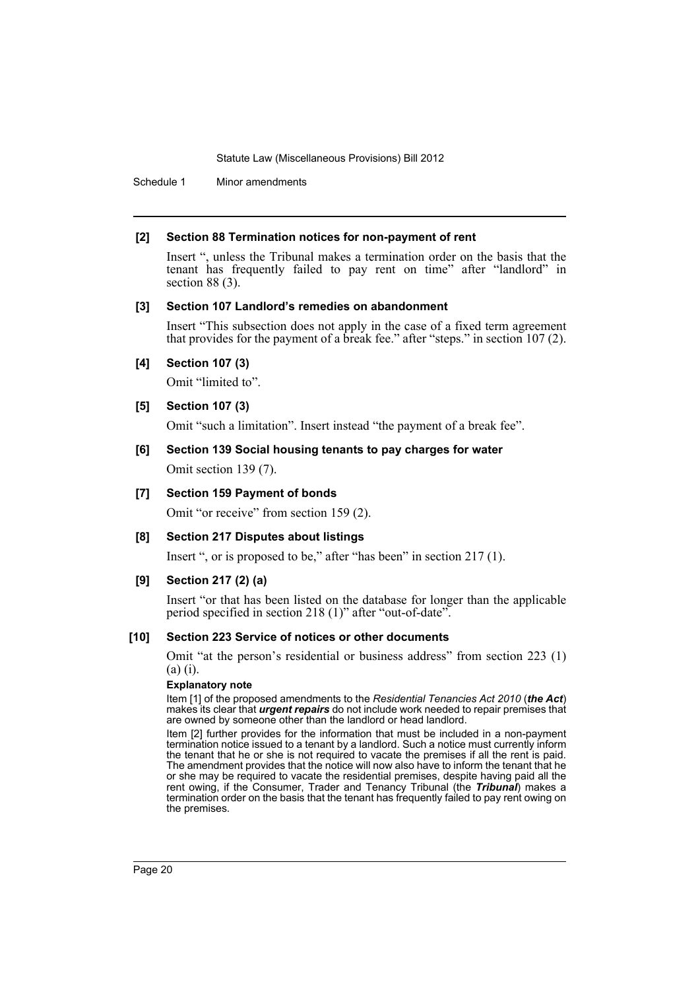Schedule 1 Minor amendments

#### **[2] Section 88 Termination notices for non-payment of rent**

Insert ", unless the Tribunal makes a termination order on the basis that the tenant has frequently failed to pay rent on time" after "landlord" in section 88 (3).

#### **[3] Section 107 Landlord's remedies on abandonment**

Insert "This subsection does not apply in the case of a fixed term agreement that provides for the payment of a break fee." after "steps." in section 107 (2).

### **[4] Section 107 (3)**

Omit "limited to".

#### **[5] Section 107 (3)**

Omit "such a limitation". Insert instead "the payment of a break fee".

### **[6] Section 139 Social housing tenants to pay charges for water**

Omit section 139 (7).

### **[7] Section 159 Payment of bonds**

Omit "or receive" from section 159 (2).

#### **[8] Section 217 Disputes about listings**

Insert ", or is proposed to be," after "has been" in section 217 (1).

#### **[9] Section 217 (2) (a)**

Insert "or that has been listed on the database for longer than the applicable period specified in section 218 (1)" after "out-of-date".

#### **[10] Section 223 Service of notices or other documents**

Omit "at the person's residential or business address" from section 223 (1) (a) (i).

#### **Explanatory note**

Item [1] of the proposed amendments to the *Residential Tenancies Act 2010* (*the Act*) makes its clear that *urgent repairs* do not include work needed to repair premises that are owned by someone other than the landlord or head landlord.

Item [2] further provides for the information that must be included in a non-payment termination notice issued to a tenant by a landlord. Such a notice must currently inform the tenant that he or she is not required to vacate the premises if all the rent is paid. The amendment provides that the notice will now also have to inform the tenant that he or she may be required to vacate the residential premises, despite having paid all the rent owing, if the Consumer, Trader and Tenancy Tribunal (the *Tribunal*) makes a termination order on the basis that the tenant has frequently failed to pay rent owing on the premises.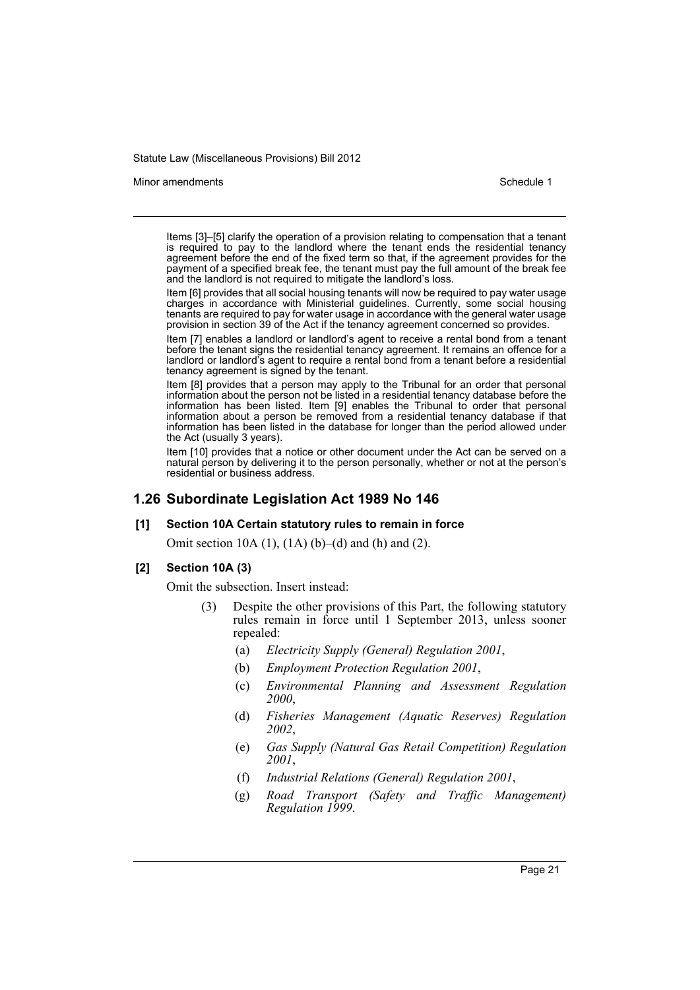#### Minor amendments **Schedule 1** and the state of the state 1 and the state of the Schedule 1

Items [3]–[5] clarify the operation of a provision relating to compensation that a tenant is required to pay to the landlord where the tenant ends the residential tenancy agreement before the end of the fixed term so that, if the agreement provides for the payment of a specified break fee, the tenant must pay the full amount of the break fee and the landlord is not required to mitigate the landlord's loss.

Item [6] provides that all social housing tenants will now be required to pay water usage charges in accordance with Ministerial guidelines. Currently, some social housing tenants are required to pay for water usage in accordance with the general water usage provision in section 39 of the Act if the tenancy agreement concerned so provides.

Item [7] enables a landlord or landlord's agent to receive a rental bond from a tenant before the tenant signs the residential tenancy agreement. It remains an offence for a landlord or landlord's agent to require a rental bond from a tenant before a residential tenancy agreement is signed by the tenant.

Item [8] provides that a person may apply to the Tribunal for an order that personal information about the person not be listed in a residential tenancy database before the information has been listed. Item [9] enables the Tribunal to order that personal information about a person be removed from a residential tenancy database if that information has been listed in the database for longer than the period allowed under the Act (usually 3 years).

Item [10] provides that a notice or other document under the Act can be served on a natural person by delivering it to the person personally, whether or not at the person's residential or business address.

# **1.26 Subordinate Legislation Act 1989 No 146**

### **[1] Section 10A Certain statutory rules to remain in force**

Omit section 10A (1), (1A) (b)–(d) and (h) and (2).

#### **[2] Section 10A (3)**

Omit the subsection. Insert instead:

- (3) Despite the other provisions of this Part, the following statutory rules remain in force until 1 September 2013, unless sooner repealed:
	- (a) *Electricity Supply (General) Regulation 2001*,
	- (b) *Employment Protection Regulation 2001*,
	- (c) *Environmental Planning and Assessment Regulation 2000*,
	- (d) *Fisheries Management (Aquatic Reserves) Regulation 2002*,
	- (e) *Gas Supply (Natural Gas Retail Competition) Regulation 2001*,
	- (f) *Industrial Relations (General) Regulation 2001*,
	- (g) *Road Transport (Safety and Traffic Management) Regulation 1999*.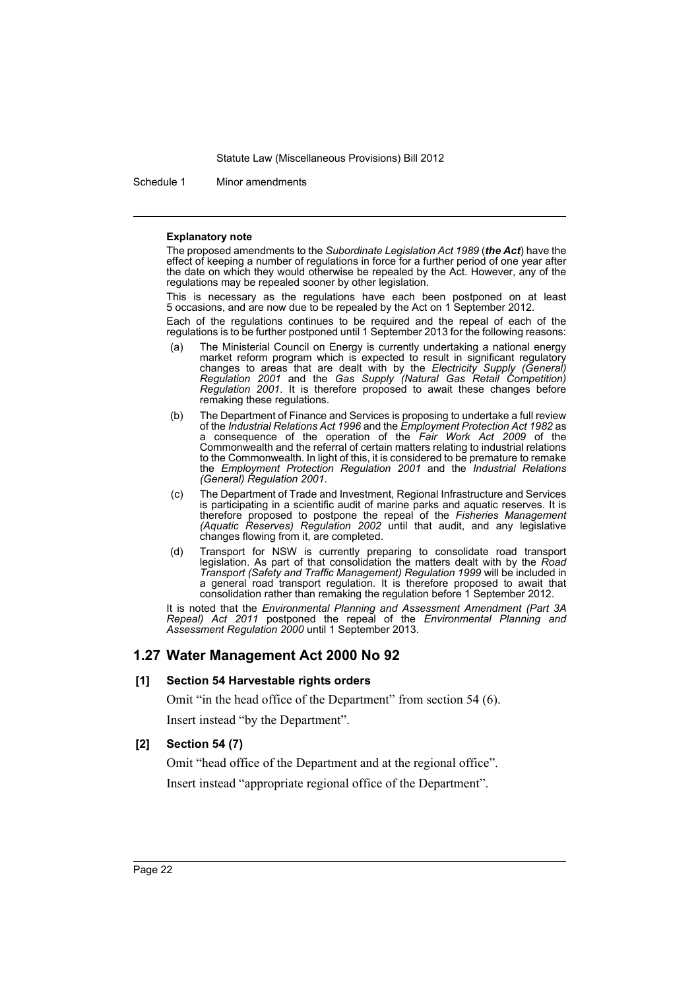Schedule 1 Minor amendments

#### **Explanatory note**

The proposed amendments to the *Subordinate Legislation Act 1989* (*the Act*) have the effect of keeping a number of regulations in force for a further period of one year after the date on which they would otherwise be repealed by the Act. However, any of the regulations may be repealed sooner by other legislation.

This is necessary as the regulations have each been postponed on at least 5 occasions, and are now due to be repealed by the Act on 1 September 2012.

Each of the regulations continues to be required and the repeal of each of the regulations is to be further postponed until 1 September 2013 for the following reasons:

- (a) The Ministerial Council on Energy is currently undertaking a national energy market reform program which is expected to result in significant regulatory changes to areas that are dealt with by the *Electricity Supply (General) Regulation 2001* and the *Gas Supply (Natural Gas Retail Competition) Regulation 2001*. It is therefore proposed to await these changes before remaking these regulations.
- (b) The Department of Finance and Services is proposing to undertake a full review of the *Industrial Relations Act 1996* and the *Employment Protection Act 1982* as a consequence of the operation of the *Fair Work Act 2009* of the Commonwealth and the referral of certain matters relating to industrial relations to the Commonwealth. In light of this, it is considered to be premature to remake the *Employment Protection Regulation 2001* and the *Industrial Relations (General) Regulation 2001*.
- (c) The Department of Trade and Investment, Regional Infrastructure and Services is participating in a scientific audit of marine parks and aquatic reserves. It is therefore proposed to postpone the repeal of the *Fisheries Management (Aquatic Reserves) Regulation 2002* until that audit, and any legislative changes flowing from it, are completed.
- (d) Transport for NSW is currently preparing to consolidate road transport legislation. As part of that consolidation the matters dealt with by the *Road Transport (Safety and Traffic Management) Regulation 1999* will be included in a general road transport regulation. It is therefore proposed to await that consolidation rather than remaking the regulation before 1 September 2012.

It is noted that the *Environmental Planning and Assessment Amendment (Part 3A Repeal) Act 2011* postponed the repeal of the *Environmental Planning and Assessment Regulation 2000* until 1 September 2013.

# **1.27 Water Management Act 2000 No 92**

### **[1] Section 54 Harvestable rights orders**

Omit "in the head office of the Department" from section 54 (6). Insert instead "by the Department".

### **[2] Section 54 (7)**

Omit "head office of the Department and at the regional office". Insert instead "appropriate regional office of the Department".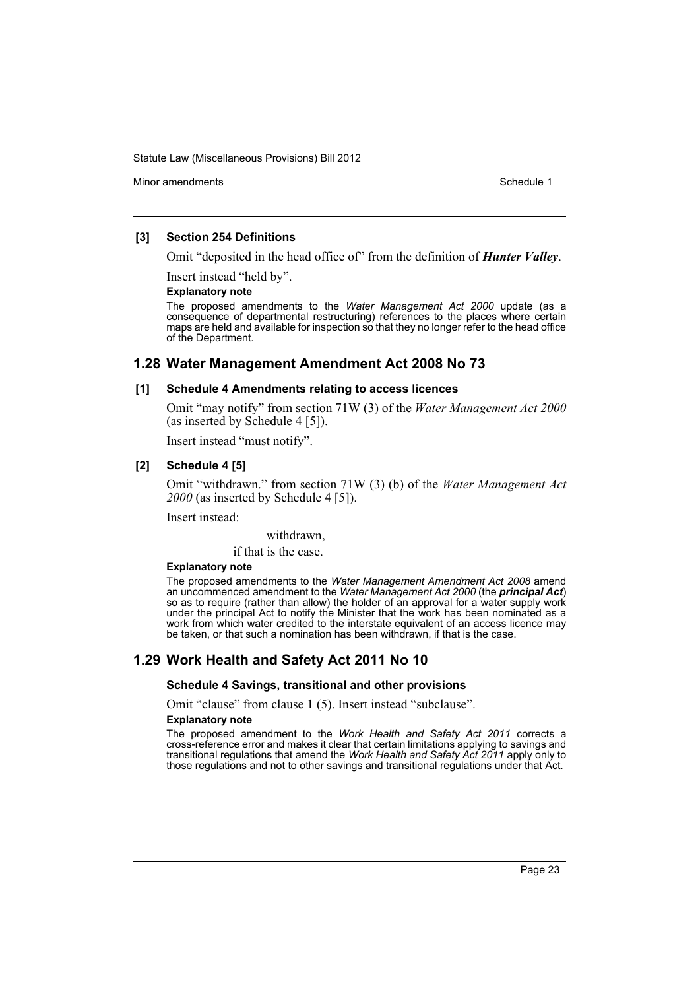Minor amendments **Schedule 1** and the state of the state 1 and the state of the Schedule 1

### **[3] Section 254 Definitions**

Omit "deposited in the head office of" from the definition of *Hunter Valley*.

Insert instead "held by".

#### **Explanatory note**

The proposed amendments to the *Water Management Act 2000* update (as a consequence of departmental restructuring) references to the places where certain maps are held and available for inspection so that they no longer refer to the head office of the Department.

# **1.28 Water Management Amendment Act 2008 No 73**

#### **[1] Schedule 4 Amendments relating to access licences**

Omit "may notify" from section 71W (3) of the *Water Management Act 2000* (as inserted by Schedule 4 [5]).

Insert instead "must notify".

### **[2] Schedule 4 [5]**

Omit "withdrawn." from section 71W (3) (b) of the *Water Management Act 2000* (as inserted by Schedule 4 [5]).

Insert instead:

withdrawn,

if that is the case.

#### **Explanatory note**

The proposed amendments to the *Water Management Amendment Act 2008* amend an uncommenced amendment to the *Water Management Act 2000* (the *principal Act*) so as to require (rather than allow) the holder of an approval for a water supply work under the principal Act to notify the Minister that the work has been nominated as a work from which water credited to the interstate equivalent of an access licence may be taken, or that such a nomination has been withdrawn, if that is the case.

# **1.29 Work Health and Safety Act 2011 No 10**

#### **Schedule 4 Savings, transitional and other provisions**

Omit "clause" from clause 1 (5). Insert instead "subclause".

#### **Explanatory note**

The proposed amendment to the *Work Health and Safety Act 2011* corrects a cross-reference error and makes it clear that certain limitations applying to savings and transitional regulations that amend the *Work Health and Safety Act 2011* apply only to those regulations and not to other savings and transitional regulations under that Act.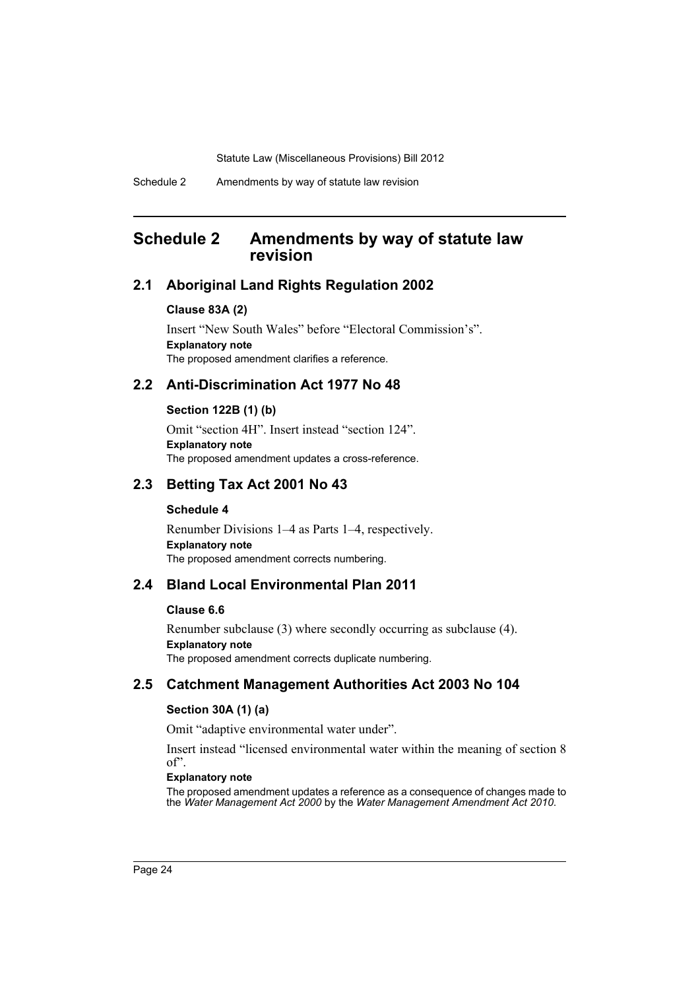# <span id="page-25-0"></span>**Schedule 2 Amendments by way of statute law revision**

# **2.1 Aboriginal Land Rights Regulation 2002**

#### **Clause 83A (2)**

Insert "New South Wales" before "Electoral Commission's". **Explanatory note** The proposed amendment clarifies a reference.

# **2.2 Anti-Discrimination Act 1977 No 48**

### **Section 122B (1) (b)**

Omit "section 4H". Insert instead "section 124". **Explanatory note** The proposed amendment updates a cross-reference.

# **2.3 Betting Tax Act 2001 No 43**

### **Schedule 4**

Renumber Divisions 1–4 as Parts 1–4, respectively. **Explanatory note** The proposed amendment corrects numbering.

# **2.4 Bland Local Environmental Plan 2011**

#### **Clause 6.6**

Renumber subclause (3) where secondly occurring as subclause (4). **Explanatory note** The proposed amendment corrects duplicate numbering.

# **2.5 Catchment Management Authorities Act 2003 No 104**

### **Section 30A (1) (a)**

Omit "adaptive environmental water under".

Insert instead "licensed environmental water within the meaning of section 8 of".

#### **Explanatory note**

The proposed amendment updates a reference as a consequence of changes made to the *Water Management Act 2000* by the *Water Management Amendment Act 2010*.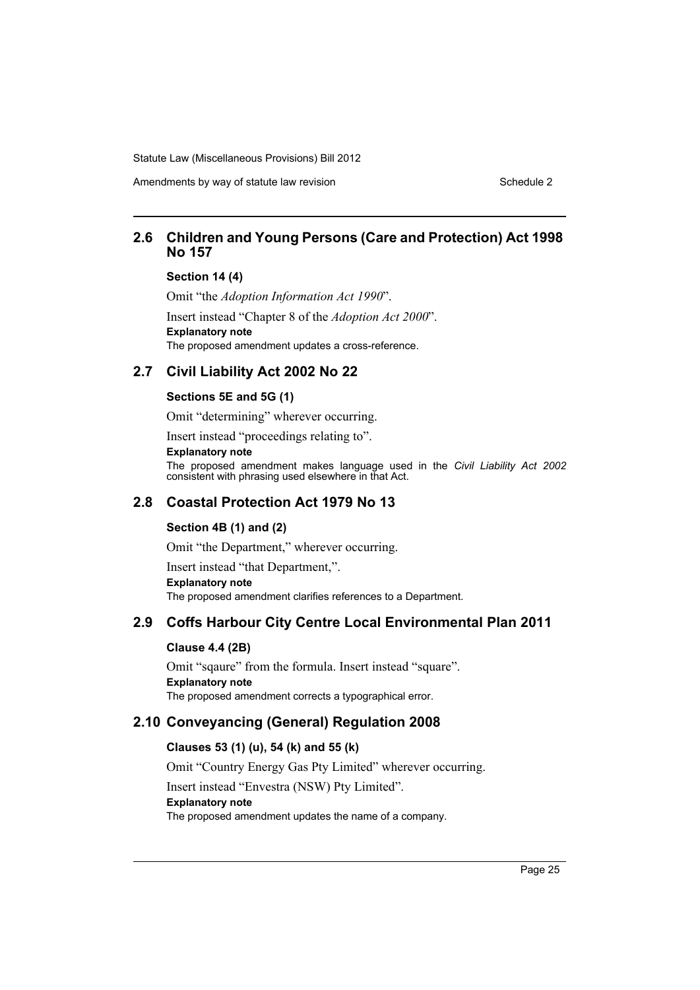Amendments by way of statute law revision Schedule 2 Schedule 2

# **2.6 Children and Young Persons (Care and Protection) Act 1998 No 157**

#### **Section 14 (4)**

Omit "the *Adoption Information Act 1990*". Insert instead "Chapter 8 of the *Adoption Act 2000*". **Explanatory note** The proposed amendment updates a cross-reference.

# **2.7 Civil Liability Act 2002 No 22**

# **Sections 5E and 5G (1)**

Omit "determining" wherever occurring.

Insert instead "proceedings relating to".

**Explanatory note**

The proposed amendment makes language used in the *Civil Liability Act 2002* consistent with phrasing used elsewhere in that Act.

# **2.8 Coastal Protection Act 1979 No 13**

# **Section 4B (1) and (2)**

Omit "the Department," wherever occurring.

Insert instead "that Department,".

**Explanatory note**

The proposed amendment clarifies references to a Department.

# **2.9 Coffs Harbour City Centre Local Environmental Plan 2011**

# **Clause 4.4 (2B)**

Omit "sqaure" from the formula. Insert instead "square". **Explanatory note** The proposed amendment corrects a typographical error.

# **2.10 Conveyancing (General) Regulation 2008**

# **Clauses 53 (1) (u), 54 (k) and 55 (k)**

Omit "Country Energy Gas Pty Limited" wherever occurring.

Insert instead "Envestra (NSW) Pty Limited".

#### **Explanatory note**

The proposed amendment updates the name of a company.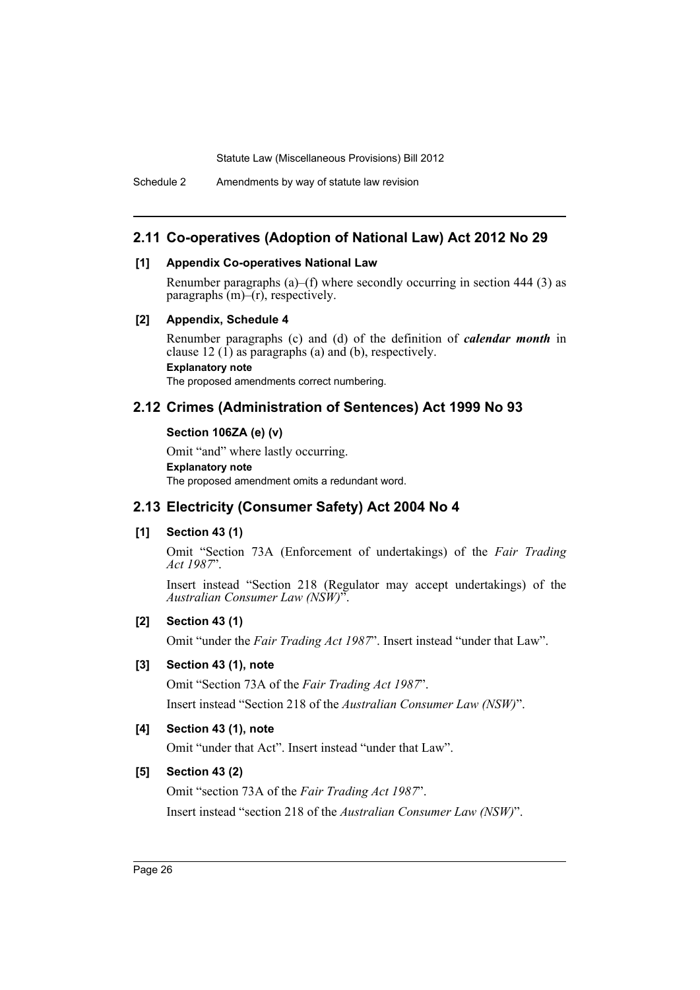# **2.11 Co-operatives (Adoption of National Law) Act 2012 No 29**

### **[1] Appendix Co-operatives National Law**

Renumber paragraphs (a)–(f) where secondly occurring in section 444 (3) as paragraphs  $(m)$ – $(r)$ , respectively.

#### **[2] Appendix, Schedule 4**

Renumber paragraphs (c) and (d) of the definition of *calendar month* in clause 12  $(1)$  as paragraphs (a) and (b), respectively. **Explanatory note** The proposed amendments correct numbering.

# **2.12 Crimes (Administration of Sentences) Act 1999 No 93**

### **Section 106ZA (e) (v)**

Omit "and" where lastly occurring. **Explanatory note** The proposed amendment omits a redundant word.

# **2.13 Electricity (Consumer Safety) Act 2004 No 4**

### **[1] Section 43 (1)**

Omit "Section 73A (Enforcement of undertakings) of the *Fair Trading Act 1987*".

Insert instead "Section 218 (Regulator may accept undertakings) of the *Australian Consumer Law (NSW)*".

### **[2] Section 43 (1)**

Omit "under the *Fair Trading Act 1987*". Insert instead "under that Law".

### **[3] Section 43 (1), note**

Omit "Section 73A of the *Fair Trading Act 1987*".

Insert instead "Section 218 of the *Australian Consumer Law (NSW)*".

# **[4] Section 43 (1), note**

Omit "under that Act". Insert instead "under that Law".

### **[5] Section 43 (2)**

Omit "section 73A of the *Fair Trading Act 1987*". Insert instead "section 218 of the *Australian Consumer Law (NSW)*".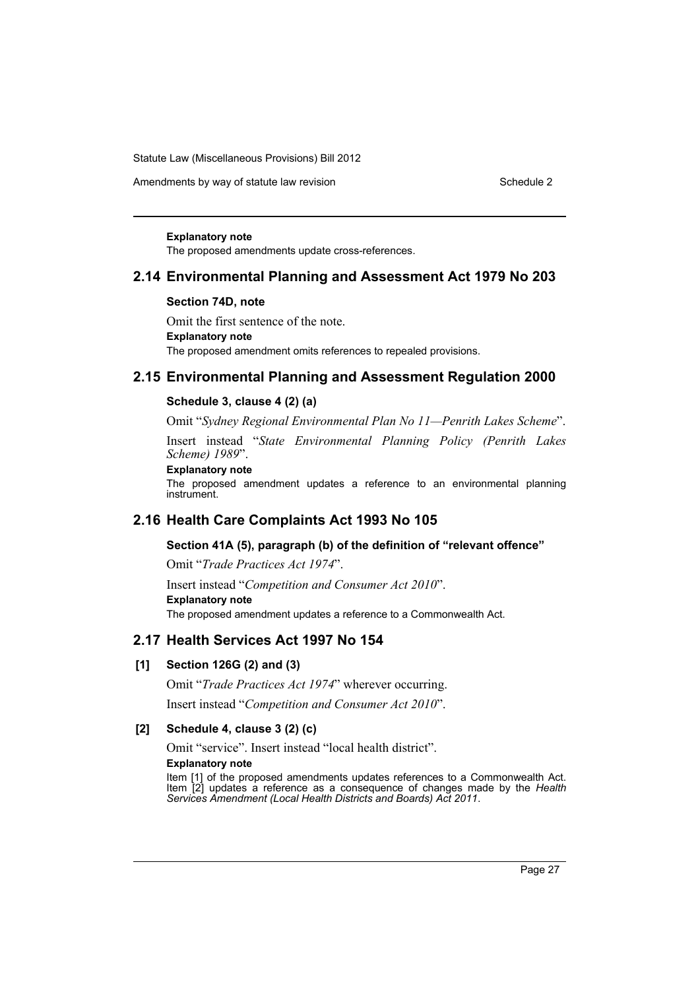Amendments by way of statute law revision Schedule 2 Schedule 2

#### **Explanatory note**

The proposed amendments update cross-references.

### **2.14 Environmental Planning and Assessment Act 1979 No 203**

#### **Section 74D, note**

Omit the first sentence of the note. **Explanatory note** The proposed amendment omits references to repealed provisions.

# **2.15 Environmental Planning and Assessment Regulation 2000**

#### **Schedule 3, clause 4 (2) (a)**

Omit "*Sydney Regional Environmental Plan No 11—Penrith Lakes Scheme*".

Insert instead "*State Environmental Planning Policy (Penrith Lakes Scheme) 1989*".

# **Explanatory note**

The proposed amendment updates a reference to an environmental planning instrument.

# **2.16 Health Care Complaints Act 1993 No 105**

#### **Section 41A (5), paragraph (b) of the definition of "relevant offence"**

Omit "*Trade Practices Act 1974*".

Insert instead "*Competition and Consumer Act 2010*". **Explanatory note** The proposed amendment updates a reference to a Commonwealth Act.

# **2.17 Health Services Act 1997 No 154**

### **[1] Section 126G (2) and (3)**

Omit "*Trade Practices Act 1974*" wherever occurring.

Insert instead "*Competition and Consumer Act 2010*".

### **[2] Schedule 4, clause 3 (2) (c)**

Omit "service". Insert instead "local health district".

#### **Explanatory note**

Item [1] of the proposed amendments updates references to a Commonwealth Act. Item [2] updates a reference as a consequence of changes made by the *Health Services Amendment (Local Health Districts and Boards) Act 2011*.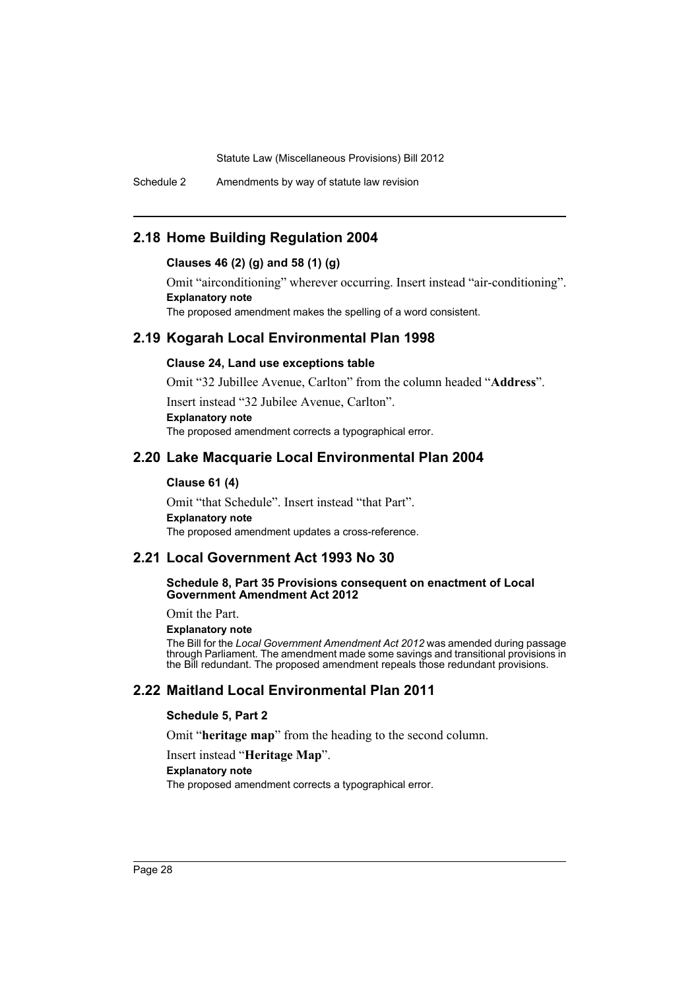Schedule 2 Amendments by way of statute law revision

# **2.18 Home Building Regulation 2004**

### **Clauses 46 (2) (g) and 58 (1) (g)**

Omit "airconditioning" wherever occurring. Insert instead "air-conditioning". **Explanatory note** The proposed amendment makes the spelling of a word consistent.

# **2.19 Kogarah Local Environmental Plan 1998**

#### **Clause 24, Land use exceptions table**

Omit "32 Jubillee Avenue, Carlton" from the column headed "**Address**".

Insert instead "32 Jubilee Avenue, Carlton".

### **Explanatory note**

The proposed amendment corrects a typographical error.

# **2.20 Lake Macquarie Local Environmental Plan 2004**

# **Clause 61 (4)**

Omit "that Schedule". Insert instead "that Part". **Explanatory note** The proposed amendment updates a cross-reference.

# **2.21 Local Government Act 1993 No 30**

#### **Schedule 8, Part 35 Provisions consequent on enactment of Local Government Amendment Act 2012**

Omit the Part.

#### **Explanatory note**

The Bill for the *Local Government Amendment Act 2012* was amended during passage through Parliament. The amendment made some savings and transitional provisions in the Bill redundant. The proposed amendment repeals those redundant provisions.

# **2.22 Maitland Local Environmental Plan 2011**

#### **Schedule 5, Part 2**

Omit "**heritage map**" from the heading to the second column.

Insert instead "**Heritage Map**".

### **Explanatory note**

The proposed amendment corrects a typographical error.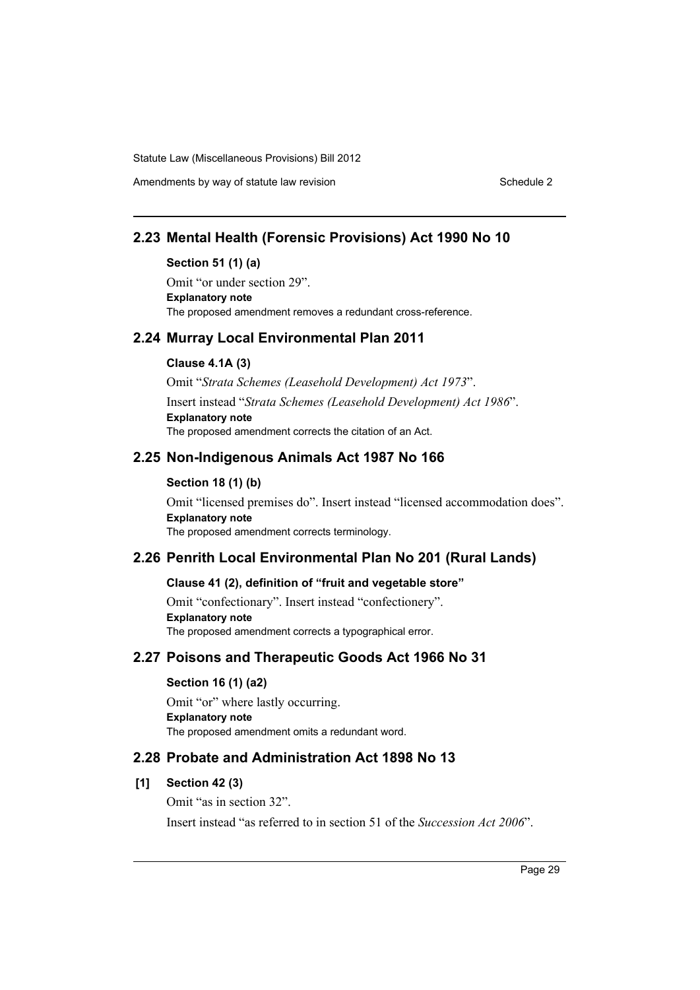Amendments by way of statute law revision Schedule 2 Schedule 2

# **2.23 Mental Health (Forensic Provisions) Act 1990 No 10**

### **Section 51 (1) (a)**

Omit "or under section 29". **Explanatory note** The proposed amendment removes a redundant cross-reference.

# **2.24 Murray Local Environmental Plan 2011**

### **Clause 4.1A (3)**

Omit "*Strata Schemes (Leasehold Development) Act 1973*". Insert instead "*Strata Schemes (Leasehold Development) Act 1986*". **Explanatory note** The proposed amendment corrects the citation of an Act.

# **2.25 Non-Indigenous Animals Act 1987 No 166**

### **Section 18 (1) (b)**

Omit "licensed premises do". Insert instead "licensed accommodation does". **Explanatory note** The proposed amendment corrects terminology.

# **2.26 Penrith Local Environmental Plan No 201 (Rural Lands)**

### **Clause 41 (2), definition of "fruit and vegetable store"**

Omit "confectionary". Insert instead "confectionery". **Explanatory note** The proposed amendment corrects a typographical error.

# **2.27 Poisons and Therapeutic Goods Act 1966 No 31**

#### **Section 16 (1) (a2)**

Omit "or" where lastly occurring. **Explanatory note** The proposed amendment omits a redundant word.

# **2.28 Probate and Administration Act 1898 No 13**

# **[1] Section 42 (3)**

Omit "as in section 32". Insert instead "as referred to in section 51 of the *Succession Act 2006*".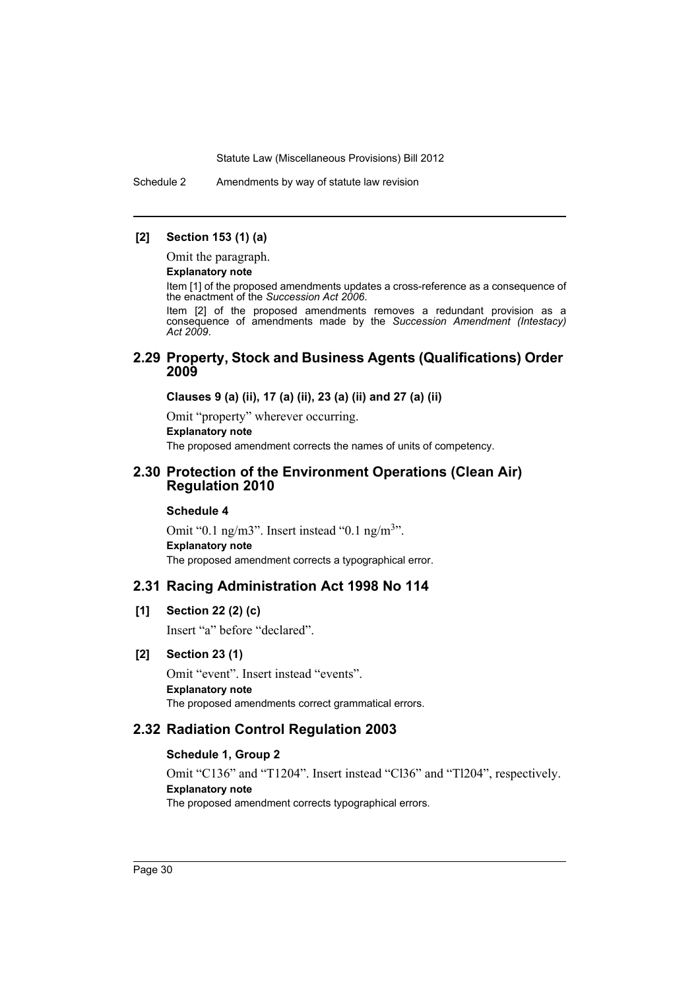Schedule 2 Amendments by way of statute law revision

### **[2] Section 153 (1) (a)**

Omit the paragraph.

### **Explanatory note**

Item [1] of the proposed amendments updates a cross-reference as a consequence of the enactment of the *Succession Act 2006*.

Item [2] of the proposed amendments removes a redundant provision as a consequence of amendments made by the *Succession Amendment (Intestacy) Act 2009*.

# **2.29 Property, Stock and Business Agents (Qualifications) Order 2009**

**Clauses 9 (a) (ii), 17 (a) (ii), 23 (a) (ii) and 27 (a) (ii)**

Omit "property" wherever occurring.

# **Explanatory note**

The proposed amendment corrects the names of units of competency.

# **2.30 Protection of the Environment Operations (Clean Air) Regulation 2010**

### **Schedule 4**

Omit "0.1 ng/m3". Insert instead "0.1 ng/m<sup>3</sup>". **Explanatory note** The proposed amendment corrects a typographical error.

# **2.31 Racing Administration Act 1998 No 114**

#### **[1] Section 22 (2) (c)**

Insert "a" before "declared".

# **[2] Section 23 (1)**

Omit "event". Insert instead "events". **Explanatory note** The proposed amendments correct grammatical errors.

# **2.32 Radiation Control Regulation 2003**

# **Schedule 1, Group 2**

Omit "C136" and "T1204". Insert instead "Cl36" and "Tl204", respectively. **Explanatory note** The proposed amendment corrects typographical errors.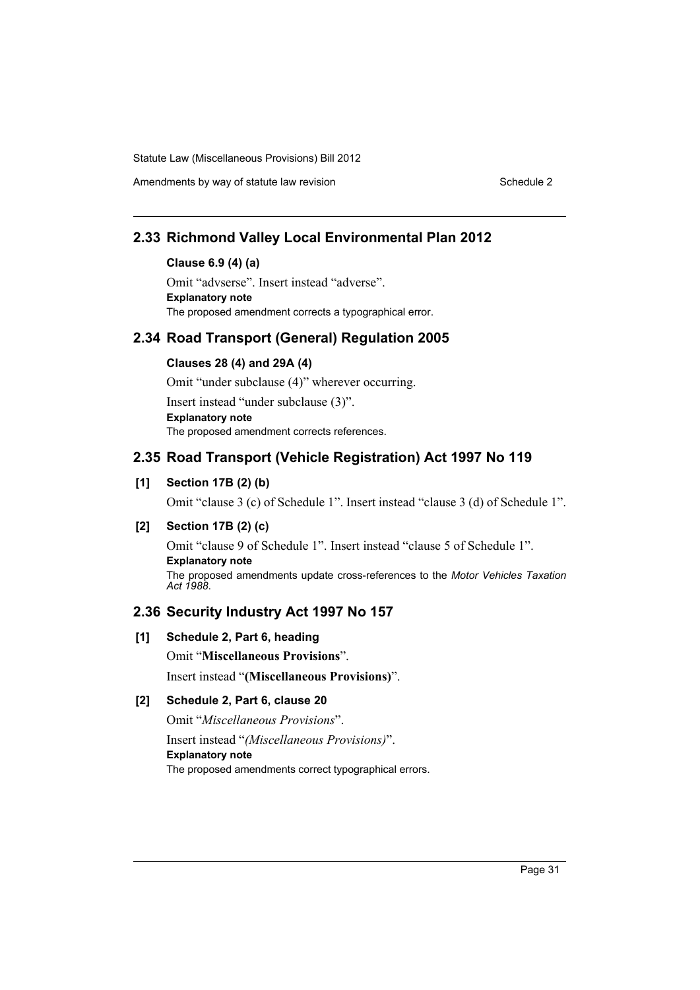Amendments by way of statute law revision Schedule 2 Schedule 2

# **2.33 Richmond Valley Local Environmental Plan 2012**

### **Clause 6.9 (4) (a)**

Omit "advserse". Insert instead "adverse". **Explanatory note** The proposed amendment corrects a typographical error.

# **2.34 Road Transport (General) Regulation 2005**

# **Clauses 28 (4) and 29A (4)**

Omit "under subclause (4)" wherever occurring.

Insert instead "under subclause (3)".

**Explanatory note**

The proposed amendment corrects references.

# **2.35 Road Transport (Vehicle Registration) Act 1997 No 119**

# **[1] Section 17B (2) (b)**

Omit "clause 3 (c) of Schedule 1". Insert instead "clause 3 (d) of Schedule 1".

# **[2] Section 17B (2) (c)**

Omit "clause 9 of Schedule 1". Insert instead "clause 5 of Schedule 1". **Explanatory note** The proposed amendments update cross-references to the *Motor Vehicles Taxation Act 1988*.

# **2.36 Security Industry Act 1997 No 157**

# **[1] Schedule 2, Part 6, heading**

Omit "**Miscellaneous Provisions**".

Insert instead "**(Miscellaneous Provisions)**".

# **[2] Schedule 2, Part 6, clause 20**

Omit "*Miscellaneous Provisions*".

Insert instead "*(Miscellaneous Provisions)*". **Explanatory note** The proposed amendments correct typographical errors.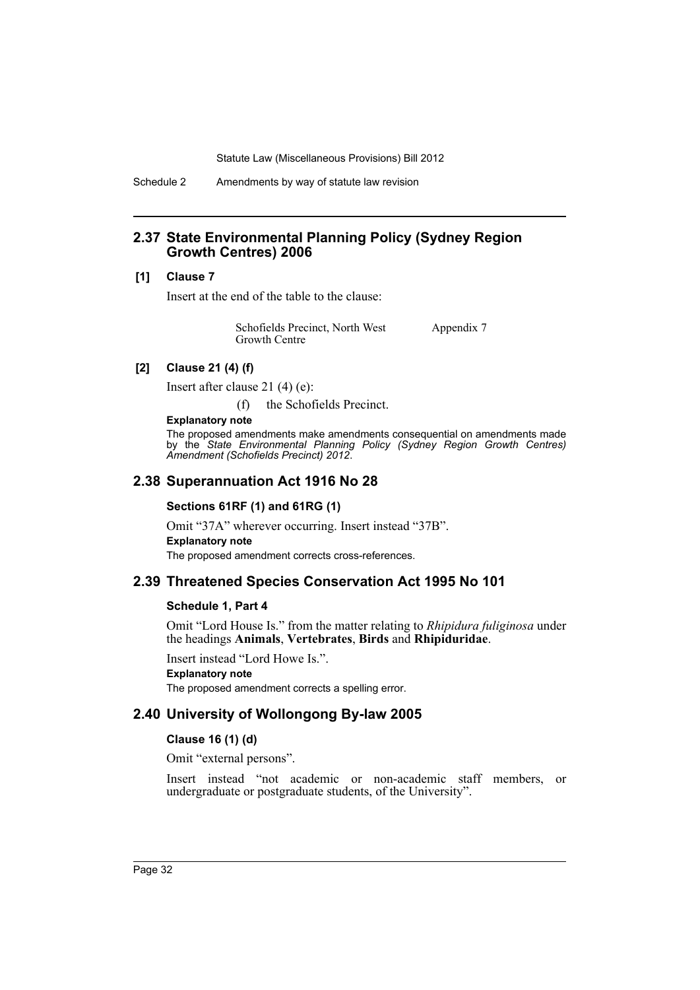Schedule 2 Amendments by way of statute law revision

# **2.37 State Environmental Planning Policy (Sydney Region Growth Centres) 2006**

#### **[1] Clause 7**

Insert at the end of the table to the clause:

| Schofields Precinct, North West | Appendix 7 |
|---------------------------------|------------|
| Growth Centre                   |            |

### **[2] Clause 21 (4) (f)**

Insert after clause 21 (4) (e):

(f) the Schofields Precinct.

### **Explanatory note**

The proposed amendments make amendments consequential on amendments made by the *State Environmental Planning Policy (Sydney Region Growth Centres) Amendment (Schofields Precinct) 2012*.

# **2.38 Superannuation Act 1916 No 28**

#### **Sections 61RF (1) and 61RG (1)**

Omit "37A" wherever occurring. Insert instead "37B". **Explanatory note** The proposed amendment corrects cross-references.

# **2.39 Threatened Species Conservation Act 1995 No 101**

#### **Schedule 1, Part 4**

Omit "Lord House Is." from the matter relating to *Rhipidura fuliginosa* under the headings **Animals**, **Vertebrates**, **Birds** and **Rhipiduridae**.

Insert instead "Lord Howe Is.".

### **Explanatory note**

The proposed amendment corrects a spelling error.

# **2.40 University of Wollongong By-law 2005**

#### **Clause 16 (1) (d)**

Omit "external persons".

Insert instead "not academic or non-academic staff members, or undergraduate or postgraduate students, of the University".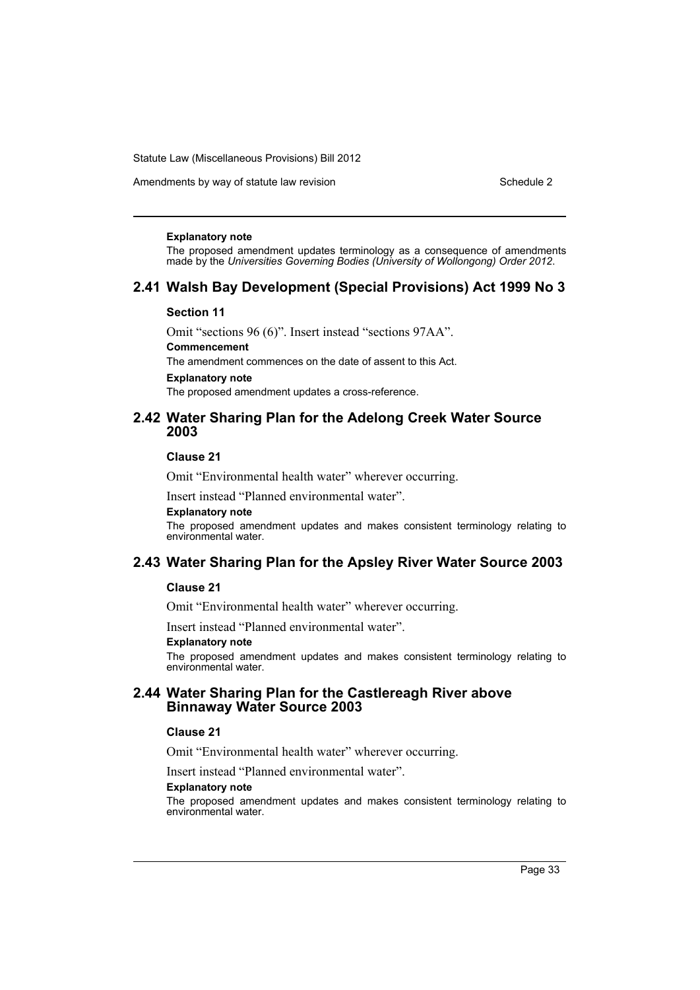Amendments by way of statute law revision Schedule 2 Schedule 2

#### **Explanatory note**

The proposed amendment updates terminology as a consequence of amendments made by the *Universities Governing Bodies (University of Wollongong) Order 2012*.

# **2.41 Walsh Bay Development (Special Provisions) Act 1999 No 3**

#### **Section 11**

Omit "sections 96 (6)". Insert instead "sections 97AA".

# **Commencement**

The amendment commences on the date of assent to this Act.

#### **Explanatory note**

The proposed amendment updates a cross-reference.

# **2.42 Water Sharing Plan for the Adelong Creek Water Source 2003**

### **Clause 21**

Omit "Environmental health water" wherever occurring.

Insert instead "Planned environmental water".

#### **Explanatory note**

The proposed amendment updates and makes consistent terminology relating to environmental water.

# **2.43 Water Sharing Plan for the Apsley River Water Source 2003**

#### **Clause 21**

Omit "Environmental health water" wherever occurring.

Insert instead "Planned environmental water".

#### **Explanatory note**

The proposed amendment updates and makes consistent terminology relating to environmental water.

# **2.44 Water Sharing Plan for the Castlereagh River above Binnaway Water Source 2003**

#### **Clause 21**

Omit "Environmental health water" wherever occurring.

Insert instead "Planned environmental water".

#### **Explanatory note**

The proposed amendment updates and makes consistent terminology relating to environmental water.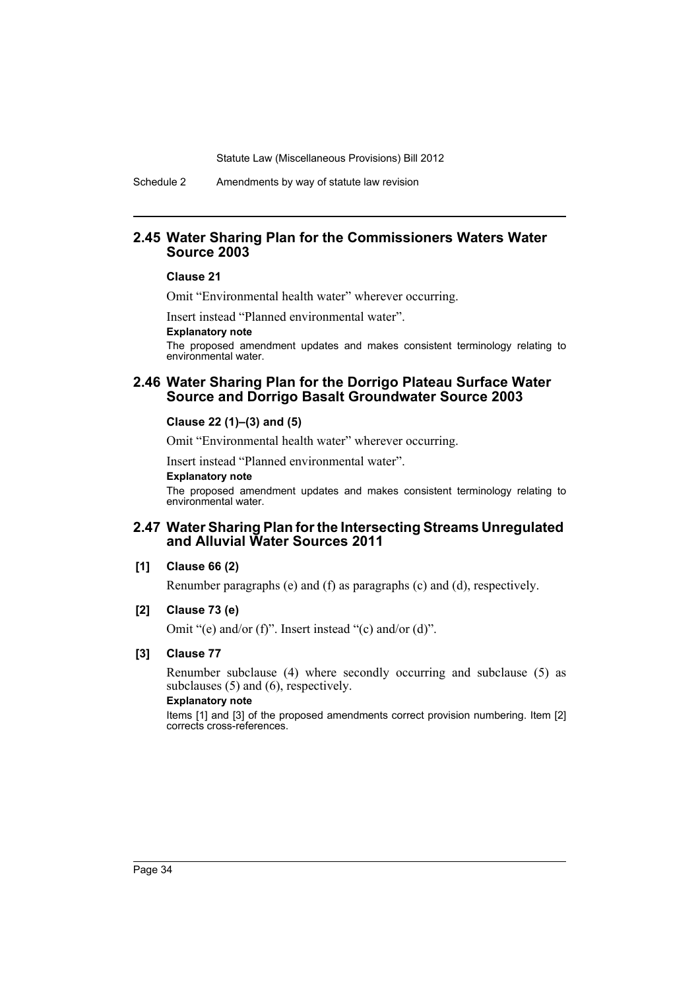Schedule 2 Amendments by way of statute law revision

# **2.45 Water Sharing Plan for the Commissioners Waters Water Source 2003**

#### **Clause 21**

Omit "Environmental health water" wherever occurring.

Insert instead "Planned environmental water".

#### **Explanatory note**

The proposed amendment updates and makes consistent terminology relating to environmental water.

# **2.46 Water Sharing Plan for the Dorrigo Plateau Surface Water Source and Dorrigo Basalt Groundwater Source 2003**

### **Clause 22 (1)–(3) and (5)**

Omit "Environmental health water" wherever occurring.

Insert instead "Planned environmental water".

#### **Explanatory note**

The proposed amendment updates and makes consistent terminology relating to environmental water.

# **2.47 Water Sharing Plan for the Intersecting Streams Unregulated and Alluvial Water Sources 2011**

#### **[1] Clause 66 (2)**

Renumber paragraphs (e) and (f) as paragraphs (c) and (d), respectively.

### **[2] Clause 73 (e)**

Omit "(e) and/or (f)". Insert instead "(c) and/or (d)".

### **[3] Clause 77**

Renumber subclause (4) where secondly occurring and subclause (5) as subclauses (5) and (6), respectively.

#### **Explanatory note**

Items [1] and [3] of the proposed amendments correct provision numbering. Item [2] corrects cross-references.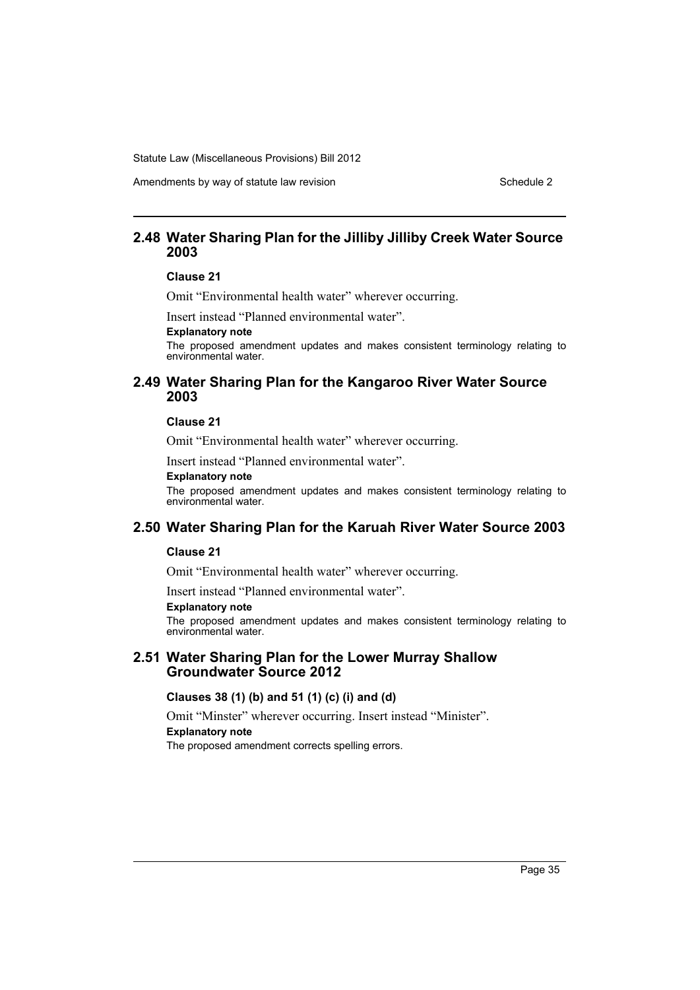Amendments by way of statute law revision Schedule 2 Schedule 2

# **2.48 Water Sharing Plan for the Jilliby Jilliby Creek Water Source 2003**

### **Clause 21**

Omit "Environmental health water" wherever occurring.

Insert instead "Planned environmental water".

### **Explanatory note**

The proposed amendment updates and makes consistent terminology relating to environmental water.

## **2.49 Water Sharing Plan for the Kangaroo River Water Source 2003**

### **Clause 21**

Omit "Environmental health water" wherever occurring.

Insert instead "Planned environmental water".

### **Explanatory note**

The proposed amendment updates and makes consistent terminology relating to environmental water.

# **2.50 Water Sharing Plan for the Karuah River Water Source 2003**

## **Clause 21**

Omit "Environmental health water" wherever occurring.

Insert instead "Planned environmental water".

#### **Explanatory note**

The proposed amendment updates and makes consistent terminology relating to environmental water.

### **2.51 Water Sharing Plan for the Lower Murray Shallow Groundwater Source 2012**

### **Clauses 38 (1) (b) and 51 (1) (c) (i) and (d)**

Omit "Minster" wherever occurring. Insert instead "Minister".

#### **Explanatory note**

The proposed amendment corrects spelling errors.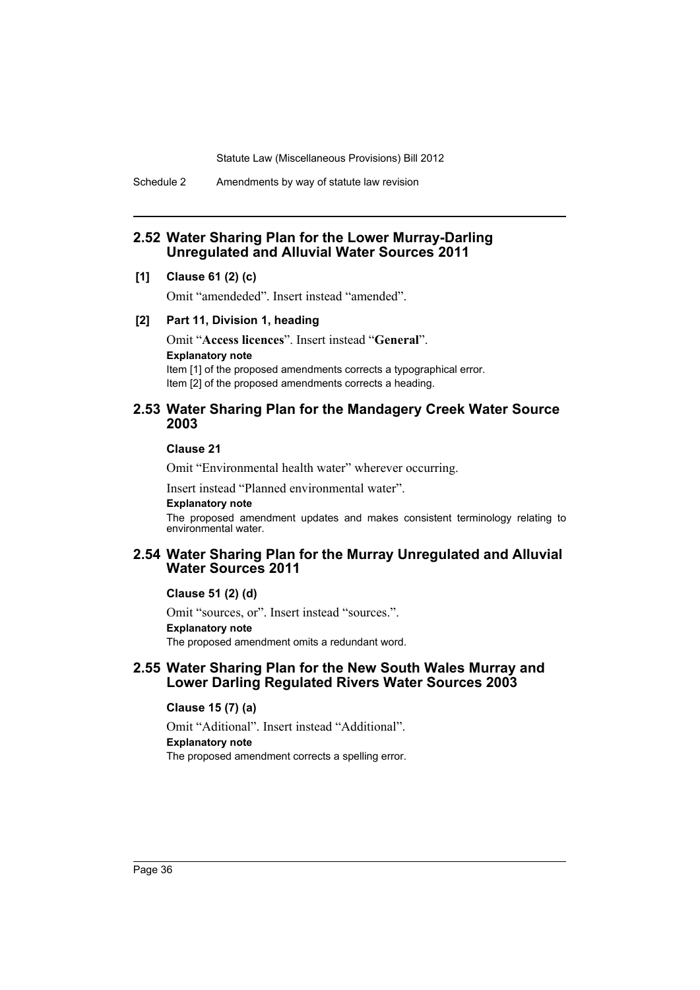Schedule 2 Amendments by way of statute law revision

## **2.52 Water Sharing Plan for the Lower Murray-Darling Unregulated and Alluvial Water Sources 2011**

### **[1] Clause 61 (2) (c)**

Omit "amendeded". Insert instead "amended".

### **[2] Part 11, Division 1, heading**

Omit "**Access licences**". Insert instead "**General**". **Explanatory note** Item [1] of the proposed amendments corrects a typographical error. Item [2] of the proposed amendments corrects a heading.

### **2.53 Water Sharing Plan for the Mandagery Creek Water Source 2003**

**Clause 21**

Omit "Environmental health water" wherever occurring.

Insert instead "Planned environmental water".

### **Explanatory note**

The proposed amendment updates and makes consistent terminology relating to environmental water.

## **2.54 Water Sharing Plan for the Murray Unregulated and Alluvial Water Sources 2011**

#### **Clause 51 (2) (d)**

Omit "sources, or". Insert instead "sources.". **Explanatory note** The proposed amendment omits a redundant word.

## **2.55 Water Sharing Plan for the New South Wales Murray and Lower Darling Regulated Rivers Water Sources 2003**

### **Clause 15 (7) (a)**

Omit "Aditional". Insert instead "Additional". **Explanatory note** The proposed amendment corrects a spelling error.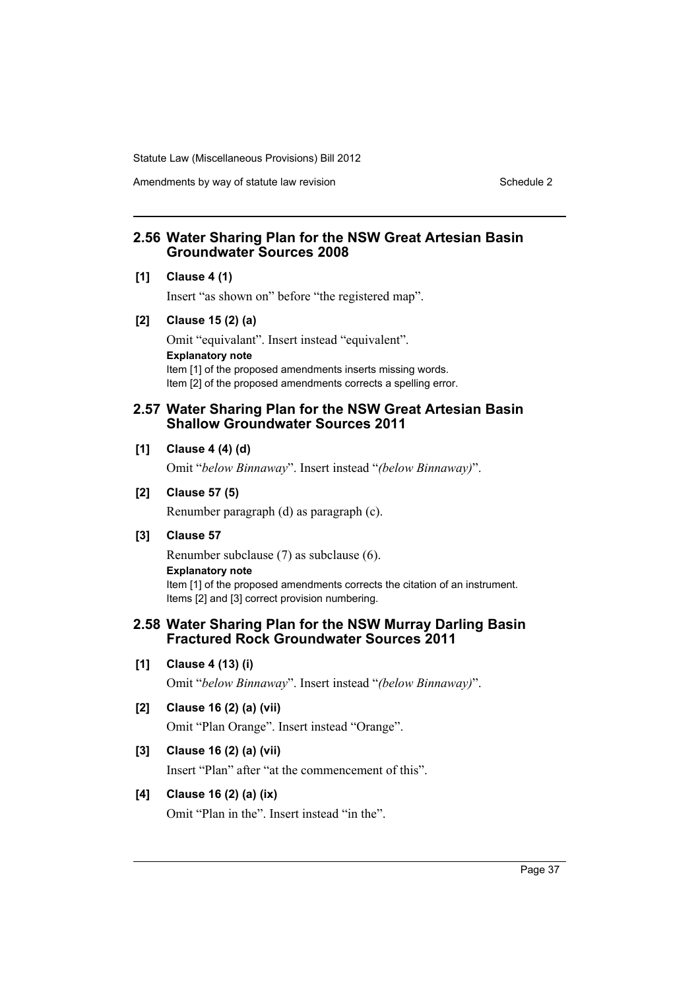Amendments by way of statute law revision Schedule 2 Schedule 2

## **2.56 Water Sharing Plan for the NSW Great Artesian Basin Groundwater Sources 2008**

### **[1] Clause 4 (1)**

Insert "as shown on" before "the registered map".

### **[2] Clause 15 (2) (a)**

Omit "equivalant". Insert instead "equivalent". **Explanatory note** Item [1] of the proposed amendments inserts missing words. Item [2] of the proposed amendments corrects a spelling error.

## **2.57 Water Sharing Plan for the NSW Great Artesian Basin Shallow Groundwater Sources 2011**

### **[1] Clause 4 (4) (d)**

Omit "*below Binnaway*". Insert instead "*(below Binnaway)*".

### **[2] Clause 57 (5)**

Renumber paragraph (d) as paragraph (c).

## **[3] Clause 57**

Renumber subclause (7) as subclause (6). **Explanatory note** Item [1] of the proposed amendments corrects the citation of an instrument. Items [2] and [3] correct provision numbering.

## **2.58 Water Sharing Plan for the NSW Murray Darling Basin Fractured Rock Groundwater Sources 2011**

**[1] Clause 4 (13) (i)**

Omit "*below Binnaway*". Insert instead "*(below Binnaway)*".

## **[2] Clause 16 (2) (a) (vii)**

Omit "Plan Orange". Insert instead "Orange".

## **[3] Clause 16 (2) (a) (vii)**

Insert "Plan" after "at the commencement of this".

## **[4] Clause 16 (2) (a) (ix)**

Omit "Plan in the". Insert instead "in the".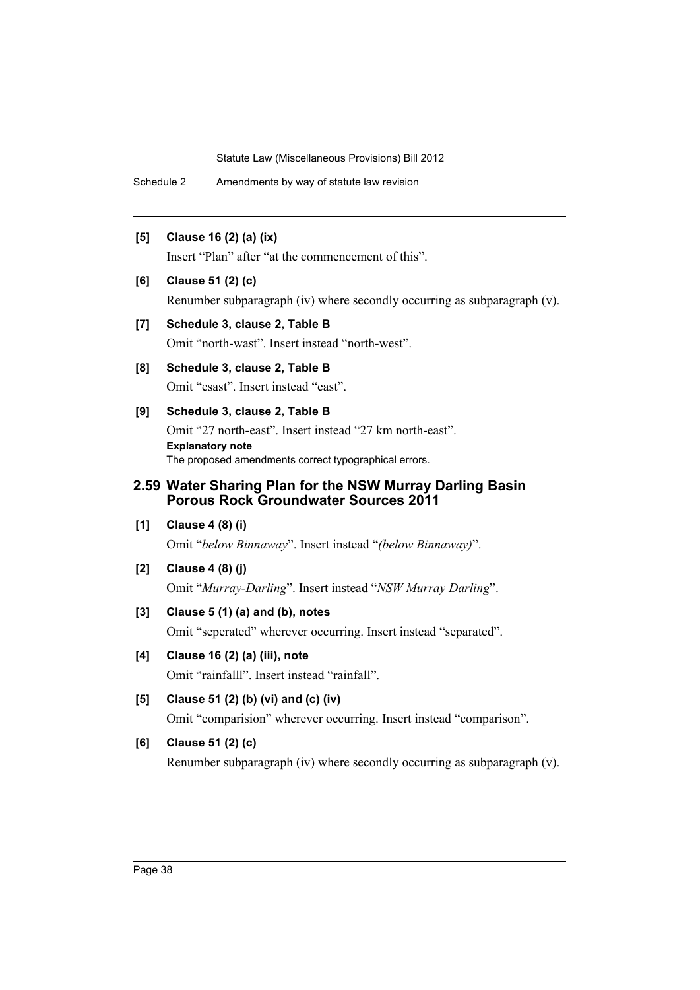Schedule 2 Amendments by way of statute law revision

## **[5] Clause 16 (2) (a) (ix)**

Insert "Plan" after "at the commencement of this".

## **[6] Clause 51 (2) (c)**

Renumber subparagraph (iv) where secondly occurring as subparagraph (v).

## **[7] Schedule 3, clause 2, Table B**

Omit "north-wast". Insert instead "north-west".

**[8] Schedule 3, clause 2, Table B** Omit "esast". Insert instead "east".

## **[9] Schedule 3, clause 2, Table B**

Omit "27 north-east". Insert instead "27 km north-east". **Explanatory note** The proposed amendments correct typographical errors.

# **2.59 Water Sharing Plan for the NSW Murray Darling Basin Porous Rock Groundwater Sources 2011**

**[1] Clause 4 (8) (i)**

Omit "*below Binnaway*". Insert instead "*(below Binnaway)*".

**[2] Clause 4 (8) (j)**

Omit "*Murray-Darling*". Insert instead "*NSW Murray Darling*".

## **[3] Clause 5 (1) (a) and (b), notes**

Omit "seperated" wherever occurring. Insert instead "separated".

## **[4] Clause 16 (2) (a) (iii), note**

Omit "rainfalll". Insert instead "rainfall".

**[5] Clause 51 (2) (b) (vi) and (c) (iv)**

Omit "comparision" wherever occurring. Insert instead "comparison".

# **[6] Clause 51 (2) (c)**

Renumber subparagraph (iv) where secondly occurring as subparagraph (v).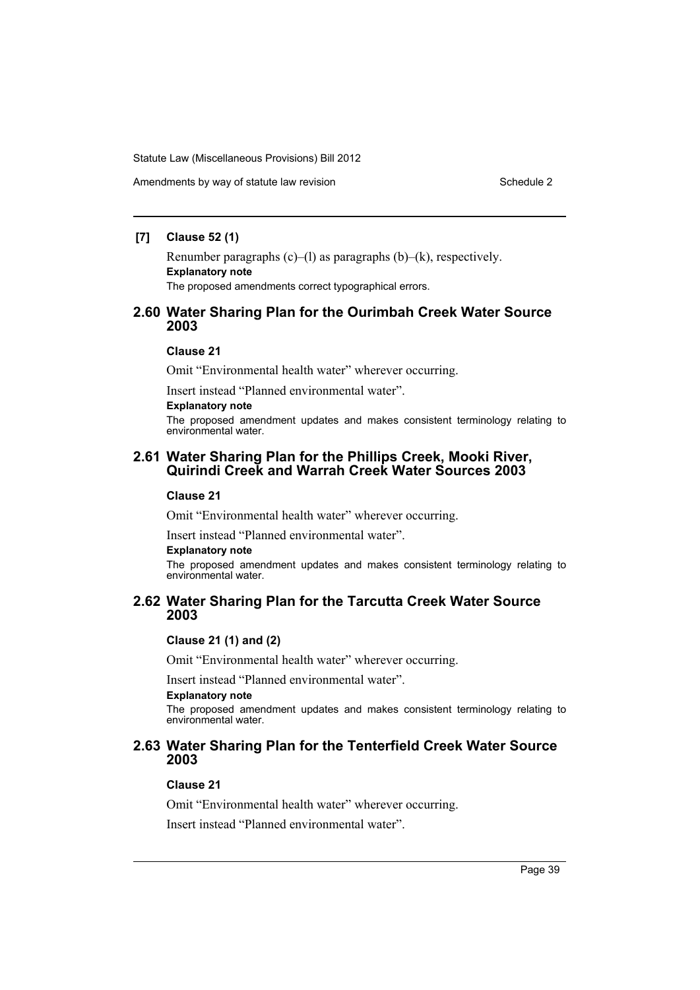### **[7] Clause 52 (1)**

Renumber paragraphs  $(c)$ – $(l)$  as paragraphs  $(b)$ – $(k)$ , respectively. **Explanatory note** The proposed amendments correct typographical errors.

## **2.60 Water Sharing Plan for the Ourimbah Creek Water Source 2003**

### **Clause 21**

Omit "Environmental health water" wherever occurring.

Insert instead "Planned environmental water".

# **Explanatory note**

The proposed amendment updates and makes consistent terminology relating to environmental water.

## **2.61 Water Sharing Plan for the Phillips Creek, Mooki River, Quirindi Creek and Warrah Creek Water Sources 2003**

### **Clause 21**

Omit "Environmental health water" wherever occurring.

Insert instead "Planned environmental water".

#### **Explanatory note**

The proposed amendment updates and makes consistent terminology relating to environmental water.

## **2.62 Water Sharing Plan for the Tarcutta Creek Water Source 2003**

### **Clause 21 (1) and (2)**

Omit "Environmental health water" wherever occurring.

Insert instead "Planned environmental water".

### **Explanatory note**

The proposed amendment updates and makes consistent terminology relating to environmental water.

# **2.63 Water Sharing Plan for the Tenterfield Creek Water Source 2003**

### **Clause 21**

Omit "Environmental health water" wherever occurring.

Insert instead "Planned environmental water".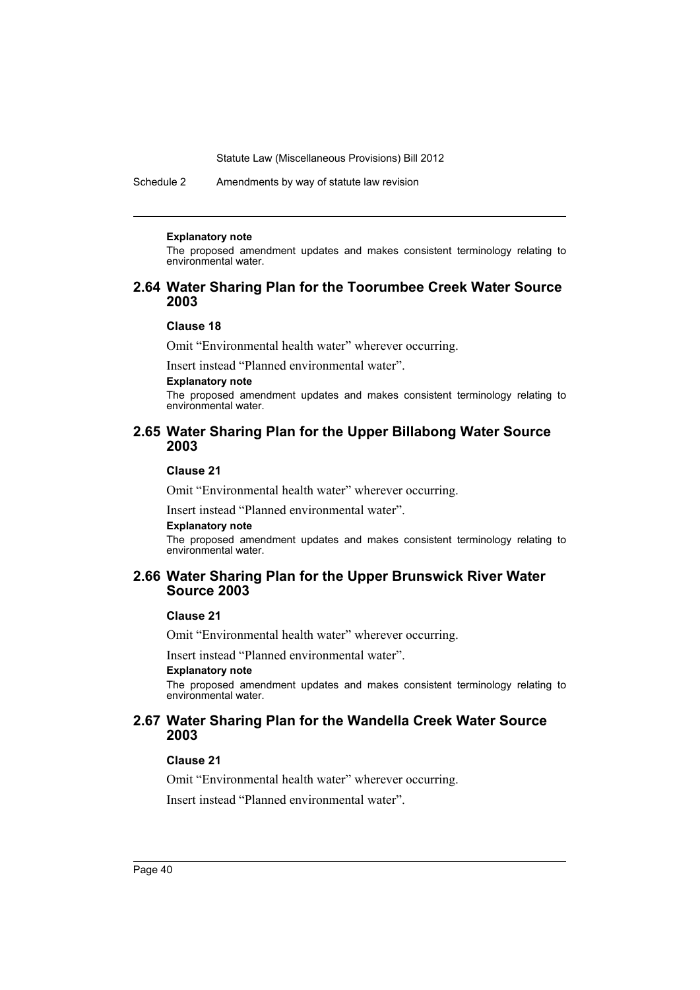Schedule 2 Amendments by way of statute law revision

#### **Explanatory note**

The proposed amendment updates and makes consistent terminology relating to environmental water.

## **2.64 Water Sharing Plan for the Toorumbee Creek Water Source 2003**

### **Clause 18**

Omit "Environmental health water" wherever occurring.

Insert instead "Planned environmental water".

### **Explanatory note**

The proposed amendment updates and makes consistent terminology relating to environmental water.

## **2.65 Water Sharing Plan for the Upper Billabong Water Source 2003**

### **Clause 21**

Omit "Environmental health water" wherever occurring.

Insert instead "Planned environmental water".

### **Explanatory note**

The proposed amendment updates and makes consistent terminology relating to environmental water.

## **2.66 Water Sharing Plan for the Upper Brunswick River Water Source 2003**

### **Clause 21**

Omit "Environmental health water" wherever occurring.

Insert instead "Planned environmental water".

#### **Explanatory note**

The proposed amendment updates and makes consistent terminology relating to environmental water.

## **2.67 Water Sharing Plan for the Wandella Creek Water Source 2003**

### **Clause 21**

Omit "Environmental health water" wherever occurring.

Insert instead "Planned environmental water".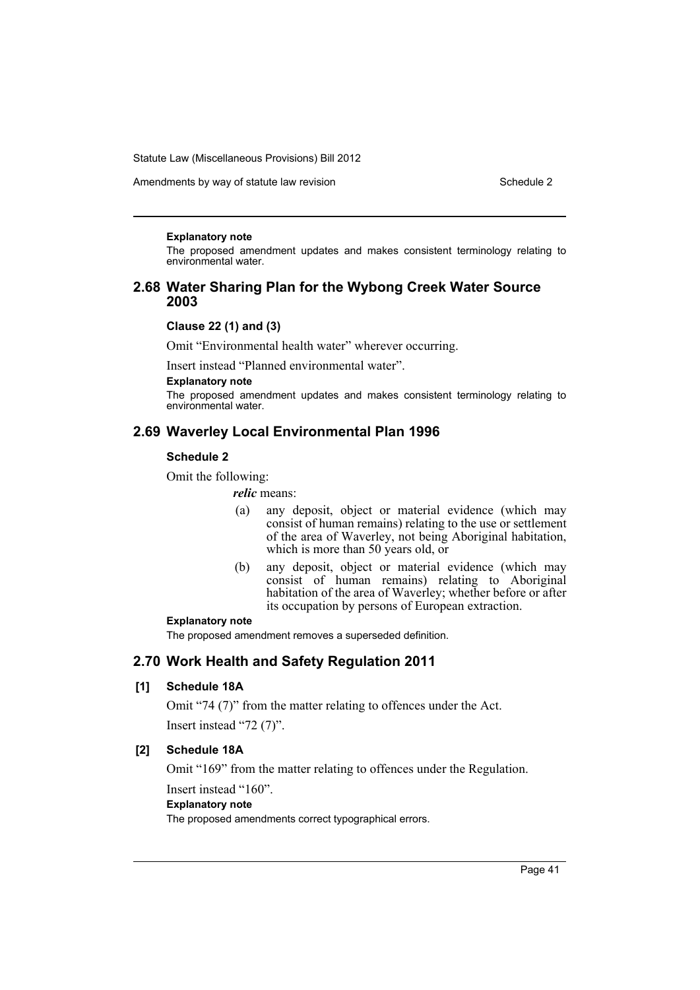Amendments by way of statute law revision Schedule 2 Schedule 2

#### **Explanatory note**

The proposed amendment updates and makes consistent terminology relating to environmental water.

## **2.68 Water Sharing Plan for the Wybong Creek Water Source 2003**

### **Clause 22 (1) and (3)**

Omit "Environmental health water" wherever occurring.

Insert instead "Planned environmental water".

### **Explanatory note**

The proposed amendment updates and makes consistent terminology relating to environmental water.

# **2.69 Waverley Local Environmental Plan 1996**

## **Schedule 2**

Omit the following:

#### *relic* means:

- (a) any deposit, object or material evidence (which may consist of human remains) relating to the use or settlement of the area of Waverley, not being Aboriginal habitation, which is more than 50 years old, or
- (b) any deposit, object or material evidence (which may consist of human remains) relating to Aboriginal habitation of the area of Waverley; whether before or after its occupation by persons of European extraction.

### **Explanatory note**

The proposed amendment removes a superseded definition.

## **2.70 Work Health and Safety Regulation 2011**

## **[1] Schedule 18A**

Omit "74 (7)" from the matter relating to offences under the Act.

Insert instead "72 (7)".

## **[2] Schedule 18A**

Omit "169" from the matter relating to offences under the Regulation.

Insert instead "160".

**Explanatory note**

The proposed amendments correct typographical errors.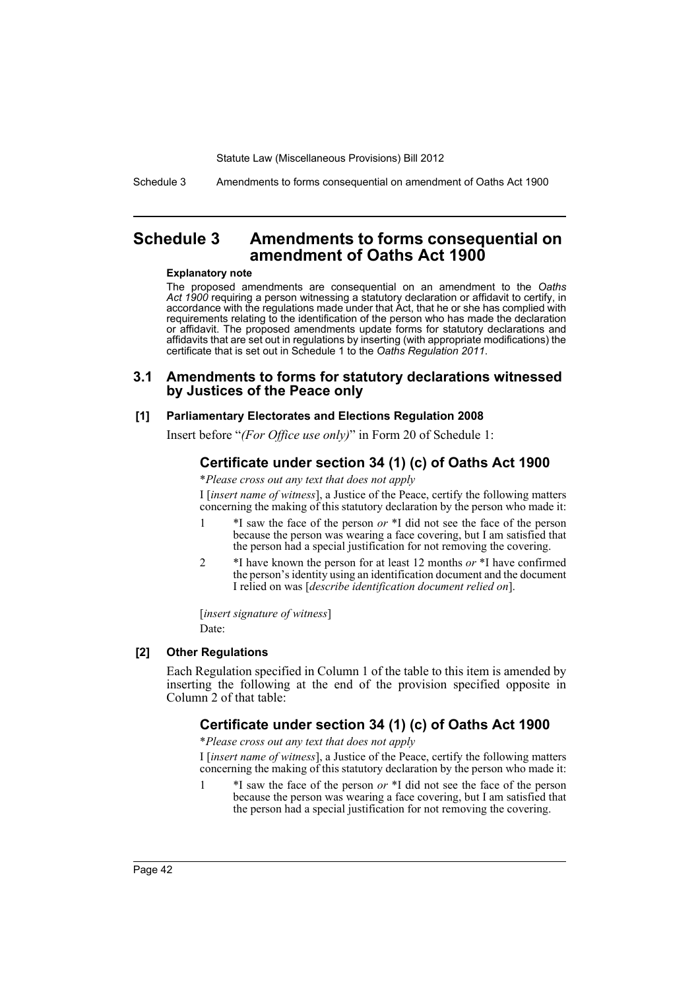Schedule 3 Amendments to forms consequential on amendment of Oaths Act 1900

# **Schedule 3 Amendments to forms consequential on amendment of Oaths Act 1900**

#### **Explanatory note**

The proposed amendments are consequential on an amendment to the *Oaths Act 1900* requiring a person witnessing a statutory declaration or affidavit to certify, in accordance with the regulations made under that Act, that he or she has complied with requirements relating to the identification of the person who has made the declaration or affidavit. The proposed amendments update forms for statutory declarations and affidavits that are set out in regulations by inserting (with appropriate modifications) the certificate that is set out in Schedule 1 to the *Oaths Regulation 2011*.

### **3.1 Amendments to forms for statutory declarations witnessed by Justices of the Peace only**

#### **[1] Parliamentary Electorates and Elections Regulation 2008**

Insert before "*(For Office use only)*" in Form 20 of Schedule 1:

# **Certificate under section 34 (1) (c) of Oaths Act 1900**

\**Please cross out any text that does not apply*

I [*insert name of witness*], a Justice of the Peace, certify the following matters concerning the making of this statutory declaration by the person who made it:

- 1 \*I saw the face of the person *or* \*I did not see the face of the person because the person was wearing a face covering, but I am satisfied that the person had a special justification for not removing the covering.
- 2 \*I have known the person for at least 12 months *or* \*I have confirmed the person's identity using an identification document and the document I relied on was [*describe identification document relied on*].

[*insert signature of witness*] Date:

### **[2] Other Regulations**

Each Regulation specified in Column 1 of the table to this item is amended by inserting the following at the end of the provision specified opposite in Column 2 of that table:

## **Certificate under section 34 (1) (c) of Oaths Act 1900**

\**Please cross out any text that does not apply*

I [*insert name of witness*], a Justice of the Peace, certify the following matters concerning the making of this statutory declaration by the person who made it:

1 \*I saw the face of the person *or* \*I did not see the face of the person because the person was wearing a face covering, but I am satisfied that the person had a special justification for not removing the covering.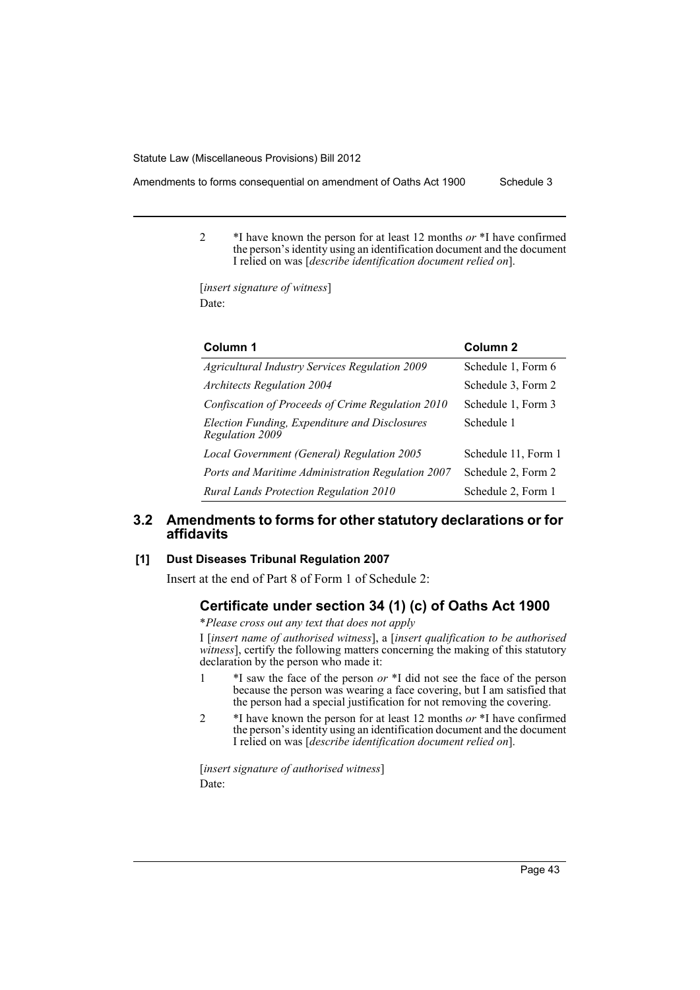- Amendments to forms consequential on amendment of Oaths Act 1900 Schedule 3
	- 2 \*I have known the person for at least 12 months *or* \*I have confirmed the person's identity using an identification document and the document I relied on was [*describe identification document relied on*].

[*insert signature of witness*] Date:

| Column 1                                                         | Column <sub>2</sub> |
|------------------------------------------------------------------|---------------------|
| Agricultural Industry Services Regulation 2009                   | Schedule 1, Form 6  |
| <b>Architects Regulation 2004</b>                                | Schedule 3, Form 2  |
| Confiscation of Proceeds of Crime Regulation 2010                | Schedule 1, Form 3  |
| Election Funding, Expenditure and Disclosures<br>Regulation 2009 | Schedule 1          |
| Local Government (General) Regulation 2005                       | Schedule 11, Form 1 |
| Ports and Maritime Administration Regulation 2007                | Schedule 2, Form 2  |
| Rural Lands Protection Regulation 2010                           | Schedule 2, Form 1  |

## **3.2 Amendments to forms for other statutory declarations or for affidavits**

### **[1] Dust Diseases Tribunal Regulation 2007**

Insert at the end of Part 8 of Form 1 of Schedule 2:

# **Certificate under section 34 (1) (c) of Oaths Act 1900**

\**Please cross out any text that does not apply*

I [*insert name of authorised witness*], a [*insert qualification to be authorised witness*], certify the following matters concerning the making of this statutory declaration by the person who made it:

- 1 \*I saw the face of the person *or* \*I did not see the face of the person because the person was wearing a face covering, but I am satisfied that the person had a special justification for not removing the covering.
- 2 \*I have known the person for at least 12 months *or* \*I have confirmed the person's identity using an identification document and the document I relied on was [*describe identification document relied on*].

[*insert signature of authorised witness*] Date: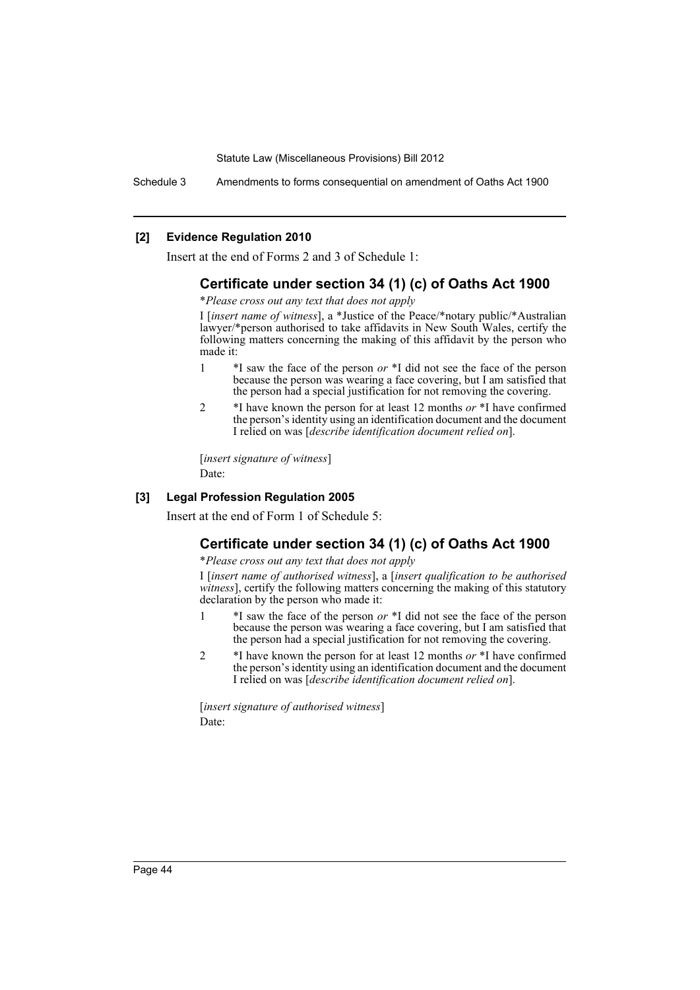Schedule 3 Amendments to forms consequential on amendment of Oaths Act 1900

### **[2] Evidence Regulation 2010**

Insert at the end of Forms 2 and 3 of Schedule 1:

## **Certificate under section 34 (1) (c) of Oaths Act 1900**

\**Please cross out any text that does not apply*

I [*insert name of witness*], a \*Justice of the Peace/\*notary public/\*Australian lawyer/\*person authorised to take affidavits in New South Wales, certify the following matters concerning the making of this affidavit by the person who made it:

- 1 \*I saw the face of the person *or* \*I did not see the face of the person because the person was wearing a face covering, but I am satisfied that the person had a special justification for not removing the covering.
- 2 \*I have known the person for at least 12 months *or* \*I have confirmed the person's identity using an identification document and the document I relied on was [*describe identification document relied on*].

[*insert signature of witness*] Date:

### **[3] Legal Profession Regulation 2005**

Insert at the end of Form 1 of Schedule 5:

# **Certificate under section 34 (1) (c) of Oaths Act 1900**

\**Please cross out any text that does not apply*

I [*insert name of authorised witness*], a [*insert qualification to be authorised witness*], certify the following matters concerning the making of this statutory declaration by the person who made it:

- 1 \*I saw the face of the person *or* \*I did not see the face of the person because the person was wearing a face covering, but I am satisfied that the person had a special justification for not removing the covering.
- 2 \*I have known the person for at least 12 months *or* \*I have confirmed the person's identity using an identification document and the document I relied on was [*describe identification document relied on*].

[*insert signature of authorised witness*] Date: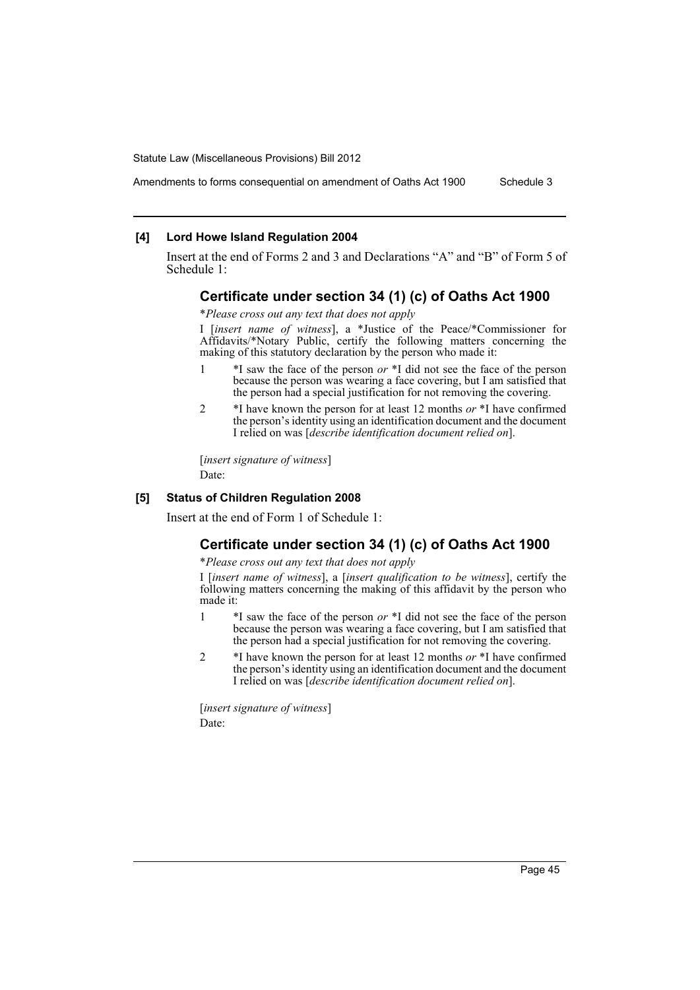### Amendments to forms consequential on amendment of Oaths Act 1900 Schedule 3

### **[4] Lord Howe Island Regulation 2004**

Insert at the end of Forms 2 and 3 and Declarations "A" and "B" of Form 5 of Schedule 1:

### **Certificate under section 34 (1) (c) of Oaths Act 1900**

\**Please cross out any text that does not apply*

I [*insert name of witness*], a \*Justice of the Peace/\*Commissioner for Affidavits/\*Notary Public, certify the following matters concerning the making of this statutory declaration by the person who made it:

- 1 \*I saw the face of the person *or* \*I did not see the face of the person because the person was wearing a face covering, but I am satisfied that the person had a special justification for not removing the covering.
- 2 \*I have known the person for at least 12 months *or* \*I have confirmed the person's identity using an identification document and the document I relied on was [*describe identification document relied on*].

[*insert signature of witness*] Date:

### **[5] Status of Children Regulation 2008**

Insert at the end of Form 1 of Schedule 1:

## **Certificate under section 34 (1) (c) of Oaths Act 1900**

\**Please cross out any text that does not apply*

I [*insert name of witness*], a [*insert qualification to be witness*], certify the following matters concerning the making of this affidavit by the person who made it:

- 1 \*I saw the face of the person *or* \*I did not see the face of the person because the person was wearing a face covering, but I am satisfied that the person had a special justification for not removing the covering.
- 2 \*I have known the person for at least 12 months *or* \*I have confirmed the person's identity using an identification document and the document I relied on was [*describe identification document relied on*].

[*insert signature of witness*] Date: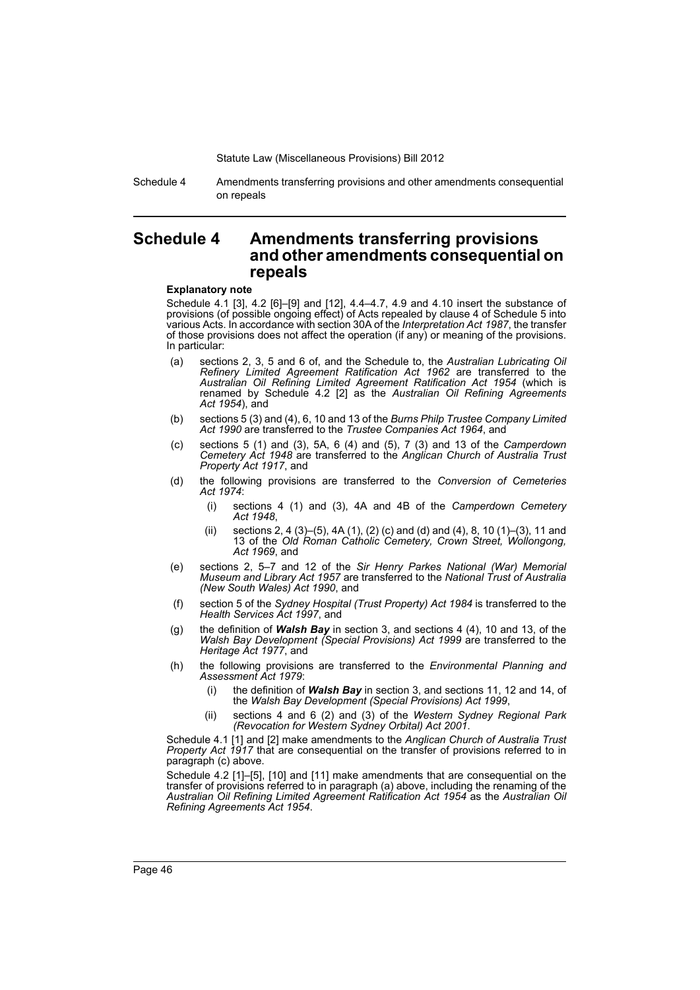Schedule 4 Amendments transferring provisions and other amendments consequential on repeals

# **Schedule 4 Amendments transferring provisions and other amendments consequential on repeals**

#### **Explanatory note**

Schedule 4.1 [3], 4.2 [6]–[9] and [12], 4.4–4.7, 4.9 and 4.10 insert the substance of provisions (of possible ongoing effect) of Acts repealed by clause 4 of Schedule 5 into various Acts. In accordance with section 30A of the *Interpretation Act 1987*, the transfer of those provisions does not affect the operation (if any) or meaning of the provisions. In particular:

- (a) sections 2, 3, 5 and 6 of, and the Schedule to, the *Australian Lubricating Oil Refinery Limited Agreement Ratification Act 1962* are transferred to the *Australian Oil Refining Limited Agreement Ratification Act 1954* (which is renamed by Schedule 4.2 [2] as the *Australian Oil Refining Agreements Act 1954*), and
- (b) sections 5 (3) and (4), 6, 10 and 13 of the *Burns Philp Trustee Company Limited Act 1990* are transferred to the *Trustee Companies Act 1964*, and
- (c) sections 5 (1) and (3), 5A, 6 (4) and (5), 7 (3) and 13 of the *Camperdown Cemetery Act 1948* are transferred to the *Anglican Church of Australia Trust Property Act 1917*, and
- (d) the following provisions are transferred to the *Conversion of Cemeteries Act 1974*:
	- (i) sections 4 (1) and (3), 4A and 4B of the *Camperdown Cemetery Act 1948*,
	- (ii) sections 2, 4 (3)–(5), 4A (1), (2) (c) and (d) and (4), 8, 10 (1)–(3), 11 and 13 of the *Old Roman Catholic Cemetery, Crown Street, Wollongong, Act 1969*, and
- (e) sections 2, 5–7 and 12 of the *Sir Henry Parkes National (War) Memorial Museum and Library Act 1957* are transferred to the *National Trust of Australia (New South Wales) Act 1990*, and
- (f) section 5 of the *Sydney Hospital (Trust Property) Act 1984* is transferred to the *Health Services Act 1997*, and
- (g) the definition of *Walsh Bay* in section 3, and sections 4 (4), 10 and 13, of the *Walsh Bay Development (Special Provisions) Act 1999* are transferred to the *Heritage Act 1977*, and
- (h) the following provisions are transferred to the *Environmental Planning and Assessment Act 1979*:
	- (i) the definition of *Walsh Bay* in section 3, and sections 11, 12 and 14, of the *Walsh Bay Development (Special Provisions) Act 1999*,
	- (ii) sections 4 and 6 (2) and (3) of the *Western Sydney Regional Park (Revocation for Western Sydney Orbital) Act 2001*.

Schedule 4.1 [1] and [2] make amendments to the *Anglican Church of Australia Trust Property Act 1917* that are consequential on the transfer of provisions referred to in paragraph (c) above.

Schedule 4.2 [1]–[5], [10] and [11] make amendments that are consequential on the transfer of provisions referred to in paragraph (a) above, including the renaming of the *Australian Oil Refining Limited Agreement Ratification Act 1954* as the *Australian Oil Refining Agreements Act 1954*.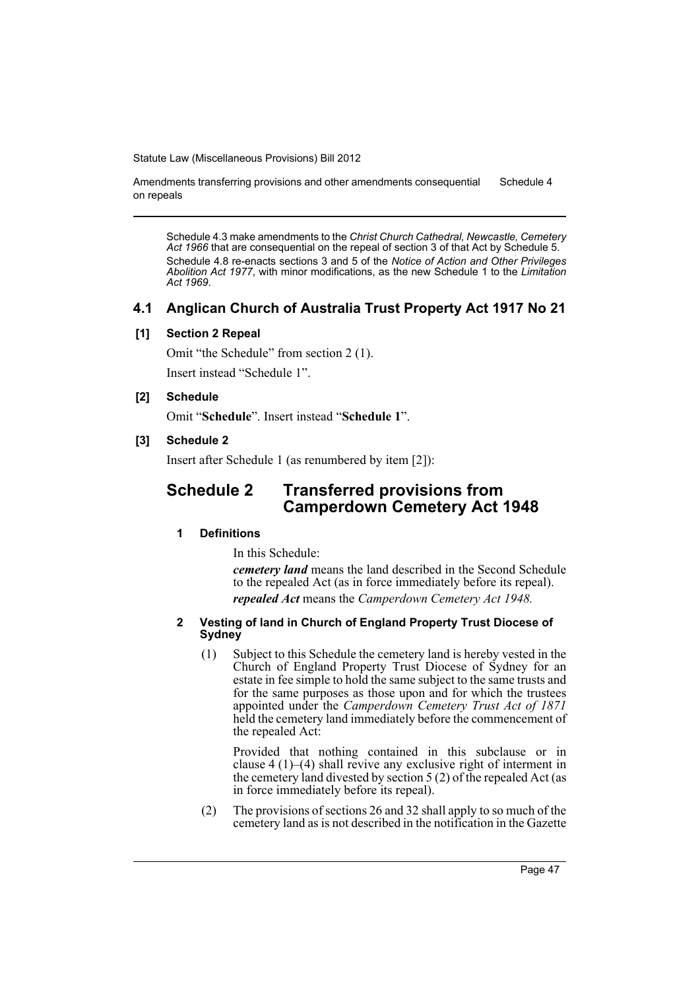Amendments transferring provisions and other amendments consequential on repeals Schedule 4

Schedule 4.3 make amendments to the *Christ Church Cathedral, Newcastle, Cemetery Act 1966* that are consequential on the repeal of section 3 of that Act by Schedule 5. Schedule 4.8 re-enacts sections 3 and 5 of the *Notice of Action and Other Privileges Abolition Act 1977*, with minor modifications, as the new Schedule 1 to the *Limitation Act 1969*.

# **4.1 Anglican Church of Australia Trust Property Act 1917 No 21**

## **[1] Section 2 Repeal**

Omit "the Schedule" from section 2 (1).

Insert instead "Schedule 1".

## **[2] Schedule**

Omit "**Schedule**". Insert instead "**Schedule 1**".

## **[3] Schedule 2**

Insert after Schedule 1 (as renumbered by item [2]):

# **Schedule 2 Transferred provisions from Camperdown Cemetery Act 1948**

# **1 Definitions**

In this Schedule:

*cemetery land* means the land described in the Second Schedule to the repealed Act (as in force immediately before its repeal). *repealed Act* means the *Camperdown Cemetery Act 1948.*

### **2 Vesting of land in Church of England Property Trust Diocese of Sydney**

(1) Subject to this Schedule the cemetery land is hereby vested in the Church of England Property Trust Diocese of Sydney for an estate in fee simple to hold the same subject to the same trusts and for the same purposes as those upon and for which the trustees appointed under the *Camperdown Cemetery Trust Act of 1871* held the cemetery land immediately before the commencement of the repealed Act:

Provided that nothing contained in this subclause or in clause 4 (1)–(4) shall revive any exclusive right of interment in the cemetery land divested by section 5 (2) of the repealed Act (as in force immediately before its repeal).

(2) The provisions of sections 26 and 32 shall apply to so much of the cemetery land as is not described in the notification in the Gazette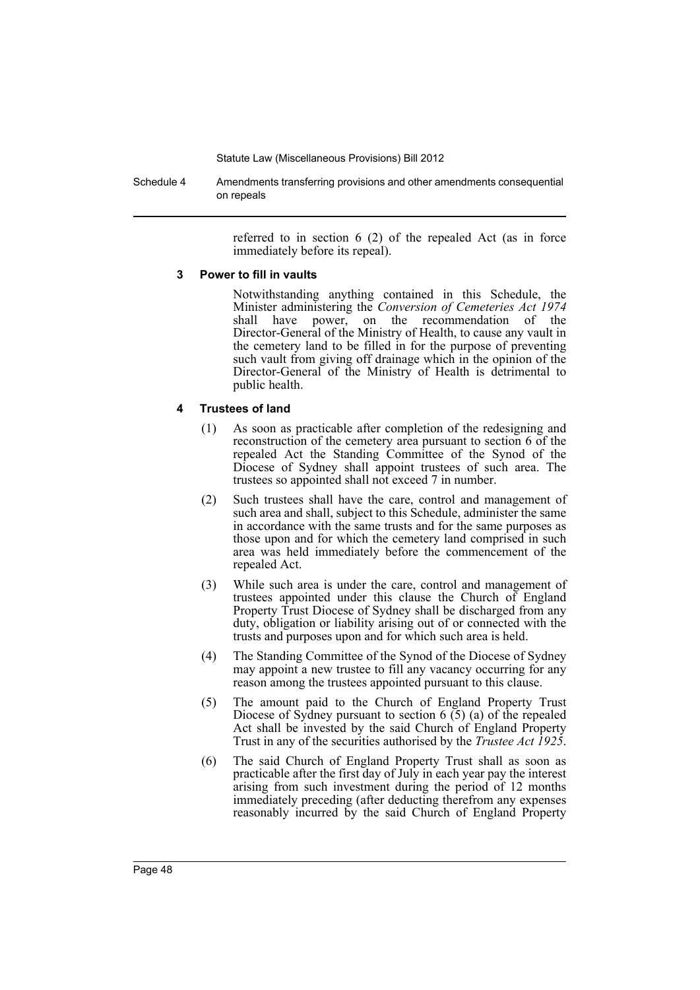Schedule 4 Amendments transferring provisions and other amendments consequential on repeals

> referred to in section 6 (2) of the repealed Act (as in force immediately before its repeal).

### **3 Power to fill in vaults**

Notwithstanding anything contained in this Schedule, the Minister administering the *Conversion of Cemeteries Act 1974* shall have power, on the recommendation of the Director-General of the Ministry of Health, to cause any vault in the cemetery land to be filled in for the purpose of preventing such vault from giving off drainage which in the opinion of the Director-General of the Ministry of Health is detrimental to public health.

## **4 Trustees of land**

- (1) As soon as practicable after completion of the redesigning and reconstruction of the cemetery area pursuant to section 6 of the repealed Act the Standing Committee of the Synod of the Diocese of Sydney shall appoint trustees of such area. The trustees so appointed shall not exceed 7 in number.
- (2) Such trustees shall have the care, control and management of such area and shall, subject to this Schedule, administer the same in accordance with the same trusts and for the same purposes as those upon and for which the cemetery land comprised in such area was held immediately before the commencement of the repealed Act.
- (3) While such area is under the care, control and management of trustees appointed under this clause the Church of England Property Trust Diocese of Sydney shall be discharged from any duty, obligation or liability arising out of or connected with the trusts and purposes upon and for which such area is held.
- (4) The Standing Committee of the Synod of the Diocese of Sydney may appoint a new trustee to fill any vacancy occurring for any reason among the trustees appointed pursuant to this clause.
- (5) The amount paid to the Church of England Property Trust Diocese of Sydney pursuant to section  $6(5)$  (a) of the repealed Act shall be invested by the said Church of England Property Trust in any of the securities authorised by the *Trustee Act 1925*.
- (6) The said Church of England Property Trust shall as soon as practicable after the first day of July in each year pay the interest arising from such investment during the period of 12 months immediately preceding (after deducting therefrom any expenses reasonably incurred by the said Church of England Property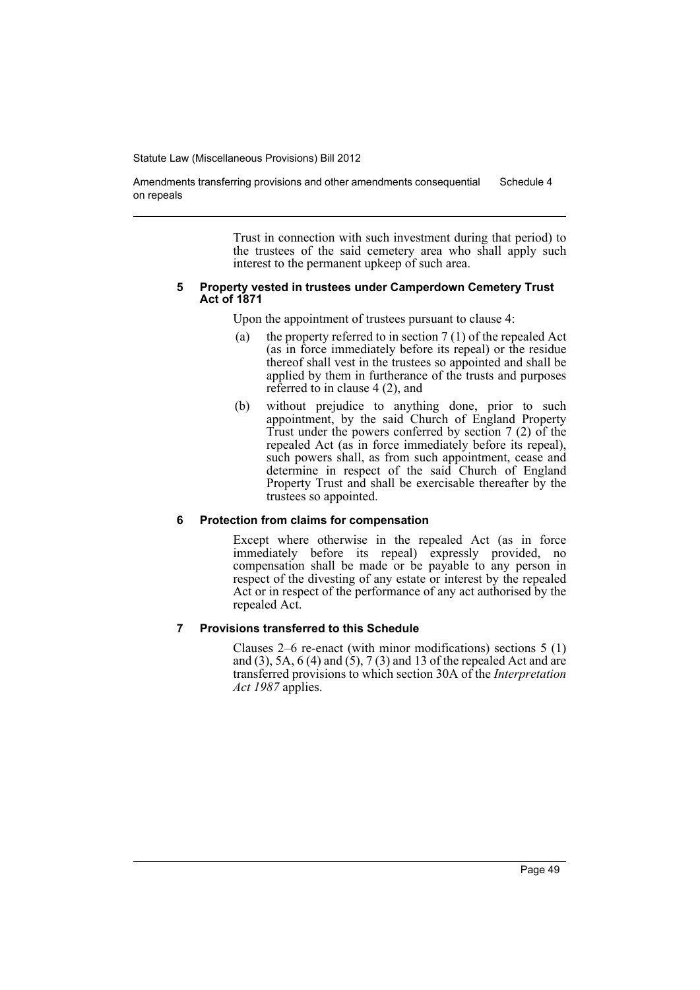Amendments transferring provisions and other amendments consequential on repeals Schedule 4

> Trust in connection with such investment during that period) to the trustees of the said cemetery area who shall apply such interest to the permanent upkeep of such area.

#### **5 Property vested in trustees under Camperdown Cemetery Trust Act of 1871**

Upon the appointment of trustees pursuant to clause 4:

- (a) the property referred to in section  $7(1)$  of the repealed Act (as in force immediately before its repeal) or the residue thereof shall vest in the trustees so appointed and shall be applied by them in furtherance of the trusts and purposes referred to in clause 4 (2), and
- (b) without prejudice to anything done, prior to such appointment, by the said Church of England Property Trust under the powers conferred by section 7 (2) of the repealed Act (as in force immediately before its repeal), such powers shall, as from such appointment, cease and determine in respect of the said Church of England Property Trust and shall be exercisable thereafter by the trustees so appointed.

## **6 Protection from claims for compensation**

Except where otherwise in the repealed Act (as in force immediately before its repeal) expressly provided, no compensation shall be made or be payable to any person in respect of the divesting of any estate or interest by the repealed Act or in respect of the performance of any act authorised by the repealed Act.

### **7 Provisions transferred to this Schedule**

Clauses 2–6 re-enact (with minor modifications) sections 5 (1) and (3), 5A,  $6$  (4) and (5), 7 (3) and 13 of the repealed Act and are transferred provisions to which section 30A of the *Interpretation Act 1987* applies.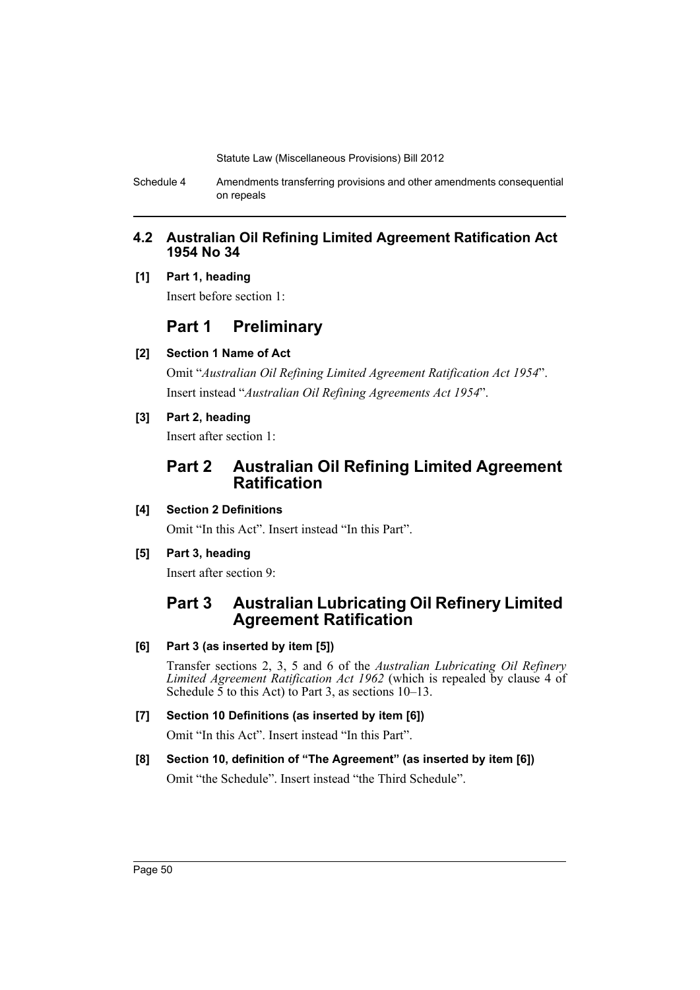Schedule 4 Amendments transferring provisions and other amendments consequential on repeals

# **4.2 Australian Oil Refining Limited Agreement Ratification Act 1954 No 34**

## **[1] Part 1, heading**

Insert before section 1:

# **Part 1 Preliminary**

**[2] Section 1 Name of Act**

Omit "*Australian Oil Refining Limited Agreement Ratification Act 1954*". Insert instead "*Australian Oil Refining Agreements Act 1954*".

**[3] Part 2, heading**

Insert after section 1:

# **Part 2 Australian Oil Refining Limited Agreement Ratification**

# **[4] Section 2 Definitions**

Omit "In this Act". Insert instead "In this Part".

**[5] Part 3, heading**

Insert after section 9:

# **Part 3 Australian Lubricating Oil Refinery Limited Agreement Ratification**

# **[6] Part 3 (as inserted by item [5])**

Transfer sections 2, 3, 5 and 6 of the *Australian Lubricating Oil Refinery Limited Agreement Ratification Act 1962* (which is repealed by clause 4 of Schedule  $\overline{5}$  to this Act) to Part 3, as sections 10–13.

# **[7] Section 10 Definitions (as inserted by item [6])**

Omit "In this Act". Insert instead "In this Part".

# **[8] Section 10, definition of "The Agreement" (as inserted by item [6])**

Omit "the Schedule". Insert instead "the Third Schedule".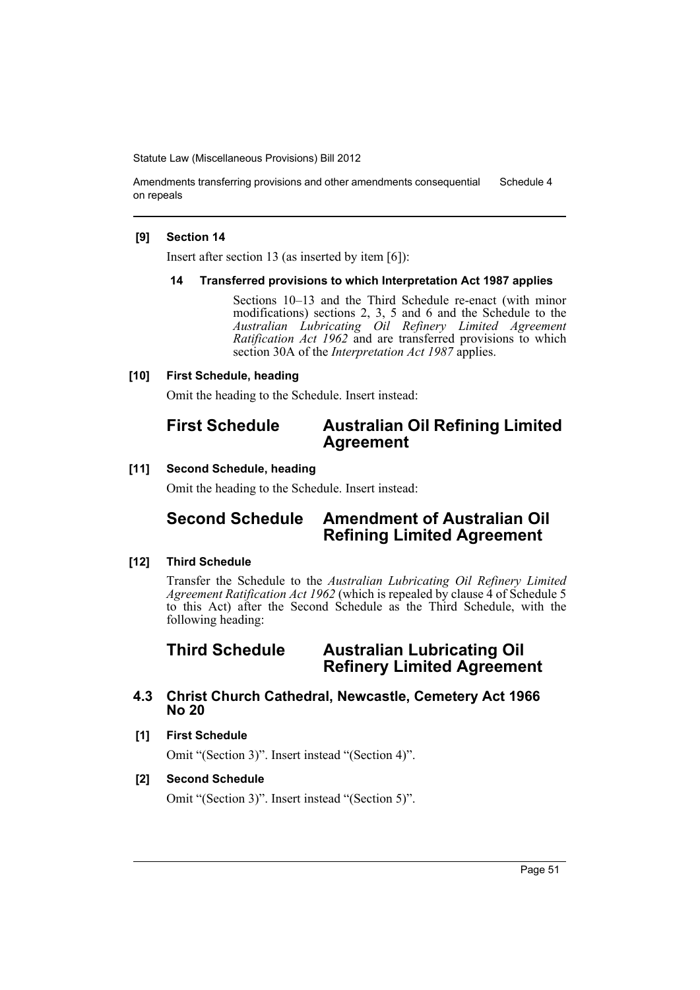Amendments transferring provisions and other amendments consequential on repeals Schedule 4

### **[9] Section 14**

Insert after section 13 (as inserted by item [6]):

### **14 Transferred provisions to which Interpretation Act 1987 applies**

Sections 10–13 and the Third Schedule re-enact (with minor modifications) sections 2, 3, 5 and 6 and the Schedule to the *Australian Lubricating Oil Refinery Limited Agreement Ratification Act 1962* and are transferred provisions to which section 30A of the *Interpretation Act 1987* applies.

### **[10] First Schedule, heading**

Omit the heading to the Schedule. Insert instead:

# **First Schedule Australian Oil Refining Limited Agreement**

### **[11] Second Schedule, heading**

Omit the heading to the Schedule. Insert instead:

# **Second Schedule Amendment of Australian Oil Refining Limited Agreement**

### **[12] Third Schedule**

Transfer the Schedule to the *Australian Lubricating Oil Refinery Limited Agreement Ratification Act 1962* (which is repealed by clause 4 of Schedule 5 to this Act) after the Second Schedule as the Third Schedule, with the following heading:

# **Third Schedule Australian Lubricating Oil Refinery Limited Agreement**

# **4.3 Christ Church Cathedral, Newcastle, Cemetery Act 1966 No 20**

### **[1] First Schedule**

Omit "(Section 3)". Insert instead "(Section 4)".

## **[2] Second Schedule**

Omit "(Section 3)". Insert instead "(Section 5)".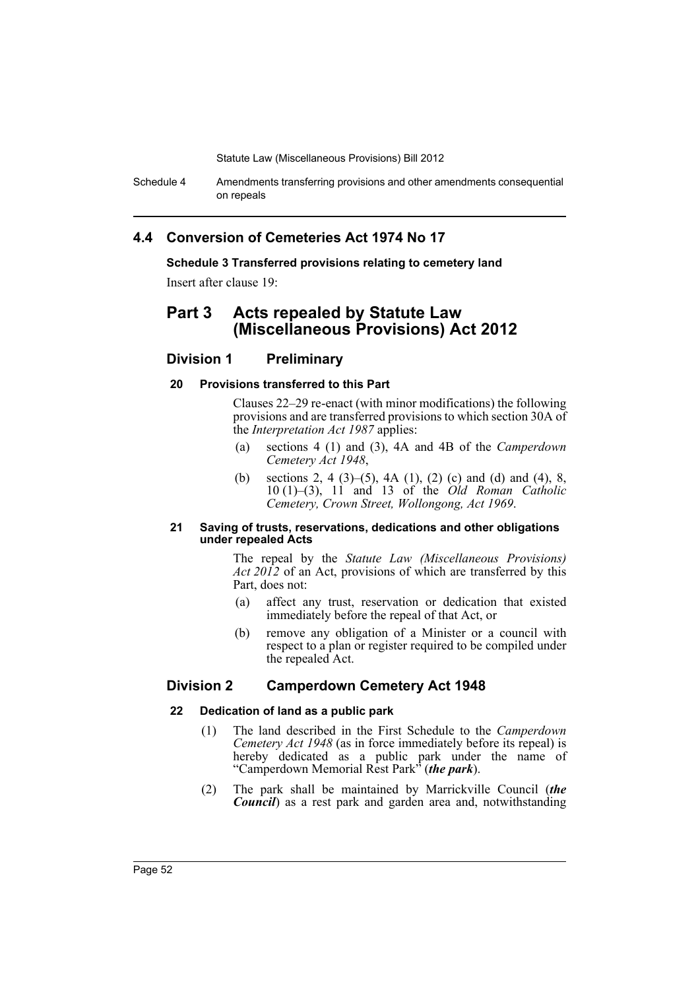Schedule 4 Amendments transferring provisions and other amendments consequential on repeals

# **4.4 Conversion of Cemeteries Act 1974 No 17**

**Schedule 3 Transferred provisions relating to cemetery land**

Insert after clause 19:

# **Part 3 Acts repealed by Statute Law (Miscellaneous Provisions) Act 2012**

## **Division 1 Preliminary**

### **20 Provisions transferred to this Part**

Clauses 22–29 re-enact (with minor modifications) the following provisions and are transferred provisions to which section 30A of the *Interpretation Act 1987* applies:

- (a) sections 4 (1) and (3), 4A and 4B of the *Camperdown Cemetery Act 1948*,
- (b) sections 2, 4 (3)–(5), 4A (1), (2) (c) and (d) and (4), 8, 10 (1)–(3), 11 and 13 of the *Old Roman Catholic Cemetery, Crown Street, Wollongong, Act 1969*.

### **21 Saving of trusts, reservations, dedications and other obligations under repealed Acts**

The repeal by the *Statute Law (Miscellaneous Provisions) Act 2012* of an Act, provisions of which are transferred by this Part, does not:

- (a) affect any trust, reservation or dedication that existed immediately before the repeal of that Act, or
- (b) remove any obligation of a Minister or a council with respect to a plan or register required to be compiled under the repealed Act.

## **Division 2 Camperdown Cemetery Act 1948**

### **22 Dedication of land as a public park**

- (1) The land described in the First Schedule to the *Camperdown Cemetery Act 1948* (as in force immediately before its repeal) is hereby dedicated as a public park under the name of "Camperdown Memorial Rest Park" (*the park*).
- (2) The park shall be maintained by Marrickville Council (*the Council*) as a rest park and garden area and, notwithstanding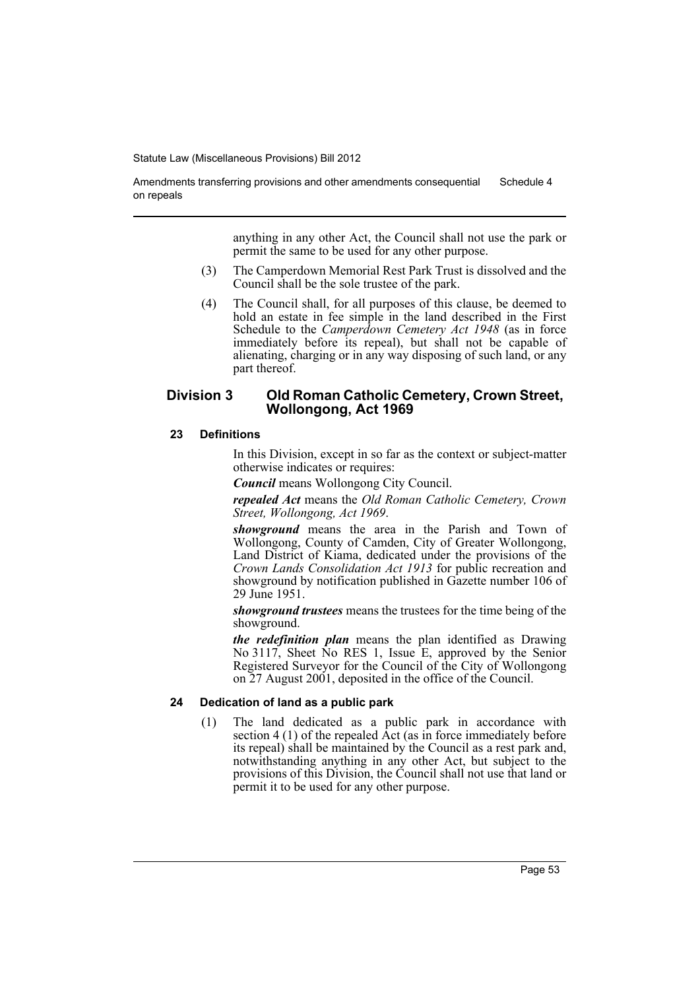Amendments transferring provisions and other amendments consequential on repeals Schedule 4

> anything in any other Act, the Council shall not use the park or permit the same to be used for any other purpose.

- (3) The Camperdown Memorial Rest Park Trust is dissolved and the Council shall be the sole trustee of the park.
- (4) The Council shall, for all purposes of this clause, be deemed to hold an estate in fee simple in the land described in the First Schedule to the *Camperdown Cemetery Act 1948* (as in force immediately before its repeal), but shall not be capable of alienating, charging or in any way disposing of such land, or any part thereof.

## **Division 3 Old Roman Catholic Cemetery, Crown Street, Wollongong, Act 1969**

### **23 Definitions**

In this Division, except in so far as the context or subject-matter otherwise indicates or requires:

*Council* means Wollongong City Council.

*repealed Act* means the *Old Roman Catholic Cemetery, Crown Street, Wollongong, Act 1969*.

*showground* means the area in the Parish and Town of Wollongong, County of Camden, City of Greater Wollongong, Land District of Kiama, dedicated under the provisions of the *Crown Lands Consolidation Act 1913* for public recreation and showground by notification published in Gazette number 106 of 29 June 1951.

*showground trustees* means the trustees for the time being of the showground.

*the redefinition plan* means the plan identified as Drawing No 3117, Sheet No RES 1, Issue E, approved by the Senior Registered Surveyor for the Council of the City of Wollongong on 27 August 2001, deposited in the office of the Council.

## **24 Dedication of land as a public park**

(1) The land dedicated as a public park in accordance with section 4 (1) of the repealed Act (as in force immediately before its repeal) shall be maintained by the Council as a rest park and, notwithstanding anything in any other Act, but subject to the provisions of this Division, the Council shall not use that land or permit it to be used for any other purpose.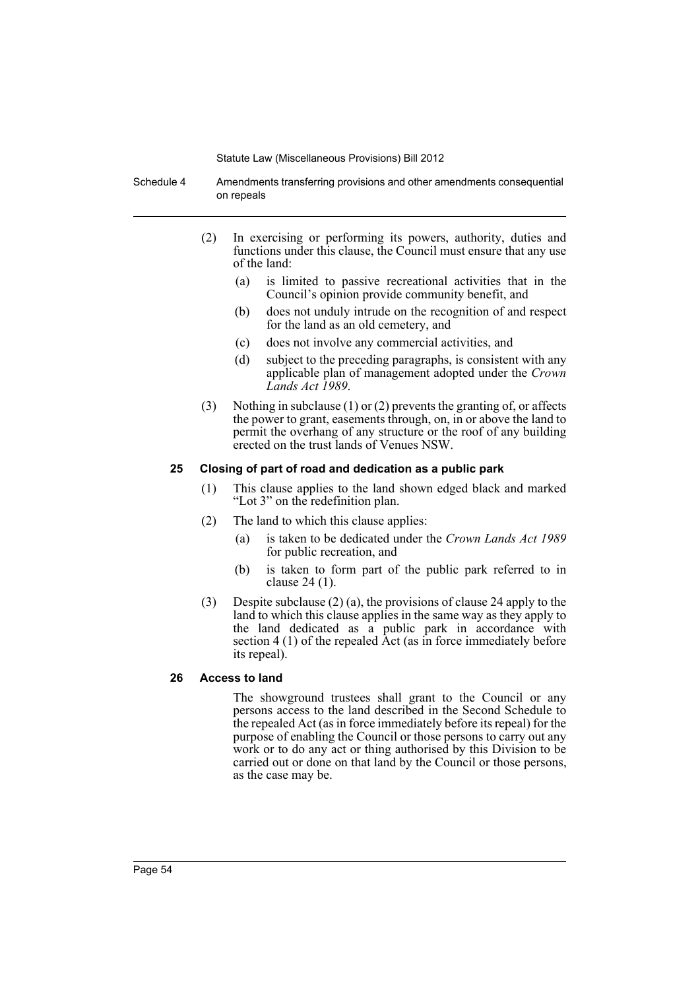Schedule 4 Amendments transferring provisions and other amendments consequential on repeals

- (2) In exercising or performing its powers, authority, duties and functions under this clause, the Council must ensure that any use of the land:
	- (a) is limited to passive recreational activities that in the Council's opinion provide community benefit, and
	- (b) does not unduly intrude on the recognition of and respect for the land as an old cemetery, and
	- (c) does not involve any commercial activities, and
	- (d) subject to the preceding paragraphs, is consistent with any applicable plan of management adopted under the *Crown Lands Act 1989*.
- (3) Nothing in subclause (1) or (2) prevents the granting of, or affects the power to grant, easements through, on, in or above the land to permit the overhang of any structure or the roof of any building erected on the trust lands of Venues NSW.

### **25 Closing of part of road and dedication as a public park**

- (1) This clause applies to the land shown edged black and marked "Lot 3" on the redefinition plan.
- (2) The land to which this clause applies:
	- (a) is taken to be dedicated under the *Crown Lands Act 1989* for public recreation, and
	- (b) is taken to form part of the public park referred to in clause 24 (1).
- (3) Despite subclause (2) (a), the provisions of clause 24 apply to the land to which this clause applies in the same way as they apply to the land dedicated as a public park in accordance with section 4 (1) of the repealed Act (as in force immediately before its repeal).

## **26 Access to land**

The showground trustees shall grant to the Council or any persons access to the land described in the Second Schedule to the repealed Act (as in force immediately before its repeal) for the purpose of enabling the Council or those persons to carry out any work or to do any act or thing authorised by this Division to be carried out or done on that land by the Council or those persons, as the case may be.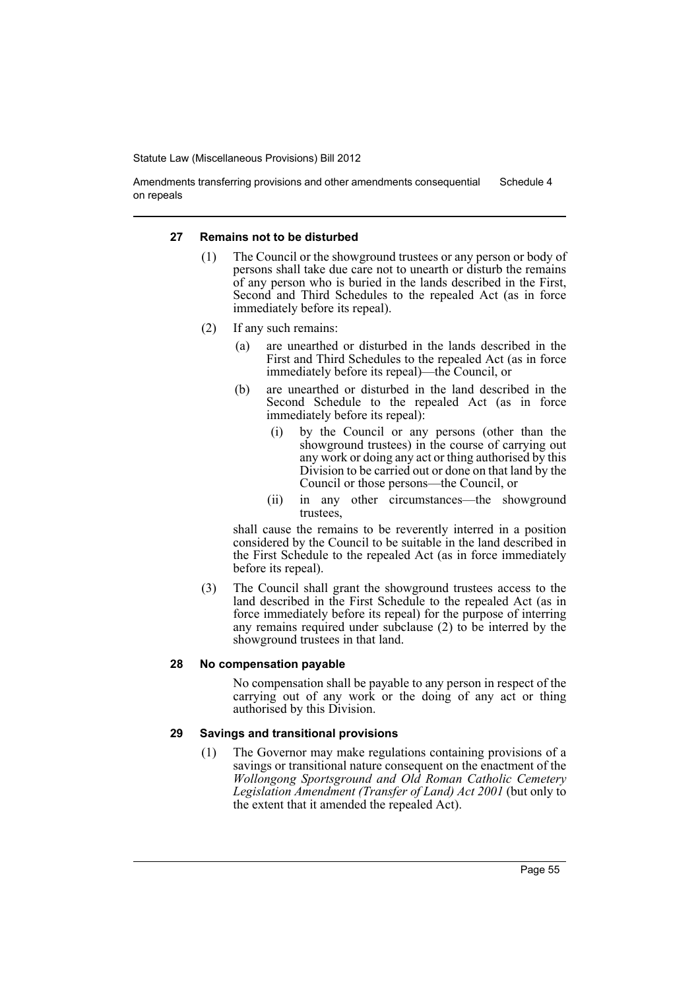Amendments transferring provisions and other amendments consequential on repeals Schedule 4

### **27 Remains not to be disturbed**

- (1) The Council or the showground trustees or any person or body of persons shall take due care not to unearth or disturb the remains of any person who is buried in the lands described in the First, Second and Third Schedules to the repealed Act (as in force immediately before its repeal).
- (2) If any such remains:
	- (a) are unearthed or disturbed in the lands described in the First and Third Schedules to the repealed Act (as in force immediately before its repeal)—the Council, or
	- (b) are unearthed or disturbed in the land described in the Second Schedule to the repealed Act (as in force immediately before its repeal):
		- (i) by the Council or any persons (other than the showground trustees) in the course of carrying out any work or doing any act or thing authorised by this Division to be carried out or done on that land by the Council or those persons—the Council, or
		- (ii) in any other circumstances—the showground trustees,

shall cause the remains to be reverently interred in a position considered by the Council to be suitable in the land described in the First Schedule to the repealed Act (as in force immediately before its repeal).

(3) The Council shall grant the showground trustees access to the land described in the First Schedule to the repealed Act (as in force immediately before its repeal) for the purpose of interring any remains required under subclause (2) to be interred by the showground trustees in that land.

## **28 No compensation payable**

No compensation shall be payable to any person in respect of the carrying out of any work or the doing of any act or thing authorised by this Division.

### **29 Savings and transitional provisions**

(1) The Governor may make regulations containing provisions of a savings or transitional nature consequent on the enactment of the *Wollongong Sportsground and Old Roman Catholic Cemetery Legislation Amendment (Transfer of Land) Act 2001* (but only to the extent that it amended the repealed Act).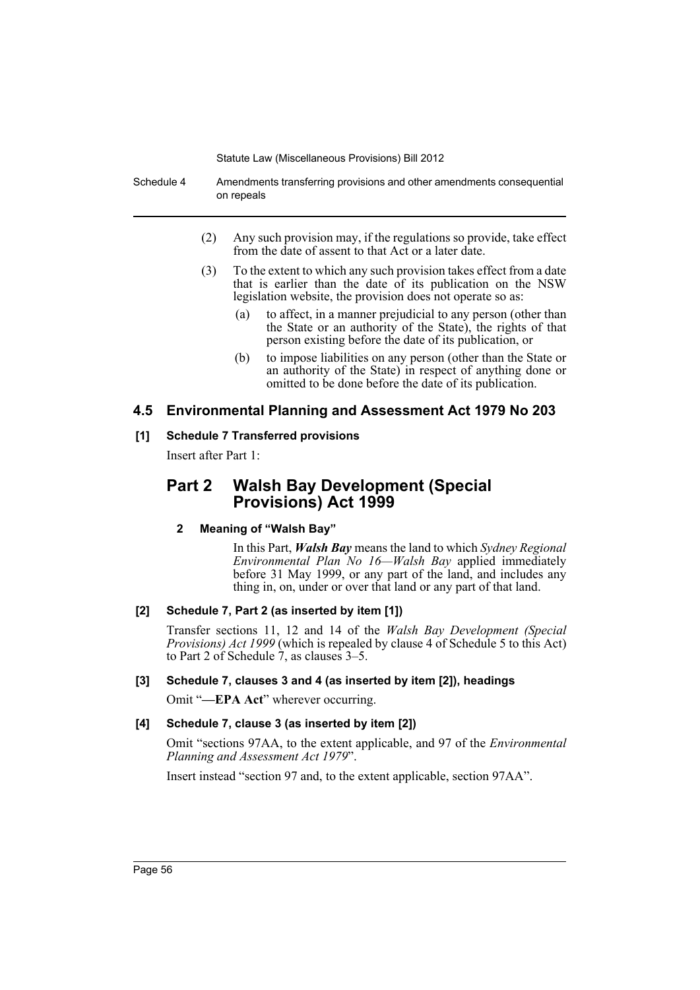Schedule 4 Amendments transferring provisions and other amendments consequential on repeals

- (2) Any such provision may, if the regulations so provide, take effect from the date of assent to that Act or a later date.
- (3) To the extent to which any such provision takes effect from a date that is earlier than the date of its publication on the NSW legislation website, the provision does not operate so as:
	- (a) to affect, in a manner prejudicial to any person (other than the State or an authority of the State), the rights of that person existing before the date of its publication, or
	- (b) to impose liabilities on any person (other than the State or an authority of the State) in respect of anything done or omitted to be done before the date of its publication.

## **4.5 Environmental Planning and Assessment Act 1979 No 203**

### **[1] Schedule 7 Transferred provisions**

Insert after Part 1:

# **Part 2 Walsh Bay Development (Special Provisions) Act 1999**

## **2 Meaning of "Walsh Bay"**

In this Part, *Walsh Bay* means the land to which *Sydney Regional Environmental Plan No 16—Walsh Bay* applied immediately before 31 May 1999, or any part of the land, and includes any thing in, on, under or over that land or any part of that land.

## **[2] Schedule 7, Part 2 (as inserted by item [1])**

Transfer sections 11, 12 and 14 of the *Walsh Bay Development (Special Provisions) Act 1999* (which is repealed by clause 4 of Schedule 5 to this Act) to Part 2 of Schedule 7, as clauses 3–5.

## **[3] Schedule 7, clauses 3 and 4 (as inserted by item [2]), headings**

Omit "-EPA Act" wherever occurring.

## **[4] Schedule 7, clause 3 (as inserted by item [2])**

Omit "sections 97AA, to the extent applicable, and 97 of the *Environmental Planning and Assessment Act 1979*".

Insert instead "section 97 and, to the extent applicable, section 97AA".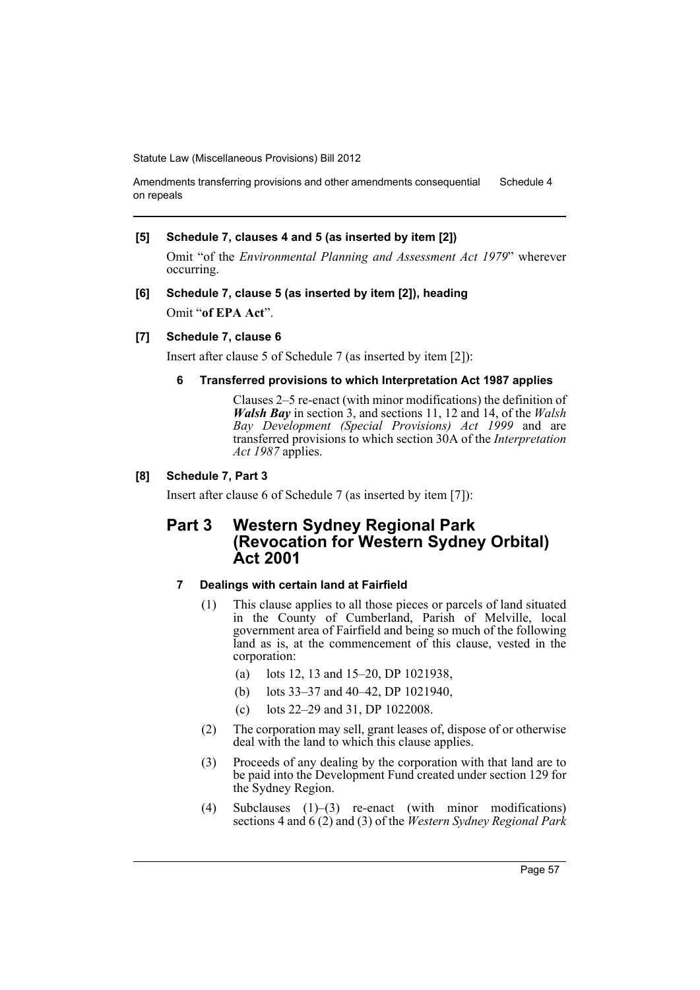Amendments transferring provisions and other amendments consequential on repeals Schedule 4

### **[5] Schedule 7, clauses 4 and 5 (as inserted by item [2])**

Omit "of the *Environmental Planning and Assessment Act 1979*" wherever occurring.

**[6] Schedule 7, clause 5 (as inserted by item [2]), heading** Omit "**of EPA Act**".

### **[7] Schedule 7, clause 6**

Insert after clause 5 of Schedule 7 (as inserted by item [2]):

## **6 Transferred provisions to which Interpretation Act 1987 applies**

Clauses 2–5 re-enact (with minor modifications) the definition of *Walsh Bay* in section 3, and sections 11, 12 and 14, of the *Walsh Bay Development (Special Provisions) Act 1999* and are transferred provisions to which section 30A of the *Interpretation Act 1987* applies.

### **[8] Schedule 7, Part 3**

Insert after clause 6 of Schedule 7 (as inserted by item [7]):

# **Part 3 Western Sydney Regional Park (Revocation for Western Sydney Orbital) Act 2001**

## **7 Dealings with certain land at Fairfield**

- (1) This clause applies to all those pieces or parcels of land situated in the County of Cumberland, Parish of Melville, local government area of Fairfield and being so much of the following land as is, at the commencement of this clause, vested in the corporation:
	- (a) lots 12, 13 and 15–20, DP 1021938,
	- (b) lots 33–37 and 40–42, DP 1021940,
	- (c) lots 22–29 and 31, DP 1022008.
- (2) The corporation may sell, grant leases of, dispose of or otherwise deal with the land to which this clause applies.
- (3) Proceeds of any dealing by the corporation with that land are to be paid into the Development Fund created under section 129 for the Sydney Region.
- (4) Subclauses (1)–(3) re-enact (with minor modifications) sections 4 and 6 (2) and (3) of the *Western Sydney Regional Park*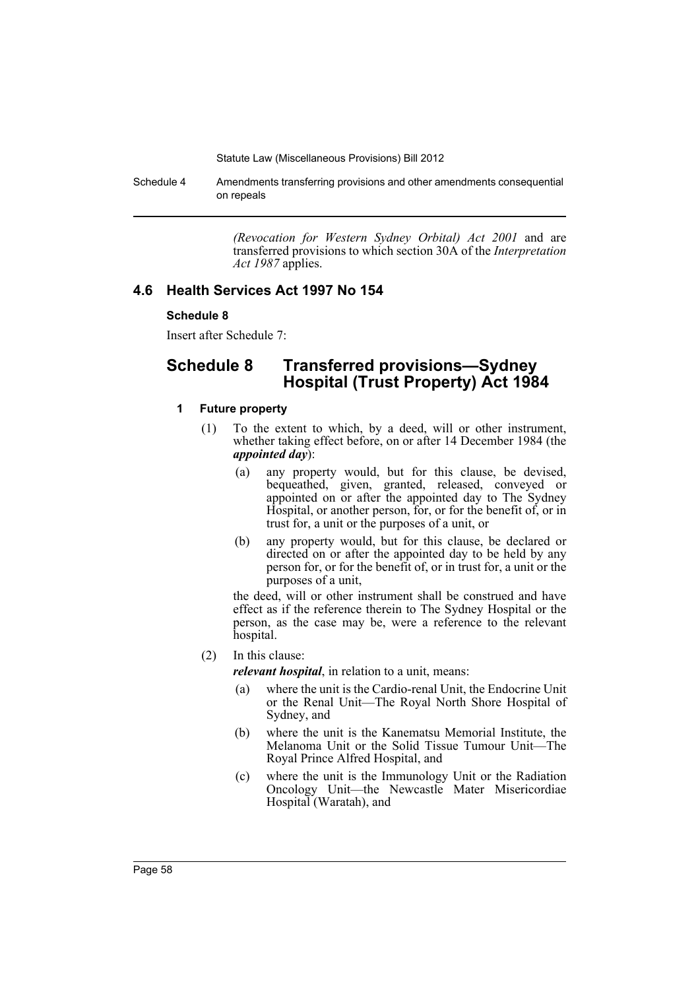Schedule 4 Amendments transferring provisions and other amendments consequential on repeals

> *(Revocation for Western Sydney Orbital) Act 2001* and are transferred provisions to which section 30A of the *Interpretation Act 1987* applies.

## **4.6 Health Services Act 1997 No 154**

### **Schedule 8**

Insert after Schedule 7:

# **Schedule 8 Transferred provisions—Sydney Hospital (Trust Property) Act 1984**

## **1 Future property**

- (1) To the extent to which, by a deed, will or other instrument, whether taking effect before, on or after 14 December 1984 (the *appointed day*):
	- (a) any property would, but for this clause, be devised, bequeathed, given, granted, released, conveyed or appointed on or after the appointed day to The Sydney Hospital, or another person, for, or for the benefit of, or in trust for, a unit or the purposes of a unit, or
	- (b) any property would, but for this clause, be declared or directed on or after the appointed day to be held by any person for, or for the benefit of, or in trust for, a unit or the purposes of a unit,

the deed, will or other instrument shall be construed and have effect as if the reference therein to The Sydney Hospital or the person, as the case may be, were a reference to the relevant hospital.

(2) In this clause:

*relevant hospital*, in relation to a unit, means:

- (a) where the unit is the Cardio-renal Unit, the Endocrine Unit or the Renal Unit—The Royal North Shore Hospital of Sydney, and
- (b) where the unit is the Kanematsu Memorial Institute, the Melanoma Unit or the Solid Tissue Tumour Unit—The Royal Prince Alfred Hospital, and
- (c) where the unit is the Immunology Unit or the Radiation Oncology Unit—the Newcastle Mater Misericordiae Hospital (Waratah), and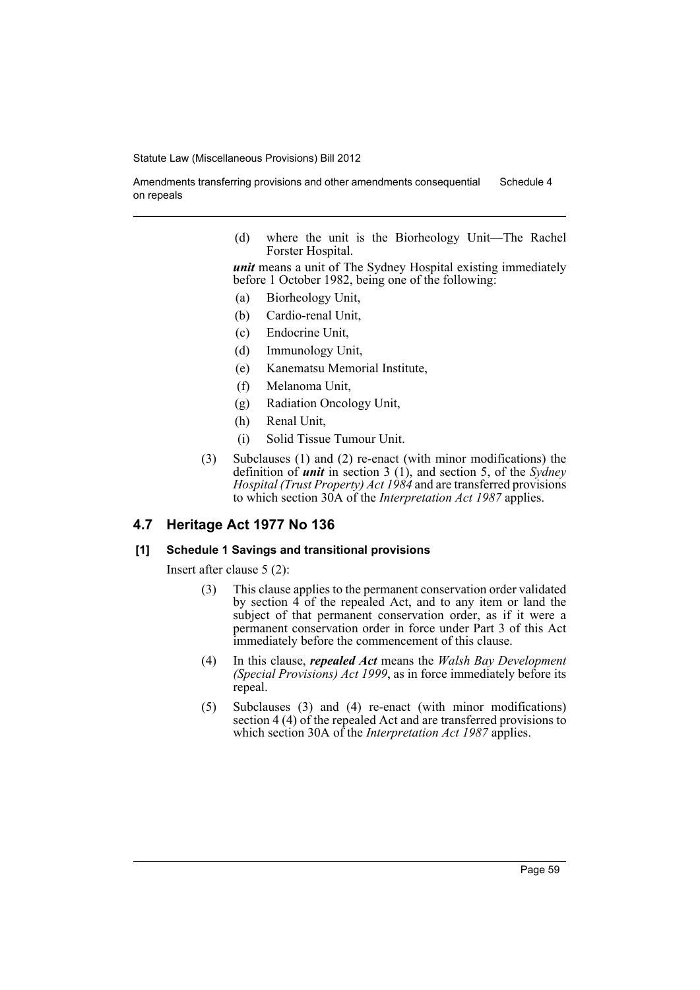Amendments transferring provisions and other amendments consequential on repeals Schedule 4

> (d) where the unit is the Biorheology Unit—The Rachel Forster Hospital.

> *unit* means a unit of The Sydney Hospital existing immediately before 1 October 1982, being one of the following:

- (a) Biorheology Unit,
- (b) Cardio-renal Unit,
- (c) Endocrine Unit,
- (d) Immunology Unit,
- (e) Kanematsu Memorial Institute,
- (f) Melanoma Unit,
- (g) Radiation Oncology Unit,
- (h) Renal Unit,
- (i) Solid Tissue Tumour Unit.
- (3) Subclauses (1) and (2) re-enact (with minor modifications) the definition of *unit* in section 3 (1), and section 5, of the *Sydney Hospital (Trust Property) Act 1984* and are transferred provisions to which section 30A of the *Interpretation Act 1987* applies.

### **4.7 Heritage Act 1977 No 136**

### **[1] Schedule 1 Savings and transitional provisions**

Insert after clause 5 (2):

- (3) This clause applies to the permanent conservation order validated by section 4 of the repealed Act, and to any item or land the subject of that permanent conservation order, as if it were a permanent conservation order in force under Part 3 of this Act immediately before the commencement of this clause.
- (4) In this clause, *repealed Act* means the *Walsh Bay Development (Special Provisions) Act 1999*, as in force immediately before its repeal.
- (5) Subclauses (3) and (4) re-enact (with minor modifications) section 4 (4) of the repealed Act and are transferred provisions to which section 30A of the *Interpretation Act 1987* applies.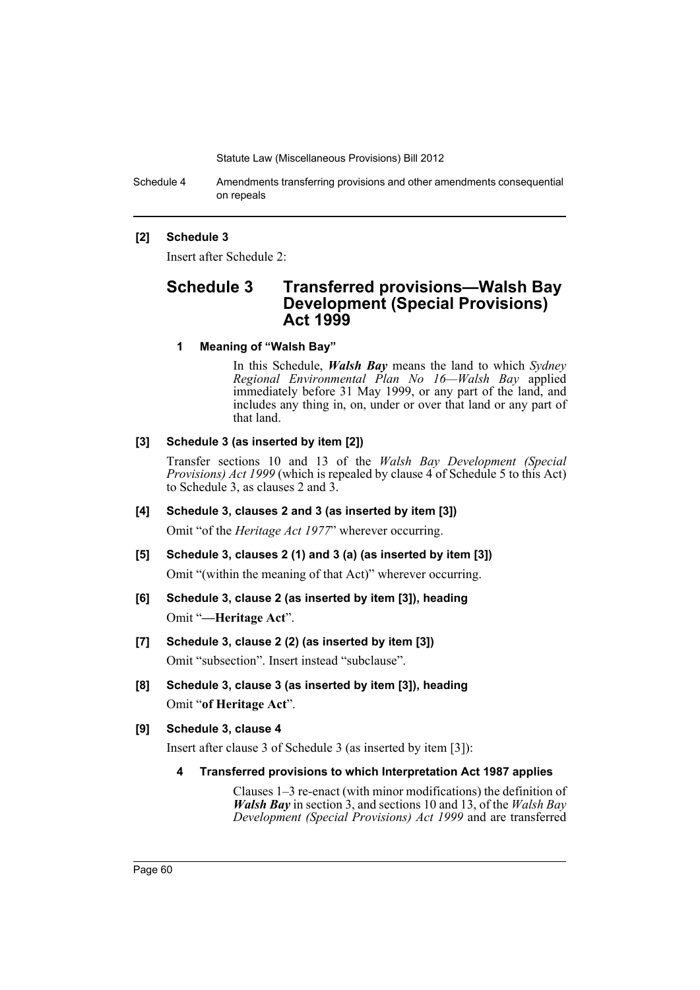Schedule 4 Amendments transferring provisions and other amendments consequential on repeals

### **[2] Schedule 3**

Insert after Schedule 2:

# **Schedule 3 Transferred provisions—Walsh Bay Development (Special Provisions) Act 1999**

**1 Meaning of "Walsh Bay"**

In this Schedule, *Walsh Bay* means the land to which *Sydney Regional Environmental Plan No 16—Walsh Bay* applied immediately before 31 May 1999, or any part of the land, and includes any thing in, on, under or over that land or any part of that land.

### **[3] Schedule 3 (as inserted by item [2])**

Transfer sections 10 and 13 of the *Walsh Bay Development (Special Provisions) Act 1999* (which is repealed by clause 4 of Schedule 5 to this Act) to Schedule 3, as clauses 2 and 3.

### **[4] Schedule 3, clauses 2 and 3 (as inserted by item [3])**

Omit "of the *Heritage Act 1977*" wherever occurring.

- **[5] Schedule 3, clauses 2 (1) and 3 (a) (as inserted by item [3])** Omit "(within the meaning of that Act)" wherever occurring.
- **[6] Schedule 3, clause 2 (as inserted by item [3]), heading** Omit "**—Heritage Act**".
- **[7] Schedule 3, clause 2 (2) (as inserted by item [3])** Omit "subsection". Insert instead "subclause".
- **[8] Schedule 3, clause 3 (as inserted by item [3]), heading** Omit "**of Heritage Act**".

### **[9] Schedule 3, clause 4**

Insert after clause 3 of Schedule 3 (as inserted by item [3]):

**4 Transferred provisions to which Interpretation Act 1987 applies**

Clauses 1–3 re-enact (with minor modifications) the definition of *Walsh Bay* in section 3, and sections 10 and 13, of the *Walsh Bay Development (Special Provisions) Act 1999* and are transferred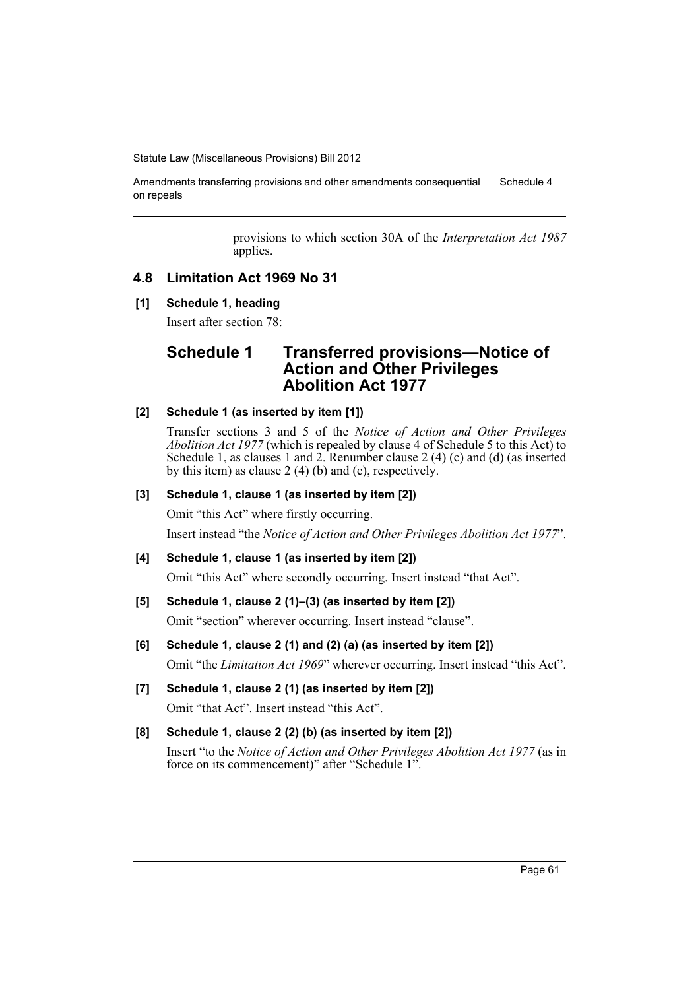Amendments transferring provisions and other amendments consequential on repeals Schedule 4

> provisions to which section 30A of the *Interpretation Act 1987* applies.

## **4.8 Limitation Act 1969 No 31**

### **[1] Schedule 1, heading**

Insert after section 78:

# **Schedule 1 Transferred provisions—Notice of Action and Other Privileges Abolition Act 1977**

## **[2] Schedule 1 (as inserted by item [1])**

Transfer sections 3 and 5 of the *Notice of Action and Other Privileges Abolition Act 1977* (which is repealed by clause 4 of Schedule 5 to this Act) to Schedule 1, as clauses 1 and 2. Renumber clause 2 (4) (c) and (d) (as inserted by this item) as clause 2 (4) (b) and (c), respectively.

## **[3] Schedule 1, clause 1 (as inserted by item [2])**

Omit "this Act" where firstly occurring.

Insert instead "the *Notice of Action and Other Privileges Abolition Act 1977*".

### **[4] Schedule 1, clause 1 (as inserted by item [2])**

Omit "this Act" where secondly occurring. Insert instead "that Act".

### **[5] Schedule 1, clause 2 (1)–(3) (as inserted by item [2])**

Omit "section" wherever occurring. Insert instead "clause".

- **[6] Schedule 1, clause 2 (1) and (2) (a) (as inserted by item [2])** Omit "the *Limitation Act 1969*" wherever occurring. Insert instead "this Act".
- **[7] Schedule 1, clause 2 (1) (as inserted by item [2])** Omit "that Act". Insert instead "this Act".

### **[8] Schedule 1, clause 2 (2) (b) (as inserted by item [2])**

Insert "to the *Notice of Action and Other Privileges Abolition Act 1977* (as in force on its commencement)" after "Schedule 1".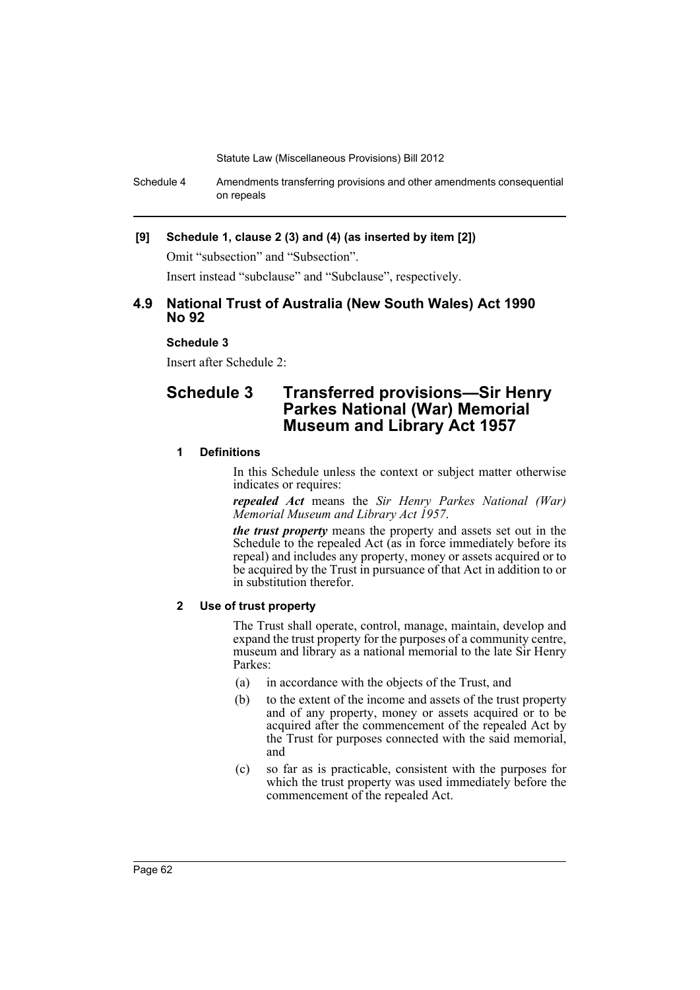Schedule 4 Amendments transferring provisions and other amendments consequential on repeals

### **[9] Schedule 1, clause 2 (3) and (4) (as inserted by item [2])**

Omit "subsection" and "Subsection".

Insert instead "subclause" and "Subclause", respectively.

## **4.9 National Trust of Australia (New South Wales) Act 1990 No 92**

### **Schedule 3**

Insert after Schedule 2:

# **Schedule 3 Transferred provisions—Sir Henry Parkes National (War) Memorial Museum and Library Act 1957**

### **1 Definitions**

In this Schedule unless the context or subject matter otherwise indicates or requires:

*repealed Act* means the *Sir Henry Parkes National (War) Memorial Museum and Library Act 1957*.

*the trust property* means the property and assets set out in the Schedule to the repealed Act (as in force immediately before its repeal) and includes any property, money or assets acquired or to be acquired by the Trust in pursuance of that Act in addition to or in substitution therefor.

## **2 Use of trust property**

The Trust shall operate, control, manage, maintain, develop and expand the trust property for the purposes of a community centre, museum and library as a national memorial to the late Sir Henry Parkes:

- (a) in accordance with the objects of the Trust, and
- (b) to the extent of the income and assets of the trust property and of any property, money or assets acquired or to be acquired after the commencement of the repealed Act by the Trust for purposes connected with the said memorial, and
- (c) so far as is practicable, consistent with the purposes for which the trust property was used immediately before the commencement of the repealed Act.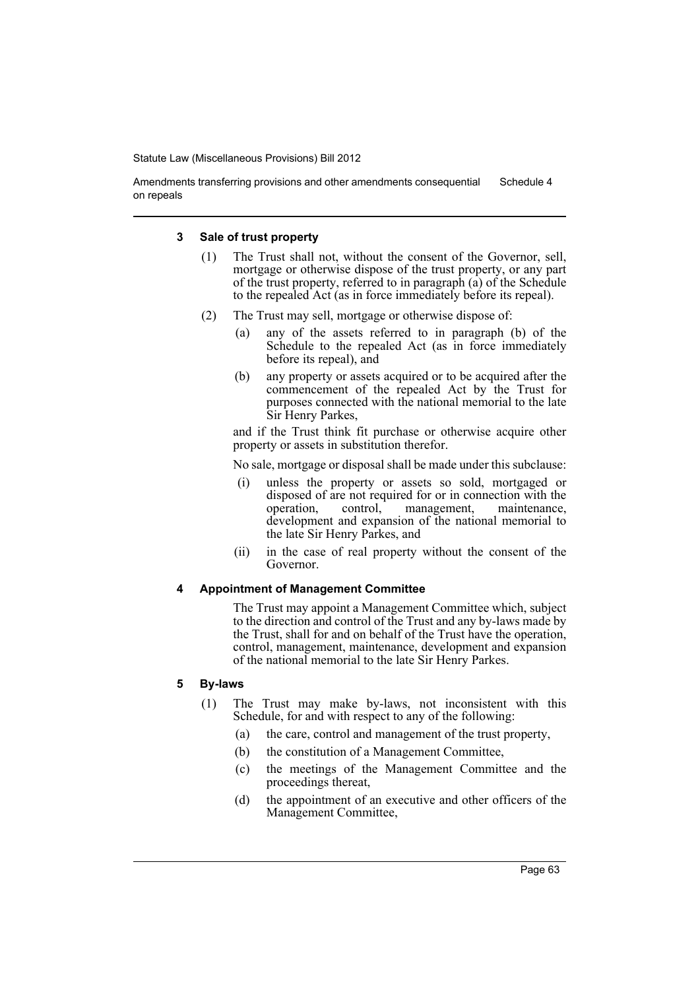Amendments transferring provisions and other amendments consequential on repeals Schedule 4

### **3 Sale of trust property**

- (1) The Trust shall not, without the consent of the Governor, sell, mortgage or otherwise dispose of the trust property, or any part of the trust property, referred to in paragraph (a) of the Schedule to the repealed Act (as in force immediately before its repeal).
- (2) The Trust may sell, mortgage or otherwise dispose of:
	- (a) any of the assets referred to in paragraph (b) of the Schedule to the repealed Act (as in force immediately before its repeal), and
	- (b) any property or assets acquired or to be acquired after the commencement of the repealed Act by the Trust for purposes connected with the national memorial to the late Sir Henry Parkes,

and if the Trust think fit purchase or otherwise acquire other property or assets in substitution therefor.

No sale, mortgage or disposal shall be made under this subclause:

- (i) unless the property or assets so sold, mortgaged or disposed of are not required for or in connection with the operation, control, management, maintenance, management, development and expansion of the national memorial to the late Sir Henry Parkes, and
- (ii) in the case of real property without the consent of the Governor.

### **4 Appointment of Management Committee**

The Trust may appoint a Management Committee which, subject to the direction and control of the Trust and any by-laws made by the Trust, shall for and on behalf of the Trust have the operation, control, management, maintenance, development and expansion of the national memorial to the late Sir Henry Parkes.

### **5 By-laws**

- (1) The Trust may make by-laws, not inconsistent with this Schedule, for and with respect to any of the following:
	- (a) the care, control and management of the trust property,
	- (b) the constitution of a Management Committee,
	- (c) the meetings of the Management Committee and the proceedings thereat,
	- (d) the appointment of an executive and other officers of the Management Committee,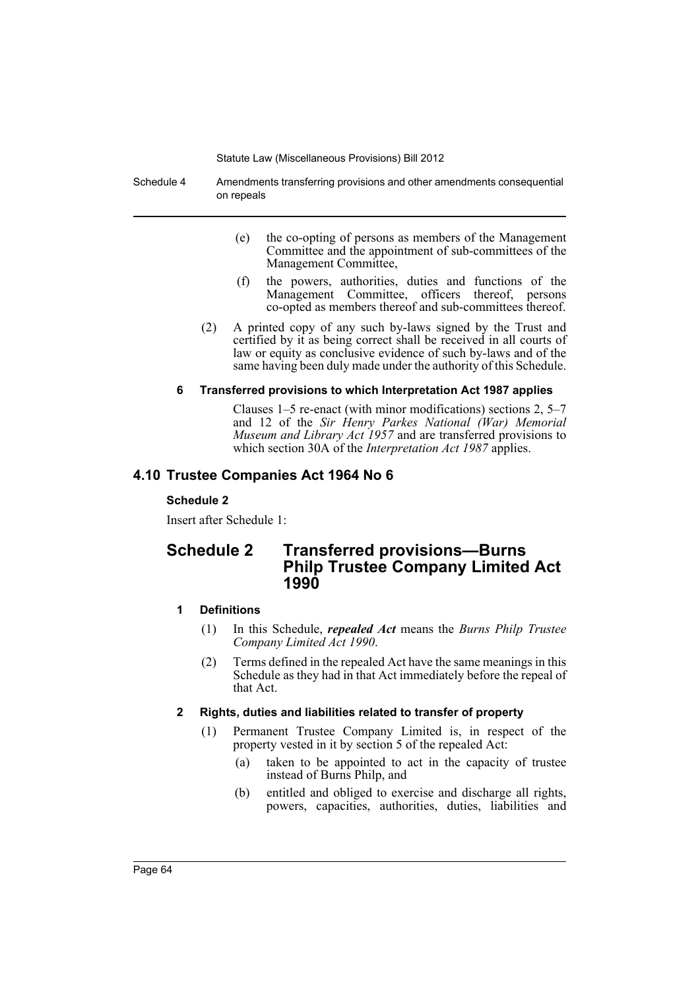Schedule 4 Amendments transferring provisions and other amendments consequential on repeals

- (e) the co-opting of persons as members of the Management Committee and the appointment of sub-committees of the Management Committee,
- (f) the powers, authorities, duties and functions of the Management Committee, officers thereof, persons co-opted as members thereof and sub-committees thereof.
- (2) A printed copy of any such by-laws signed by the Trust and certified by it as being correct shall be received in all courts of law or equity as conclusive evidence of such by-laws and of the same having been duly made under the authority of this Schedule.

### **6 Transferred provisions to which Interpretation Act 1987 applies**

Clauses 1–5 re-enact (with minor modifications) sections 2, 5–7 and 12 of the *Sir Henry Parkes National (War) Memorial Museum and Library Act 1957* and are transferred provisions to which section 30A of the *Interpretation Act 1987* applies.

# **4.10 Trustee Companies Act 1964 No 6**

### **Schedule 2**

Insert after Schedule 1:

# **Schedule 2 Transferred provisions—Burns Philp Trustee Company Limited Act 1990**

## **1 Definitions**

- (1) In this Schedule, *repealed Act* means the *Burns Philp Trustee Company Limited Act 1990*.
- (2) Terms defined in the repealed Act have the same meanings in this Schedule as they had in that Act immediately before the repeal of that Act.

## **2 Rights, duties and liabilities related to transfer of property**

- (1) Permanent Trustee Company Limited is, in respect of the property vested in it by section 5 of the repealed Act:
	- (a) taken to be appointed to act in the capacity of trustee instead of Burns Philp, and
	- (b) entitled and obliged to exercise and discharge all rights, powers, capacities, authorities, duties, liabilities and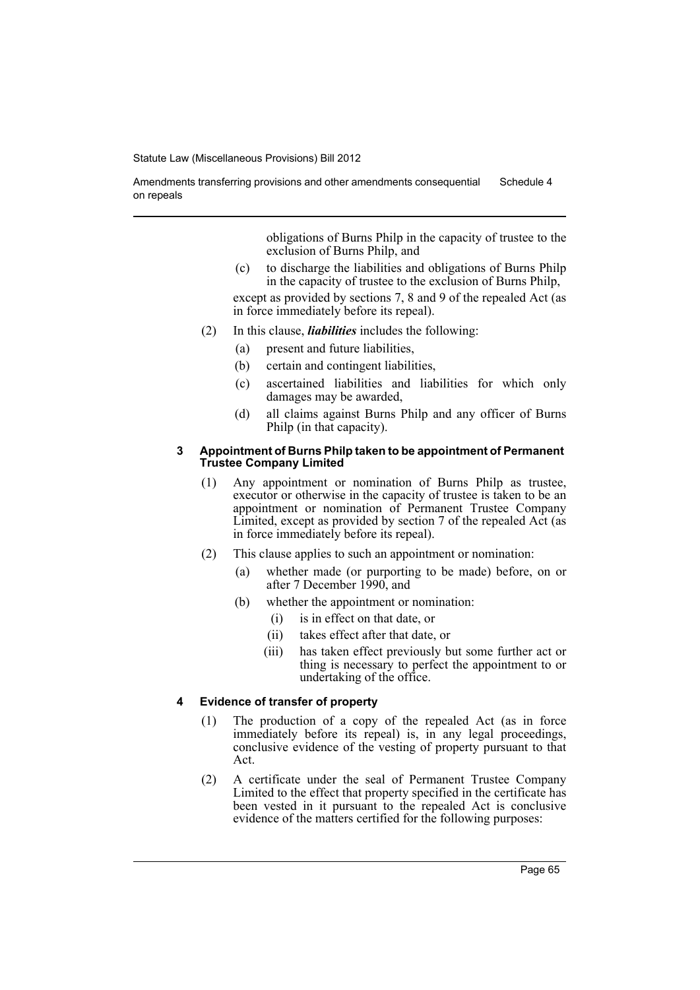Amendments transferring provisions and other amendments consequential on repeals Schedule 4

> obligations of Burns Philp in the capacity of trustee to the exclusion of Burns Philp, and

(c) to discharge the liabilities and obligations of Burns Philp in the capacity of trustee to the exclusion of Burns Philp,

except as provided by sections 7, 8 and 9 of the repealed Act (as in force immediately before its repeal).

- (2) In this clause, *liabilities* includes the following:
	- (a) present and future liabilities,
	- (b) certain and contingent liabilities,
	- (c) ascertained liabilities and liabilities for which only damages may be awarded,
	- (d) all claims against Burns Philp and any officer of Burns Philp (in that capacity).

### **3 Appointment of Burns Philp taken to be appointment of Permanent Trustee Company Limited**

- (1) Any appointment or nomination of Burns Philp as trustee, executor or otherwise in the capacity of trustee is taken to be an appointment or nomination of Permanent Trustee Company Limited, except as provided by section 7 of the repealed Act (as in force immediately before its repeal).
- (2) This clause applies to such an appointment or nomination:
	- (a) whether made (or purporting to be made) before, on or after 7 December 1990, and
	- (b) whether the appointment or nomination:
		- (i) is in effect on that date, or
		- (ii) takes effect after that date, or
		- (iii) has taken effect previously but some further act or thing is necessary to perfect the appointment to or undertaking of the office.

## **4 Evidence of transfer of property**

- (1) The production of a copy of the repealed Act (as in force immediately before its repeal) is, in any legal proceedings, conclusive evidence of the vesting of property pursuant to that Act.
- (2) A certificate under the seal of Permanent Trustee Company Limited to the effect that property specified in the certificate has been vested in it pursuant to the repealed Act is conclusive evidence of the matters certified for the following purposes: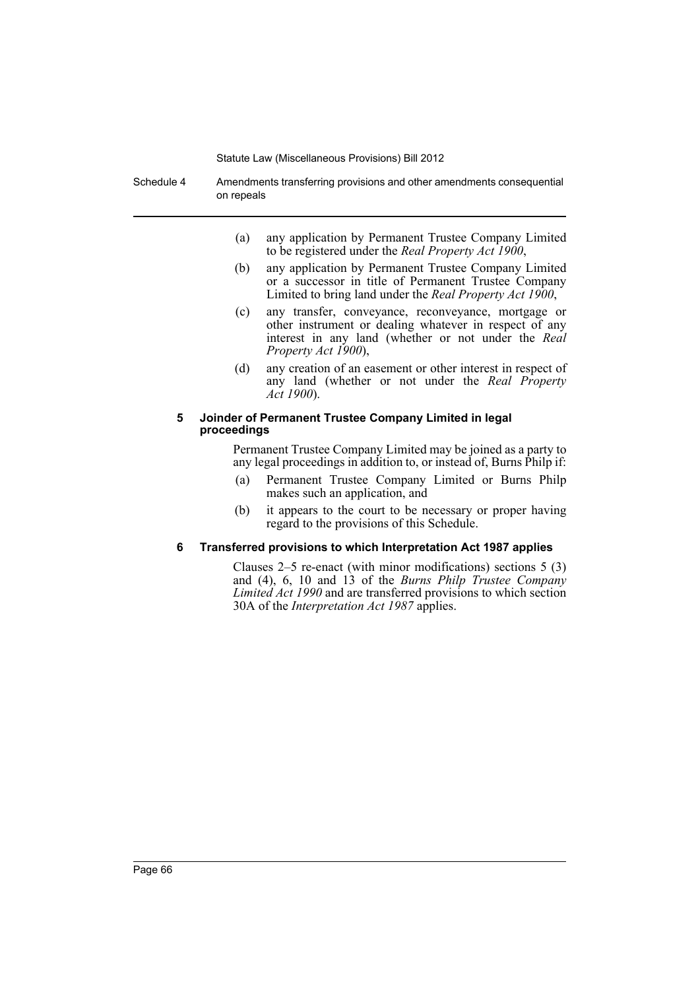Schedule 4 Amendments transferring provisions and other amendments consequential on repeals

- (a) any application by Permanent Trustee Company Limited to be registered under the *Real Property Act 1900*,
- (b) any application by Permanent Trustee Company Limited or a successor in title of Permanent Trustee Company Limited to bring land under the *Real Property Act 1900*,
- (c) any transfer, conveyance, reconveyance, mortgage or other instrument or dealing whatever in respect of any interest in any land (whether or not under the *Real Property Act 1900*),
- (d) any creation of an easement or other interest in respect of any land (whether or not under the *Real Property Act 1900*).

### **5 Joinder of Permanent Trustee Company Limited in legal proceedings**

Permanent Trustee Company Limited may be joined as a party to any legal proceedings in addition to, or instead of, Burns Philp if:

- (a) Permanent Trustee Company Limited or Burns Philp makes such an application, and
- (b) it appears to the court to be necessary or proper having regard to the provisions of this Schedule.

### **6 Transferred provisions to which Interpretation Act 1987 applies**

Clauses 2–5 re-enact (with minor modifications) sections 5 (3) and (4), 6, 10 and 13 of the *Burns Philp Trustee Company Limited Act 1990* and are transferred provisions to which section 30A of the *Interpretation Act 1987* applies.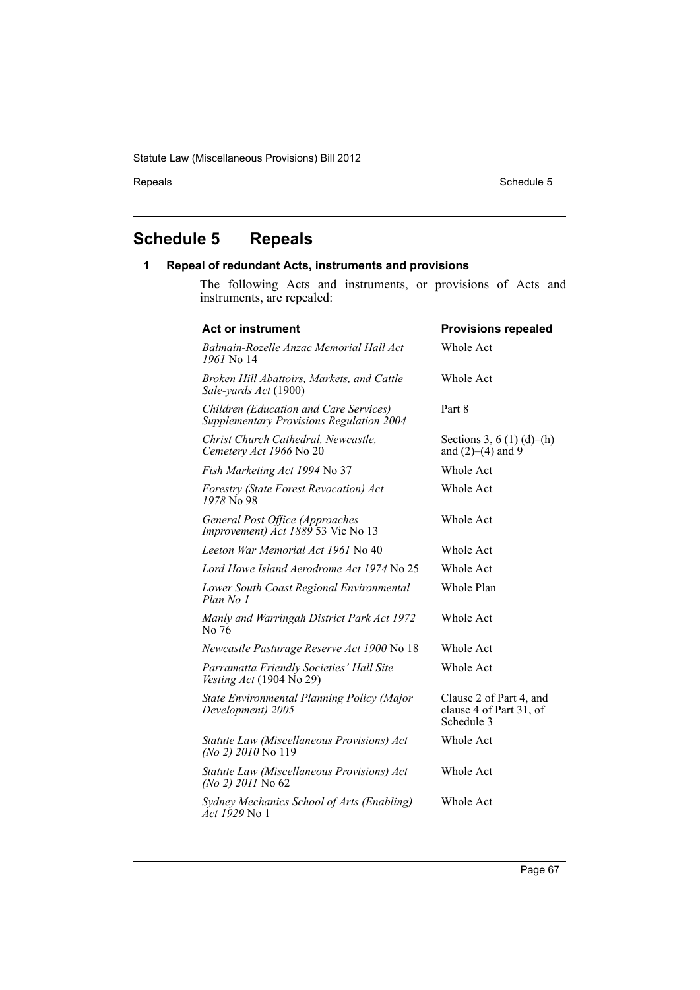# **Schedule 5 Repeals**

# **1 Repeal of redundant Acts, instruments and provisions**

The following Acts and instruments, or provisions of Acts and instruments, are repealed:

| <b>Act or instrument</b>                                                           | <b>Provisions repealed</b>                                       |
|------------------------------------------------------------------------------------|------------------------------------------------------------------|
| Balmain-Rozelle Anzac Memorial Hall Act<br>1961 No 14                              | Whole Act                                                        |
| Broken Hill Abattoirs, Markets, and Cattle<br>Sale-yards Act (1900)                | Whole Act                                                        |
| Children (Education and Care Services)<br>Supplementary Provisions Regulation 2004 | Part 8                                                           |
| Christ Church Cathedral, Newcastle,<br>Cemetery Act 1966 No 20                     | Sections 3, 6 (1) (d)–(h)<br>and $(2)–(4)$ and 9                 |
| Fish Marketing Act 1994 No 37                                                      | Whole Act                                                        |
| Forestry (State Forest Revocation) Act<br>1978 No. 98                              | Whole Act                                                        |
| General Post Office (Approaches<br>Improvement) Act 1889 53 Vic No 13              | Whole Act                                                        |
| Leeton War Memorial Act 1961 No 40                                                 | Whole Act                                                        |
| Lord Howe Island Aerodrome Act 1974 No 25                                          | <b>Whole Act</b>                                                 |
| Lower South Coast Regional Environmental<br>Plan No 1                              | Whole Plan                                                       |
| Manly and Warringah District Park Act 1972<br>No 76                                | <b>Whole Act</b>                                                 |
| Newcastle Pasturage Reserve Act 1900 No 18                                         | <b>Whole Act</b>                                                 |
| Parramatta Friendly Societies' Hall Site<br>Vesting $Act(1904\text{ No }29)$       | Whole Act                                                        |
| State Environmental Planning Policy (Major<br>Development) 2005                    | Clause 2 of Part 4, and<br>clause 4 of Part 31, of<br>Schedule 3 |
| Statute Law (Miscellaneous Provisions) Act<br>(No 2) 2010 No 119                   | Whole Act                                                        |
| Statute Law (Miscellaneous Provisions) Act<br>(No 2) 2011 No 62                    | Whole Act                                                        |
| Sydney Mechanics School of Arts (Enabling)<br><i>Act 1929</i> No 1                 | Whole Act                                                        |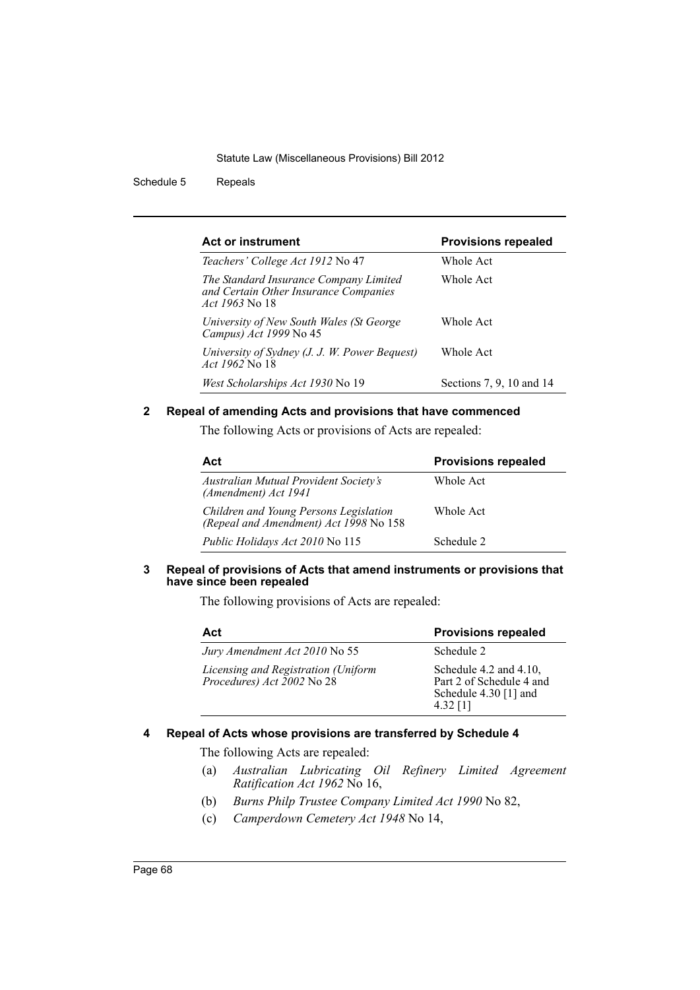Schedule 5 Repeals

| Act or instrument                                                                                        | <b>Provisions repealed</b> |
|----------------------------------------------------------------------------------------------------------|----------------------------|
| Teachers' College Act 1912 No 47                                                                         | Whole Act                  |
| The Standard Insurance Company Limited<br>and Certain Other Insurance Companies<br><i>Act 1963</i> No 18 | Whole Act                  |
| University of New South Wales (St George<br>Campus) Act 1999 No 45                                       | Whole Act                  |
| University of Sydney (J. J. W. Power Bequest)<br><i>Act 1962</i> No 18                                   | Whole Act                  |
| West Scholarships Act 1930 No 19                                                                         | Sections 7, 9, 10 and 14   |

## **2 Repeal of amending Acts and provisions that have commenced**

The following Acts or provisions of Acts are repealed:

| Act                                                                              | <b>Provisions repealed</b> |
|----------------------------------------------------------------------------------|----------------------------|
| Australian Mutual Provident Society's<br>(Amendment) Act 1941                    | Whole Act                  |
| Children and Young Persons Legislation<br>(Repeal and Amendment) Act 1998 No 158 | Whole Act                  |
| Public Holidays Act 2010 No 115                                                  | Schedule 2                 |

### **3 Repeal of provisions of Acts that amend instruments or provisions that have since been repealed**

The following provisions of Acts are repealed:

| Act                                                                         | <b>Provisions repealed</b>                                                                  |
|-----------------------------------------------------------------------------|---------------------------------------------------------------------------------------------|
| Jury Amendment Act 2010 No 55                                               | Schedule 2                                                                                  |
| Licensing and Registration (Uniform<br>Procedures) Act $\check{2002}$ No 28 | Schedule 4.2 and 4.10.<br>Part 2 of Schedule 4 and<br>Schedule $4.30$ [1] and<br>$4.32$ [1] |

# **4 Repeal of Acts whose provisions are transferred by Schedule 4**

The following Acts are repealed:

- (a) *Australian Lubricating Oil Refinery Limited Agreement Ratification Act 1962* No 16,
- (b) *Burns Philp Trustee Company Limited Act 1990* No 82,
- (c) *Camperdown Cemetery Act 1948* No 14,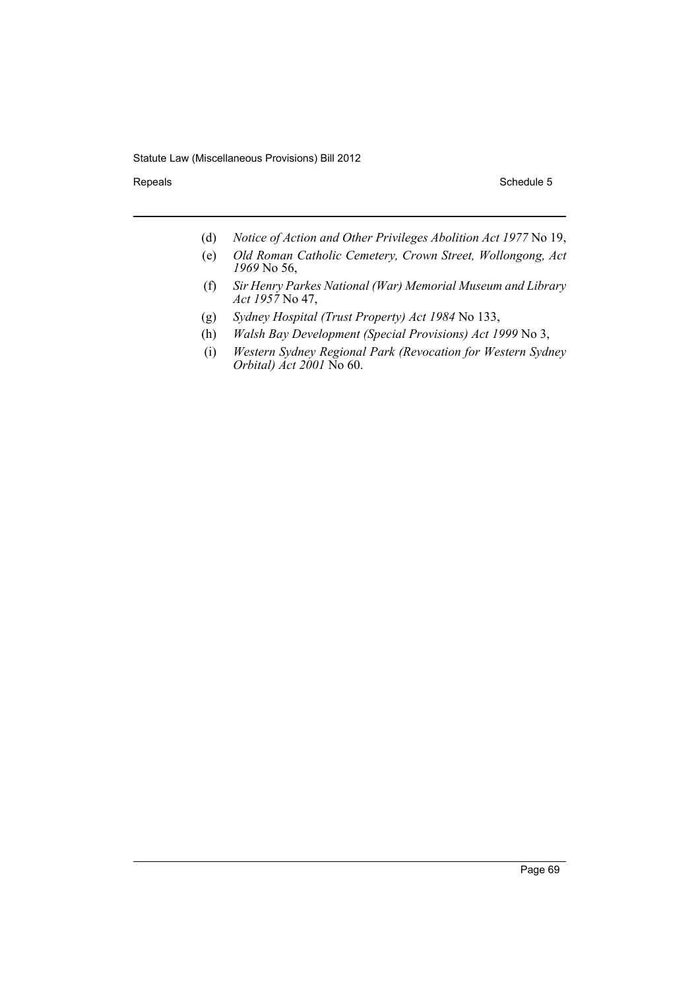- (d) *Notice of Action and Other Privileges Abolition Act 1977* No 19,
- (e) *Old Roman Catholic Cemetery, Crown Street, Wollongong, Act 1969* No 56,
- (f) *Sir Henry Parkes National (War) Memorial Museum and Library Act 1957* No 47,
- (g) *Sydney Hospital (Trust Property) Act 1984* No 133,
- (h) *Walsh Bay Development (Special Provisions) Act 1999* No 3,
- (i) *Western Sydney Regional Park (Revocation for Western Sydney Orbital) Act 2001* No 60.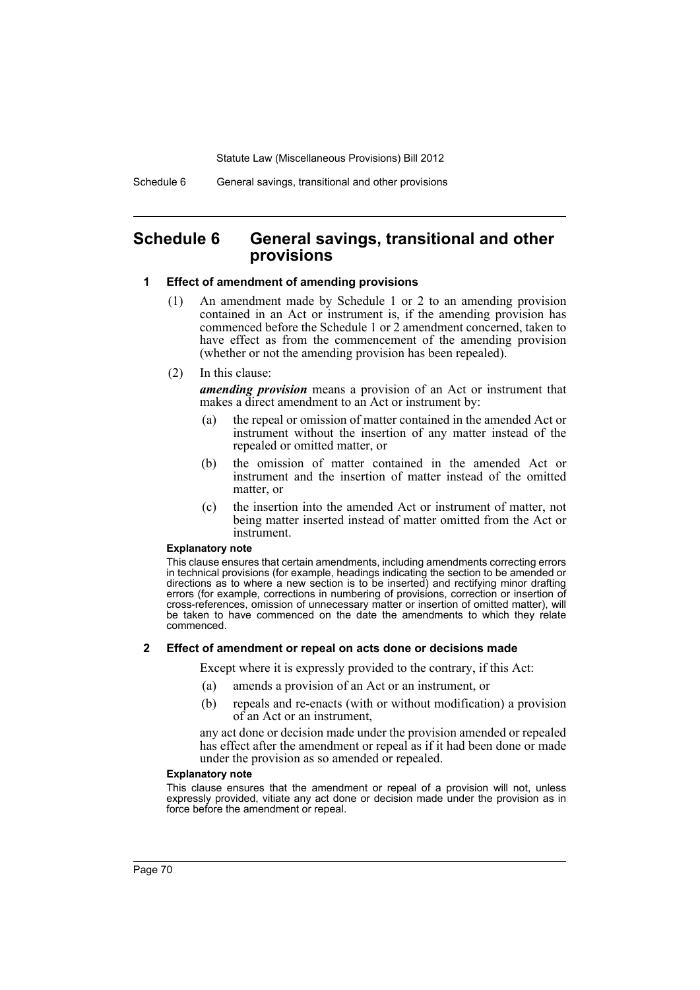# **Schedule 6 General savings, transitional and other provisions**

#### **1 Effect of amendment of amending provisions**

- (1) An amendment made by Schedule 1 or 2 to an amending provision contained in an Act or instrument is, if the amending provision has commenced before the Schedule 1 or 2 amendment concerned, taken to have effect as from the commencement of the amending provision (whether or not the amending provision has been repealed).
- (2) In this clause:

*amending provision* means a provision of an Act or instrument that makes a direct amendment to an Act or instrument by:

- (a) the repeal or omission of matter contained in the amended Act or instrument without the insertion of any matter instead of the repealed or omitted matter, or
- (b) the omission of matter contained in the amended Act or instrument and the insertion of matter instead of the omitted matter, or
- (c) the insertion into the amended Act or instrument of matter, not being matter inserted instead of matter omitted from the Act or instrument.

#### **Explanatory note**

This clause ensures that certain amendments, including amendments correcting errors in technical provisions (for example, headings indicating the section to be amended or directions as to where a new section is to be inserted) and rectifying minor drafting errors (for example, corrections in numbering of provisions, correction or insertion of cross-references, omission of unnecessary matter or insertion of omitted matter), will be taken to have commenced on the date the amendments to which they relate commenced.

### **2 Effect of amendment or repeal on acts done or decisions made**

Except where it is expressly provided to the contrary, if this Act:

- (a) amends a provision of an Act or an instrument, or
- (b) repeals and re-enacts (with or without modification) a provision of an Act or an instrument,

any act done or decision made under the provision amended or repealed has effect after the amendment or repeal as if it had been done or made under the provision as so amended or repealed.

#### **Explanatory note**

This clause ensures that the amendment or repeal of a provision will not, unless expressly provided, vitiate any act done or decision made under the provision as in force before the amendment or repeal.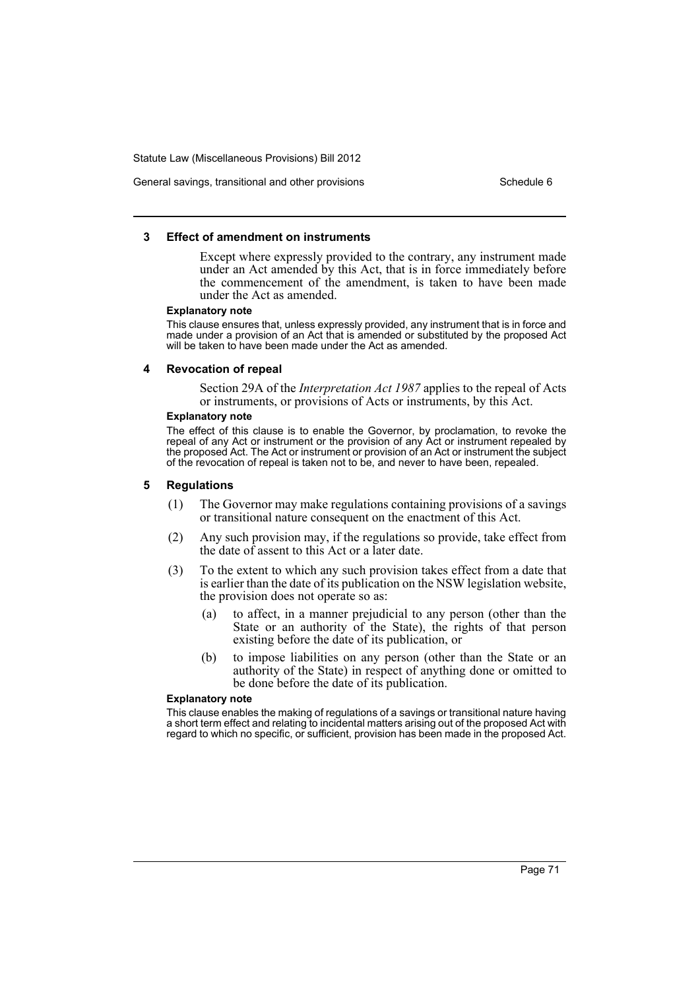## General savings, transitional and other provisions Schedule 6 Schedule 6

## **3 Effect of amendment on instruments**

Except where expressly provided to the contrary, any instrument made under an Act amended by this Act, that is in force immediately before the commencement of the amendment, is taken to have been made under the Act as amended.

#### **Explanatory note**

This clause ensures that, unless expressly provided, any instrument that is in force and made under a provision of an Act that is amended or substituted by the proposed Act will be taken to have been made under the Act as amended.

#### **4 Revocation of repeal**

Section 29A of the *Interpretation Act 1987* applies to the repeal of Acts or instruments, or provisions of Acts or instruments, by this Act.

## **Explanatory note**

The effect of this clause is to enable the Governor, by proclamation, to revoke the repeal of any Act or instrument or the provision of any Act or instrument repealed by the proposed Act. The Act or instrument or provision of an Act or instrument the subject of the revocation of repeal is taken not to be, and never to have been, repealed.

## **5 Regulations**

- (1) The Governor may make regulations containing provisions of a savings or transitional nature consequent on the enactment of this Act.
- (2) Any such provision may, if the regulations so provide, take effect from the date of assent to this Act or a later date.
- (3) To the extent to which any such provision takes effect from a date that is earlier than the date of its publication on the NSW legislation website, the provision does not operate so as:
	- (a) to affect, in a manner prejudicial to any person (other than the State or an authority of the State), the rights of that person existing before the date of its publication, or
	- (b) to impose liabilities on any person (other than the State or an authority of the State) in respect of anything done or omitted to be done before the date of its publication.

#### **Explanatory note**

This clause enables the making of regulations of a savings or transitional nature having a short term effect and relating to incidental matters arising out of the proposed Act with regard to which no specific, or sufficient, provision has been made in the proposed Act.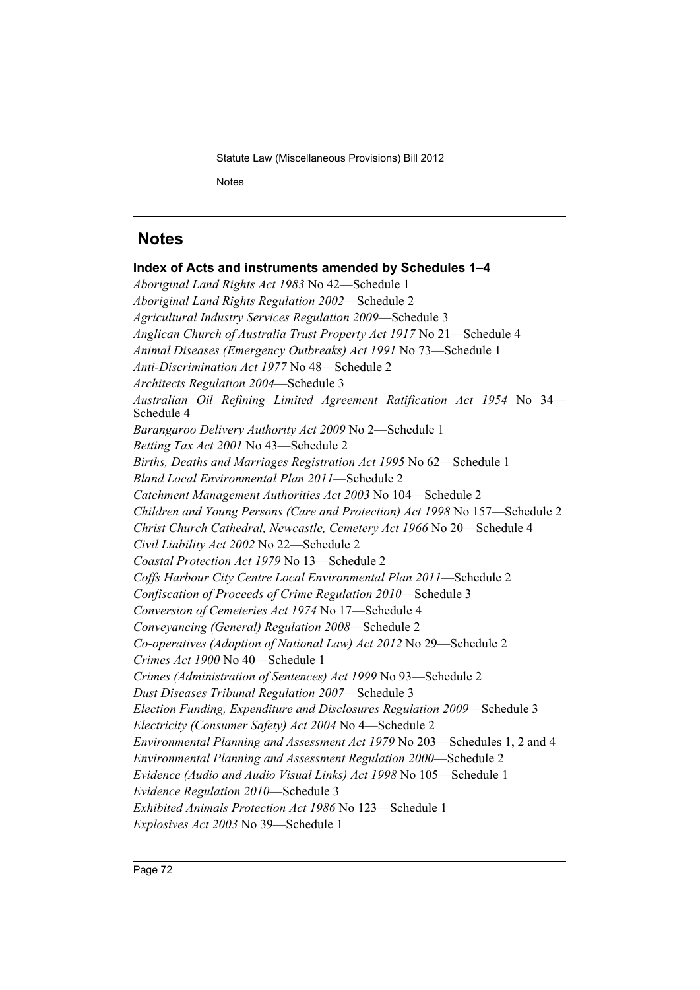Statute Law (Miscellaneous Provisions) Bill 2012 **Notes** 

# **Notes**

**Index of Acts and instruments amended by Schedules 1–4** *Aboriginal Land Rights Act 1983* No 42—Schedule 1 *Aboriginal Land Rights Regulation 2002*—Schedule 2 *Agricultural Industry Services Regulation 2009*—Schedule 3 *Anglican Church of Australia Trust Property Act 1917* No 21—Schedule 4 *Animal Diseases (Emergency Outbreaks) Act 1991* No 73—Schedule 1 *Anti-Discrimination Act 1977* No 48—Schedule 2 *Architects Regulation 2004*—Schedule 3 *Australian Oil Refining Limited Agreement Ratification Act 1954* No 34— Schedule 4 *Barangaroo Delivery Authority Act 2009* No 2—Schedule 1 *Betting Tax Act 2001* No 43—Schedule 2 *Births, Deaths and Marriages Registration Act 1995* No 62—Schedule 1 *Bland Local Environmental Plan 2011*—Schedule 2 *Catchment Management Authorities Act 2003* No 104—Schedule 2 *Children and Young Persons (Care and Protection) Act 1998* No 157—Schedule 2 *Christ Church Cathedral, Newcastle, Cemetery Act 1966* No 20—Schedule 4 *Civil Liability Act 2002* No 22—Schedule 2 *Coastal Protection Act 1979* No 13—Schedule 2 *Coffs Harbour City Centre Local Environmental Plan 2011*—Schedule 2 *Confiscation of Proceeds of Crime Regulation 2010*—Schedule 3 *Conversion of Cemeteries Act 1974* No 17—Schedule 4 *Conveyancing (General) Regulation 2008*—Schedule 2 *Co-operatives (Adoption of National Law) Act 2012* No 29—Schedule 2 *Crimes Act 1900* No 40—Schedule 1 *Crimes (Administration of Sentences) Act 1999* No 93—Schedule 2 *Dust Diseases Tribunal Regulation 2007*—Schedule 3 *Election Funding, Expenditure and Disclosures Regulation 2009*—Schedule 3 *Electricity (Consumer Safety) Act 2004* No 4—Schedule 2 *Environmental Planning and Assessment Act 1979* No 203—Schedules 1, 2 and 4 *Environmental Planning and Assessment Regulation 2000*—Schedule 2 *Evidence (Audio and Audio Visual Links) Act 1998* No 105—Schedule 1 *Evidence Regulation 2010*—Schedule 3 *Exhibited Animals Protection Act 1986* No 123—Schedule 1 *Explosives Act 2003* No 39—Schedule 1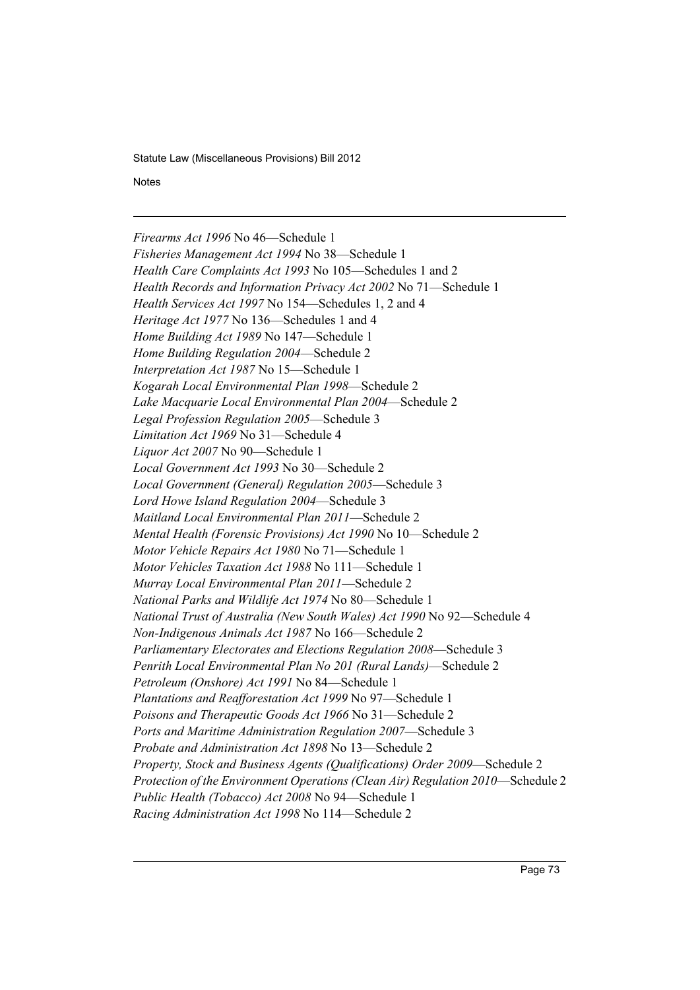**Notes** 

*Firearms Act 1996* No 46—Schedule 1 *Fisheries Management Act 1994* No 38—Schedule 1 *Health Care Complaints Act 1993* No 105—Schedules 1 and 2 *Health Records and Information Privacy Act 2002* No 71—Schedule 1 *Health Services Act 1997* No 154—Schedules 1, 2 and 4 *Heritage Act 1977* No 136—Schedules 1 and 4 *Home Building Act 1989* No 147—Schedule 1 *Home Building Regulation 2004*—Schedule 2 *Interpretation Act 1987* No 15—Schedule 1 *Kogarah Local Environmental Plan 1998*—Schedule 2 *Lake Macquarie Local Environmental Plan 2004*—Schedule 2 *Legal Profession Regulation 2005*—Schedule 3 *Limitation Act 1969* No 31—Schedule 4 *Liquor Act 2007* No 90—Schedule 1 *Local Government Act 1993* No 30—Schedule 2 *Local Government (General) Regulation 2005*—Schedule 3 *Lord Howe Island Regulation 2004*—Schedule 3 *Maitland Local Environmental Plan 2011*—Schedule 2 *Mental Health (Forensic Provisions) Act 1990* No 10—Schedule 2 *Motor Vehicle Repairs Act 1980* No 71—Schedule 1 *Motor Vehicles Taxation Act 1988* No 111—Schedule 1 *Murray Local Environmental Plan 2011*—Schedule 2 *National Parks and Wildlife Act 1974* No 80—Schedule 1 *National Trust of Australia (New South Wales) Act 1990* No 92—Schedule 4 *Non-Indigenous Animals Act 1987* No 166—Schedule 2 *Parliamentary Electorates and Elections Regulation 2008*—Schedule 3 *Penrith Local Environmental Plan No 201 (Rural Lands)*—Schedule 2 *Petroleum (Onshore) Act 1991* No 84—Schedule 1 *Plantations and Reafforestation Act 1999* No 97—Schedule 1 *Poisons and Therapeutic Goods Act 1966* No 31—Schedule 2 *Ports and Maritime Administration Regulation 2007*—Schedule 3 *Probate and Administration Act 1898* No 13—Schedule 2 *Property, Stock and Business Agents (Qualifications) Order 2009*—Schedule 2 *Protection of the Environment Operations (Clean Air) Regulation 2010*—Schedule 2 *Public Health (Tobacco) Act 2008* No 94—Schedule 1 *Racing Administration Act 1998* No 114—Schedule 2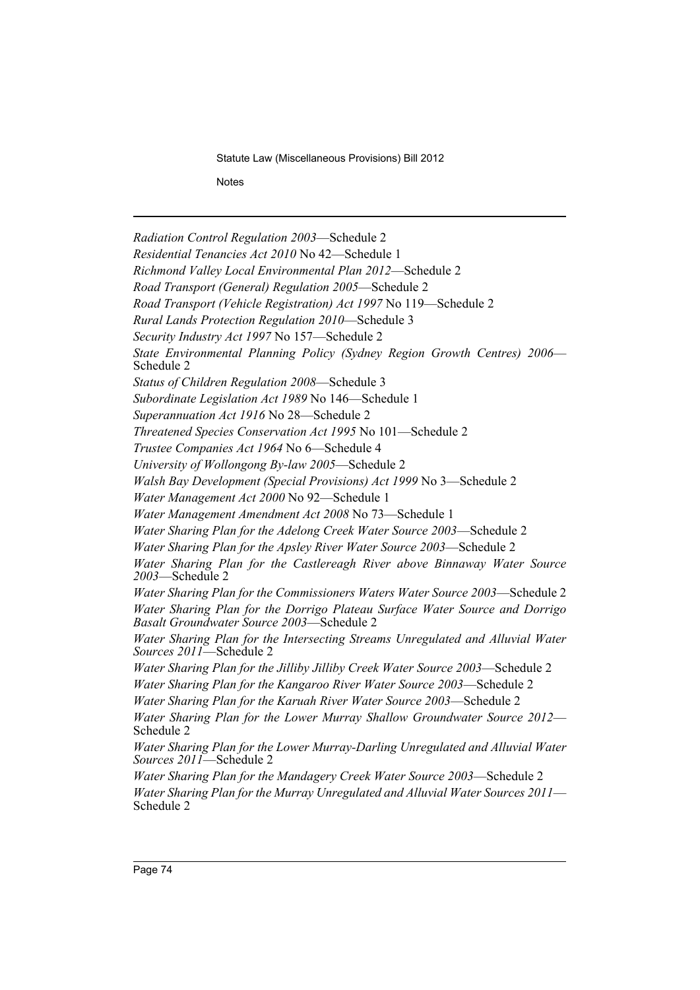**Notes** 

*Radiation Control Regulation 2003*—Schedule 2 *Residential Tenancies Act 2010* No 42—Schedule 1 *Richmond Valley Local Environmental Plan 2012*—Schedule 2 *Road Transport (General) Regulation 2005*—Schedule 2 *Road Transport (Vehicle Registration) Act 1997* No 119—Schedule 2 *Rural Lands Protection Regulation 2010*—Schedule 3 *Security Industry Act 1997* No 157—Schedule 2 *State Environmental Planning Policy (Sydney Region Growth Centres) 2006*— Schedule 2 *Status of Children Regulation 2008*—Schedule 3 *Subordinate Legislation Act 1989* No 146—Schedule 1 *Superannuation Act 1916* No 28—Schedule 2 *Threatened Species Conservation Act 1995* No 101—Schedule 2 *Trustee Companies Act 1964* No 6—Schedule 4 *University of Wollongong By-law 2005*—Schedule 2 *Walsh Bay Development (Special Provisions) Act 1999* No 3—Schedule 2 *Water Management Act 2000* No 92—Schedule 1 *Water Management Amendment Act 2008* No 73—Schedule 1 *Water Sharing Plan for the Adelong Creek Water Source 2003*—Schedule 2 *Water Sharing Plan for the Apsley River Water Source 2003*—Schedule 2 *Water Sharing Plan for the Castlereagh River above Binnaway Water Source 2003*—Schedule 2 *Water Sharing Plan for the Commissioners Waters Water Source 2003*—Schedule 2 *Water Sharing Plan for the Dorrigo Plateau Surface Water Source and Dorrigo Basalt Groundwater Source 2003*—Schedule 2 *Water Sharing Plan for the Intersecting Streams Unregulated and Alluvial Water Sources 2011*—Schedule 2 *Water Sharing Plan for the Jilliby Jilliby Creek Water Source 2003*—Schedule 2 *Water Sharing Plan for the Kangaroo River Water Source 2003*—Schedule 2 *Water Sharing Plan for the Karuah River Water Source 2003*—Schedule 2 *Water Sharing Plan for the Lower Murray Shallow Groundwater Source 2012*— Schedule 2 *Water Sharing Plan for the Lower Murray-Darling Unregulated and Alluvial Water Sources 2011*—Schedule 2 *Water Sharing Plan for the Mandagery Creek Water Source 2003*—Schedule 2 *Water Sharing Plan for the Murray Unregulated and Alluvial Water Sources 2011*—<br>Schedule 2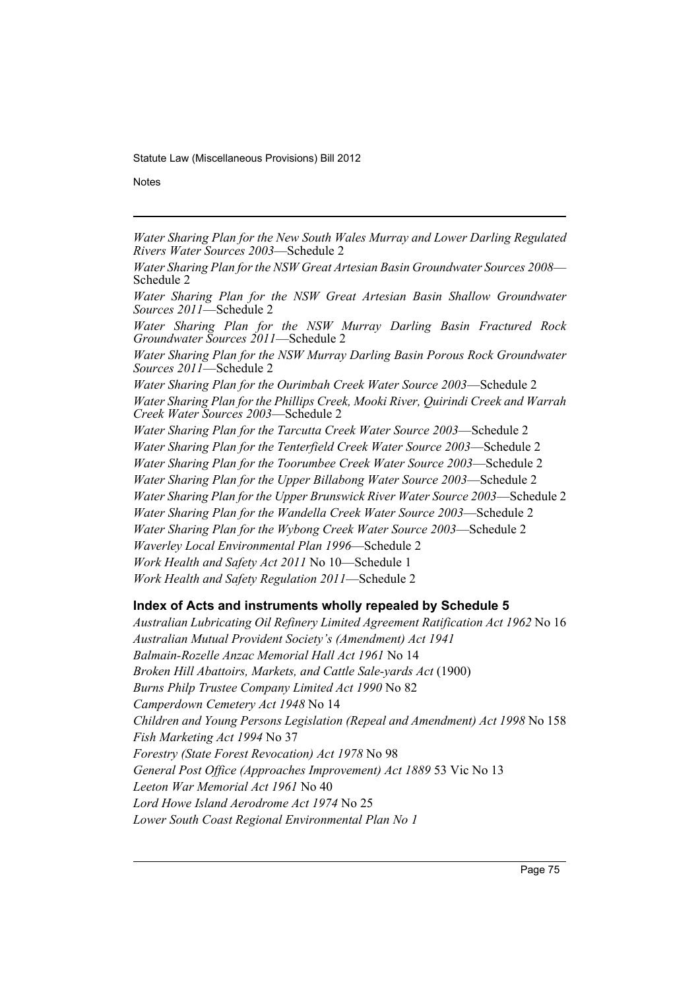**Notes** 

*Water Sharing Plan for the New South Wales Murray and Lower Darling Regulated Rivers Water Sources 2003*—Schedule 2

*Water Sharing Plan for the NSW Great Artesian Basin Groundwater Sources 2008*—<br>Schedule 2

*Water Sharing Plan for the NSW Great Artesian Basin Shallow Groundwater Sources 2011*—Schedule 2

*Water Sharing Plan for the NSW Murray Darling Basin Fractured Rock Groundwater Sources 2011*—Schedule 2

*Water Sharing Plan for the NSW Murray Darling Basin Porous Rock Groundwater Sources 2011*—Schedule 2

*Water Sharing Plan for the Ourimbah Creek Water Source 2003*—Schedule 2 *Water Sharing Plan for the Phillips Creek, Mooki River, Quirindi Creek and Warrah Creek Water Sources 2003*—Schedule 2

*Water Sharing Plan for the Tarcutta Creek Water Source 2003*—Schedule 2 *Water Sharing Plan for the Tenterfield Creek Water Source 2003*—Schedule 2 *Water Sharing Plan for the Toorumbee Creek Water Source 2003*—Schedule 2 *Water Sharing Plan for the Upper Billabong Water Source 2003*—Schedule 2 *Water Sharing Plan for the Upper Brunswick River Water Source 2003*—Schedule 2 *Water Sharing Plan for the Wandella Creek Water Source 2003*—Schedule 2 *Water Sharing Plan for the Wybong Creek Water Source 2003*—Schedule 2 *Waverley Local Environmental Plan 1996*—Schedule 2 *Work Health and Safety Act 2011* No 10—Schedule 1 *Work Health and Safety Regulation 2011*—Schedule 2

## **Index of Acts and instruments wholly repealed by Schedule 5**

*Australian Lubricating Oil Refinery Limited Agreement Ratification Act 1962* No 16 *Australian Mutual Provident Society's (Amendment) Act 1941 Balmain-Rozelle Anzac Memorial Hall Act 1961* No 14 *Broken Hill Abattoirs, Markets, and Cattle Sale-yards Act* (1900) *Burns Philp Trustee Company Limited Act 1990* No 82 *Camperdown Cemetery Act 1948* No 14 *Children and Young Persons Legislation (Repeal and Amendment) Act 1998* No 158 *Fish Marketing Act 1994* No 37 *Forestry (State Forest Revocation) Act 1978* No 98 *General Post Office (Approaches Improvement) Act 1889* 53 Vic No 13 *Leeton War Memorial Act 1961* No 40 *Lord Howe Island Aerodrome Act 1974* No 25 *Lower South Coast Regional Environmental Plan No 1*